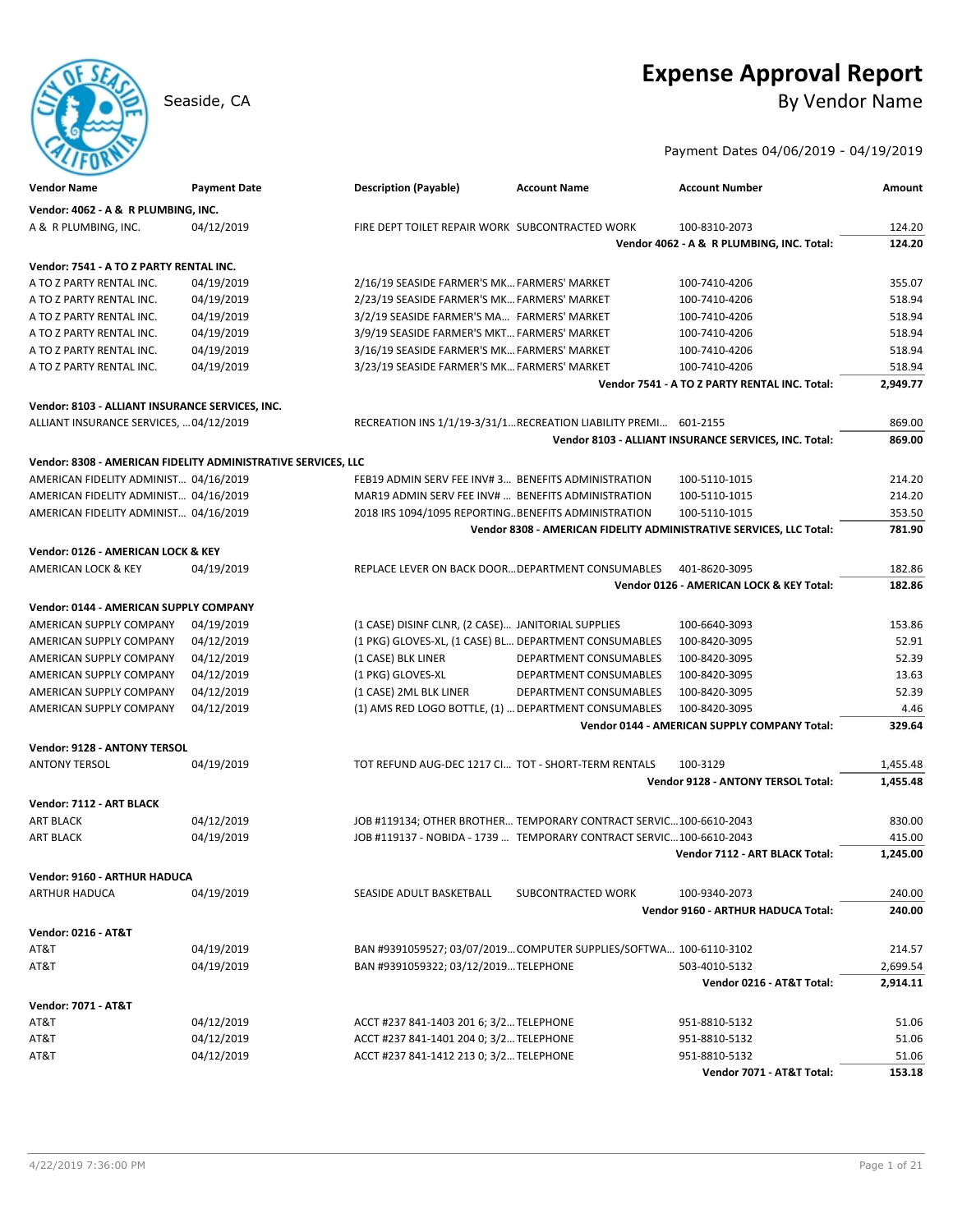# **Expense Approval Report**

Seaside, CA By Vendor Name

### Payment Dates 04/06/2019 - 04/19/2019

| <b>Vendor Name</b>                                            | <b>Payment Date</b> | <b>Description (Payable)</b>                          | <b>Account Name</b>                                                                                                                        | <b>Account Number</b>                                               | Amount   |
|---------------------------------------------------------------|---------------------|-------------------------------------------------------|--------------------------------------------------------------------------------------------------------------------------------------------|---------------------------------------------------------------------|----------|
| Vendor: 4062 - A & R PLUMBING, INC.                           |                     |                                                       |                                                                                                                                            |                                                                     |          |
| A & R PLUMBING, INC.                                          | 04/12/2019          | FIRE DEPT TOILET REPAIR WORK SUBCONTRACTED WORK       |                                                                                                                                            | 100-8310-2073                                                       | 124.20   |
|                                                               |                     |                                                       |                                                                                                                                            | Vendor 4062 - A & R PLUMBING, INC. Total:                           | 124.20   |
| Vendor: 7541 - A TO Z PARTY RENTAL INC.                       |                     |                                                       |                                                                                                                                            |                                                                     |          |
| A TO Z PARTY RENTAL INC.                                      | 04/19/2019          | 2/16/19 SEASIDE FARMER'S MK FARMERS' MARKET           |                                                                                                                                            | 100-7410-4206                                                       | 355.07   |
| A TO Z PARTY RENTAL INC.                                      | 04/19/2019          | 2/23/19 SEASIDE FARMER'S MK FARMERS' MARKET           |                                                                                                                                            | 100-7410-4206                                                       | 518.94   |
| A TO Z PARTY RENTAL INC.                                      | 04/19/2019          | 3/2/19 SEASIDE FARMER'S MA FARMERS' MARKET            |                                                                                                                                            | 100-7410-4206                                                       | 518.94   |
| A TO Z PARTY RENTAL INC.                                      | 04/19/2019          | 3/9/19 SEASIDE FARMER'S MKT FARMERS' MARKET           |                                                                                                                                            | 100-7410-4206                                                       | 518.94   |
| A TO Z PARTY RENTAL INC.                                      | 04/19/2019          | 3/16/19 SEASIDE FARMER'S MK FARMERS' MARKET           |                                                                                                                                            | 100-7410-4206                                                       | 518.94   |
| A TO Z PARTY RENTAL INC.                                      | 04/19/2019          | 3/23/19 SEASIDE FARMER'S MK FARMERS' MARKET           |                                                                                                                                            | 100-7410-4206                                                       | 518.94   |
|                                                               |                     |                                                       |                                                                                                                                            | Vendor 7541 - A TO Z PARTY RENTAL INC. Total:                       | 2,949.77 |
|                                                               |                     |                                                       |                                                                                                                                            |                                                                     |          |
| Vendor: 8103 - ALLIANT INSURANCE SERVICES, INC.               |                     |                                                       |                                                                                                                                            |                                                                     |          |
| ALLIANT INSURANCE SERVICES,  04/12/2019                       |                     |                                                       | RECREATION INS 1/1/19-3/31/1 RECREATION LIABILITY PREMI 601-2155                                                                           |                                                                     | 869.00   |
|                                                               |                     |                                                       |                                                                                                                                            | Vendor 8103 - ALLIANT INSURANCE SERVICES, INC. Total:               | 869.00   |
| Vendor: 8308 - AMERICAN FIDELITY ADMINISTRATIVE SERVICES, LLC |                     |                                                       |                                                                                                                                            |                                                                     |          |
| AMERICAN FIDELITY ADMINIST 04/16/2019                         |                     | FEB19 ADMIN SERV FEE INV#3 BENEFITS ADMINISTRATION    |                                                                                                                                            | 100-5110-1015                                                       | 214.20   |
| AMERICAN FIDELITY ADMINIST 04/16/2019                         |                     | MAR19 ADMIN SERV FEE INV#  BENEFITS ADMINISTRATION    |                                                                                                                                            | 100-5110-1015                                                       | 214.20   |
| AMERICAN FIDELITY ADMINIST 04/16/2019                         |                     | 2018 IRS 1094/1095 REPORTINGBENEFITS ADMINISTRATION   |                                                                                                                                            | 100-5110-1015                                                       | 353.50   |
|                                                               |                     |                                                       |                                                                                                                                            | Vendor 8308 - AMERICAN FIDELITY ADMINISTRATIVE SERVICES, LLC Total: | 781.90   |
| Vendor: 0126 - AMERICAN LOCK & KEY                            |                     |                                                       |                                                                                                                                            |                                                                     |          |
| <b>AMERICAN LOCK &amp; KEY</b>                                |                     | REPLACE LEVER ON BACK DOOR DEPARTMENT CONSUMABLES     |                                                                                                                                            | 401-8620-3095                                                       | 182.86   |
|                                                               | 04/19/2019          |                                                       |                                                                                                                                            | Vendor 0126 - AMERICAN LOCK & KEY Total:                            | 182.86   |
|                                                               |                     |                                                       |                                                                                                                                            |                                                                     |          |
| Vendor: 0144 - AMERICAN SUPPLY COMPANY                        |                     |                                                       |                                                                                                                                            |                                                                     |          |
| AMERICAN SUPPLY COMPANY                                       | 04/19/2019          | (1 CASE) DISINF CLNR, (2 CASE) JANITORIAL SUPPLIES    |                                                                                                                                            | 100-6640-3093                                                       | 153.86   |
| AMERICAN SUPPLY COMPANY                                       | 04/12/2019          | (1 PKG) GLOVES-XL, (1 CASE) BL DEPARTMENT CONSUMABLES |                                                                                                                                            | 100-8420-3095                                                       | 52.91    |
| AMERICAN SUPPLY COMPANY                                       | 04/12/2019          | (1 CASE) BLK LINER                                    | DEPARTMENT CONSUMABLES                                                                                                                     | 100-8420-3095                                                       | 52.39    |
| AMERICAN SUPPLY COMPANY                                       | 04/12/2019          | (1 PKG) GLOVES-XL                                     | DEPARTMENT CONSUMABLES                                                                                                                     | 100-8420-3095                                                       | 13.63    |
| AMERICAN SUPPLY COMPANY                                       | 04/12/2019          | (1 CASE) 2ML BLK LINER                                | DEPARTMENT CONSUMABLES                                                                                                                     | 100-8420-3095                                                       | 52.39    |
| AMERICAN SUPPLY COMPANY                                       | 04/12/2019          | (1) AMS RED LOGO BOTTLE, (1)  DEPARTMENT CONSUMABLES  |                                                                                                                                            | 100-8420-3095                                                       | 4.46     |
|                                                               |                     |                                                       |                                                                                                                                            | Vendor 0144 - AMERICAN SUPPLY COMPANY Total:                        | 329.64   |
| Vendor: 9128 - ANTONY TERSOL                                  |                     |                                                       |                                                                                                                                            |                                                                     |          |
| <b>ANTONY TERSOL</b>                                          | 04/19/2019          | TOT REFUND AUG-DEC 1217 CI TOT - SHORT-TERM RENTALS   |                                                                                                                                            | 100-3129                                                            | 1,455.48 |
|                                                               |                     |                                                       |                                                                                                                                            | <b>Vendor 9128 - ANTONY TERSOL Total:</b>                           | 1,455.48 |
| Vendor: 7112 - ART BLACK                                      |                     |                                                       |                                                                                                                                            |                                                                     |          |
|                                                               |                     |                                                       |                                                                                                                                            |                                                                     |          |
| <b>ART BLACK</b>                                              | 04/12/2019          |                                                       | JOB #119134; OTHER BROTHER TEMPORARY CONTRACT SERVIC 100-6610-2043<br>JOB #119137 - NOBIDA - 1739  TEMPORARY CONTRACT SERVIC 100-6610-2043 |                                                                     | 830.00   |
| <b>ART BLACK</b>                                              | 04/19/2019          |                                                       |                                                                                                                                            | Vendor 7112 - ART BLACK Total:                                      | 415.00   |
|                                                               |                     |                                                       |                                                                                                                                            |                                                                     | 1,245.00 |
| Vendor: 9160 - ARTHUR HADUCA                                  |                     |                                                       |                                                                                                                                            |                                                                     |          |
| <b>ARTHUR HADUCA</b>                                          | 04/19/2019          | SEASIDE ADULT BASKETBALL                              | SUBCONTRACTED WORK                                                                                                                         | 100-9340-2073                                                       | 240.00   |
|                                                               |                     |                                                       |                                                                                                                                            | Vendor 9160 - ARTHUR HADUCA Total:                                  | 240.00   |
| <b>Vendor: 0216 - AT&amp;T</b>                                |                     |                                                       |                                                                                                                                            |                                                                     |          |
| AT&T                                                          | 04/19/2019          |                                                       | BAN #9391059527; 03/07/2019 COMPUTER SUPPLIES/SOFTWA 100-6110-3102                                                                         |                                                                     | 214.57   |
| AT&T                                                          | 04/19/2019          | BAN #9391059322; 03/12/2019 TELEPHONE                 |                                                                                                                                            | 503-4010-5132                                                       | 2,699.54 |
|                                                               |                     |                                                       |                                                                                                                                            | Vendor 0216 - AT&T Total:                                           | 2,914.11 |
|                                                               |                     |                                                       |                                                                                                                                            |                                                                     |          |
| <b>Vendor: 7071 - AT&amp;T</b>                                |                     |                                                       |                                                                                                                                            |                                                                     |          |
| AT&T                                                          | 04/12/2019          | ACCT #237 841-1403 201 6; 3/2 TELEPHONE               |                                                                                                                                            | 951-8810-5132                                                       | 51.06    |
| AT&T                                                          | 04/12/2019          | ACCT #237 841-1401 204 0; 3/2 TELEPHONE               |                                                                                                                                            | 951-8810-5132                                                       | 51.06    |
| AT&T                                                          | 04/12/2019          | ACCT #237 841-1412 213 0; 3/2 TELEPHONE               |                                                                                                                                            | 951-8810-5132                                                       | 51.06    |
|                                                               |                     |                                                       |                                                                                                                                            | Vendor 7071 - AT&T Total:                                           | 153.18   |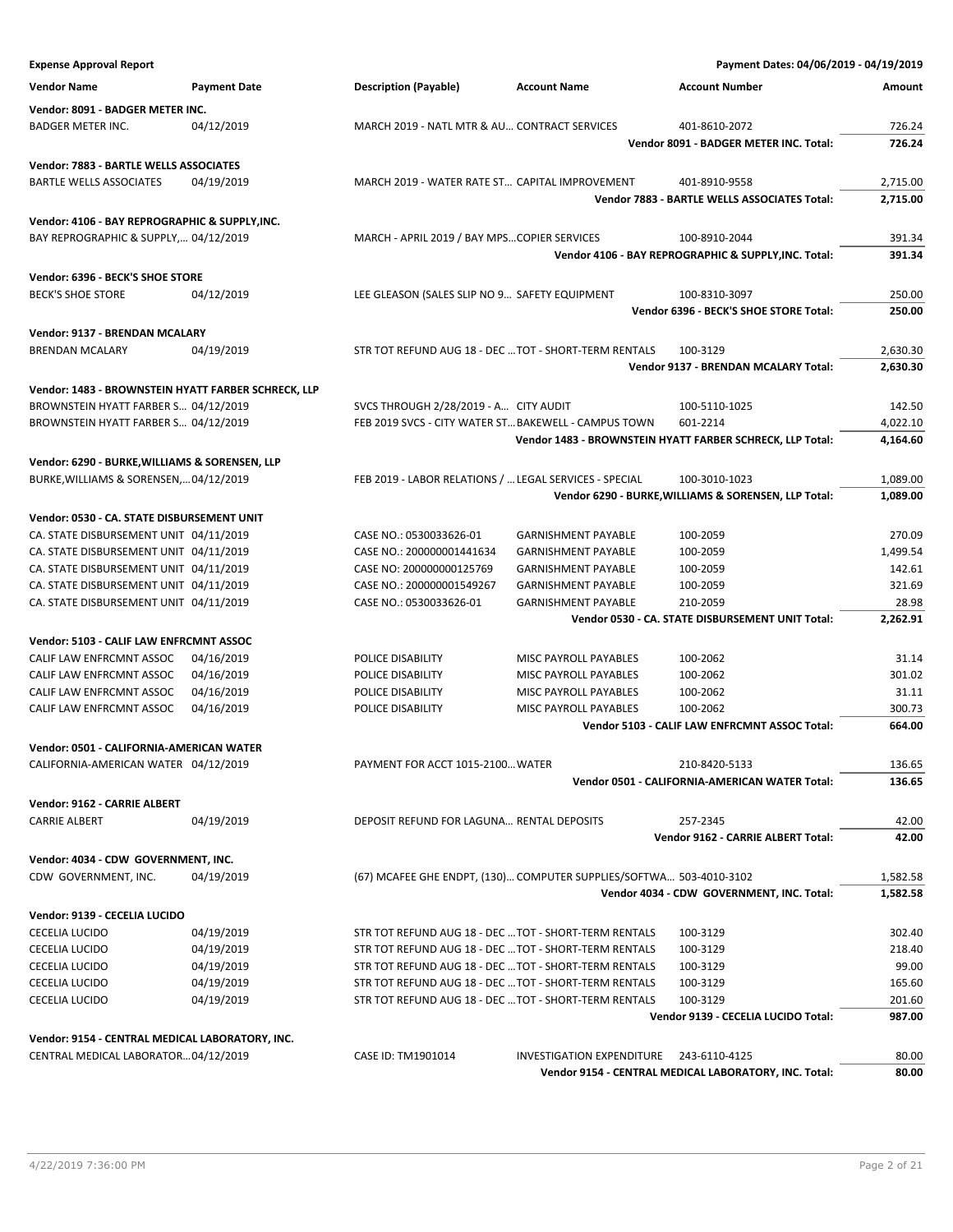**Expense Approval Report Payment Dates: 04/06/2019 - 04/19/2019 Vendor Name Payment Date Description (Payable) Account Name Account Number Amount Vendor: 8091 - BADGER METER INC.** BADGER METER INC. 04/12/2019 MARCH 2019 - NATL MTR & AU... CONTRACT SERVICES 401-8610-2072 726.24 **Vendor 8091 - BADGER METER INC. Total: 726.24 Vendor: 7883 - BARTLE WELLS ASSOCIATES** BARTLE WELLS ASSOCIATES 04/19/2019 MARCH 2019 - WATER RATE ST... CAPITAL IMPROVEMENT 401-8910-9558 2,715.00 **Vendor 7883 - BARTLE WELLS ASSOCIATES Total: 2,715.00 Vendor: 4106 - BAY REPROGRAPHIC & SUPPLY,INC.** BAY REPROGRAPHIC & SUPPLY,... 04/12/2019 MARCH - APRIL 2019 / BAY MPS...COPIER SERVICES 100-8910-2044 391.34 **Vendor 4106 - BAY REPROGRAPHIC & SUPPLY,INC. Total: 391.34 Vendor: 6396 - BECK'S SHOE STORE** BECK'S SHOE STORE 04/12/2019 LEE GLEASON (SALES SLIP NO 9... SAFETY EQUIPMENT 100-8310-3097 250.00 **Vendor 6396 - BECK'S SHOE STORE Total: 250.00 Vendor: 9137 - BRENDAN MCALARY** BRENDAN MCALARY 04/19/2019 STR TOT REFUND AUG 18 - DEC ... TOT - SHORT-TERM RENTALS 100-3129 2,630.30 **Vendor 9137 - BRENDAN MCALARY Total: 2,630.30 Vendor: 1483 - BROWNSTEIN HYATT FARBER SCHRECK, LLP** BROWNSTEIN HYATT FARBER S... 04/12/2019 SVCS THROUGH 2/28/2019 - A... CITY AUDIT 100-5110-1025 142.50 BROWNSTEIN HYATT FARBER S... 04/12/2019 FEB 2019 SVCS - CITY WATER ST... BAKEWELL - CAMPUS TOWN 601-2214 4,022.10 **Vendor 1483 - BROWNSTEIN HYATT FARBER SCHRECK, LLP Total: 4,164.60 Vendor: 6290 - BURKE,WILLIAMS & SORENSEN, LLP** BURKE,WILLIAMS & SORENSEN,…04/12/2019 FEB 2019 - LABOR RELATIONS / …LEGAL SERVICES - SPECIAL 100-3010-1023 1,089.00 **Vendor 6290 - BURKE,WILLIAMS & SORENSEN, LLP Total: 1,089.00 Vendor: 0530 - CA. STATE DISBURSEMENT UNIT** CA. STATE DISBURSEMENT UNIT 04/11/2019 CASE NO.: 0530033626-01 GARNISHMENT PAYABLE 100-2059 270.09 CA. STATE DISBURSEMENT UNIT 04/11/2019 CASE NO.: 200000001441634 GARNISHMENT PAYABLE 100-2059 1,499.54 CA. STATE DISBURSEMENT UNIT 04/11/2019 CASE NO: 200000000125769 GARNISHMENT PAYABLE 100-2059 142.61 CA. STATE DISBURSEMENT UNIT 04/11/2019 CASE NO.: 200000001549267 GARNISHMENT PAYABLE 100-2059 321.69 CA. STATE DISBURSEMENT UNIT 04/11/2019 CASE NO.: 0530033626-01 GARNISHMENT PAYABLE 210-2059 28.98 **Vendor 0530 - CA. STATE DISBURSEMENT UNIT Total: 2,262.91 Vendor: 5103 - CALIF LAW ENFRCMNT ASSOC** CALIF LAW ENFRCMNT ASSOC 04/16/2019 POLICE DISABILITY MISC PAYROLL PAYABLES 100-2062 31.14 CALIF LAW ENFRCMNT ASSOC 04/16/2019 POLICE DISABILITY MISC PAYROLL PAYABLES 100-2062 301.02 CALIF LAW ENFRCMNT ASSOC 04/16/2019 POLICE DISABILITY MISC PAYROLL PAYABLES 100-2062 31.11 CALIF LAW ENFRCMNT ASSOC 04/16/2019 POLICE DISABILITY MISC PAYROLL PAYABLES 100-2062 **Vendor 5103 - CALIF LAW ENFRCMNT ASSOC Total: 664.00 Vendor: 0501 - CALIFORNIA-AMERICAN WATER** CALIFORNIA-AMERICAN WATER 04/12/2019 PAYMENT FOR ACCT 1015-2100... WATER 210-8420-5133 200-8420-5133 **Vendor 0501 - CALIFORNIA-AMERICAN WATER Total: 136.65 Vendor: 9162 - CARRIE ALBERT** CARRIE ALBERT 04/19/2019 DEPOSIT REFUND FOR LAGUNA… RENTAL DEPOSITS 257-2345 42.00 **Vendor 9162 - CARRIE ALBERT Total: 42.00 Vendor: 4034 - CDW GOVERNMENT, INC.** CDW GOVERNMENT, INC. 04/19/2019 (67) MCAFEE GHE ENDPT, (130)… COMPUTER SUPPLIES/SOFTWA… 503-4010-3102 1,582.58 **Vendor 4034 - CDW GOVERNMENT, INC. Total: 1,582.58 Vendor: 9139 - CECELIA LUCIDO** CECELIA LUCIDO 04/19/2019 STR TOT REFUND AUG 18 - DEC …TOT - SHORT-TERM RENTALS 100-3129 302.40 CECELIA LUCIDO 04/19/2019 STR TOT REFUND AUG 18 - DEC …TOT - SHORT-TERM RENTALS 100-3129 218.40 CECELIA LUCIDO 04/19/2019 STR TOT REFUND AUG 18 - DEC …TOT - SHORT-TERM RENTALS 100-3129 99.00 CECELIA LUCIDO 04/19/2019 STR TOT REFUND AUG 18 - DEC ... TOT - SHORT-TERM RENTALS 100-3129 165.60 CECELIA LUCIDO 04/19/2019 STR TOT REFUND AUG 18 - DEC …TOT - SHORT-TERM RENTALS 100-3129 201.60 **Vendor 9139 - CECELIA LUCIDO Total: 987.00 Vendor: 9154 - CENTRAL MEDICAL LABORATORY, INC.**

CENTRAL MEDICAL LABORATOR…04/12/2019 CASE ID: TM1901014 INVESTIGATION EXPENDITURE 243-6110-4125 80.00 **Vendor 9154 - CENTRAL MEDICAL LABORATORY, INC. Total: 80.00**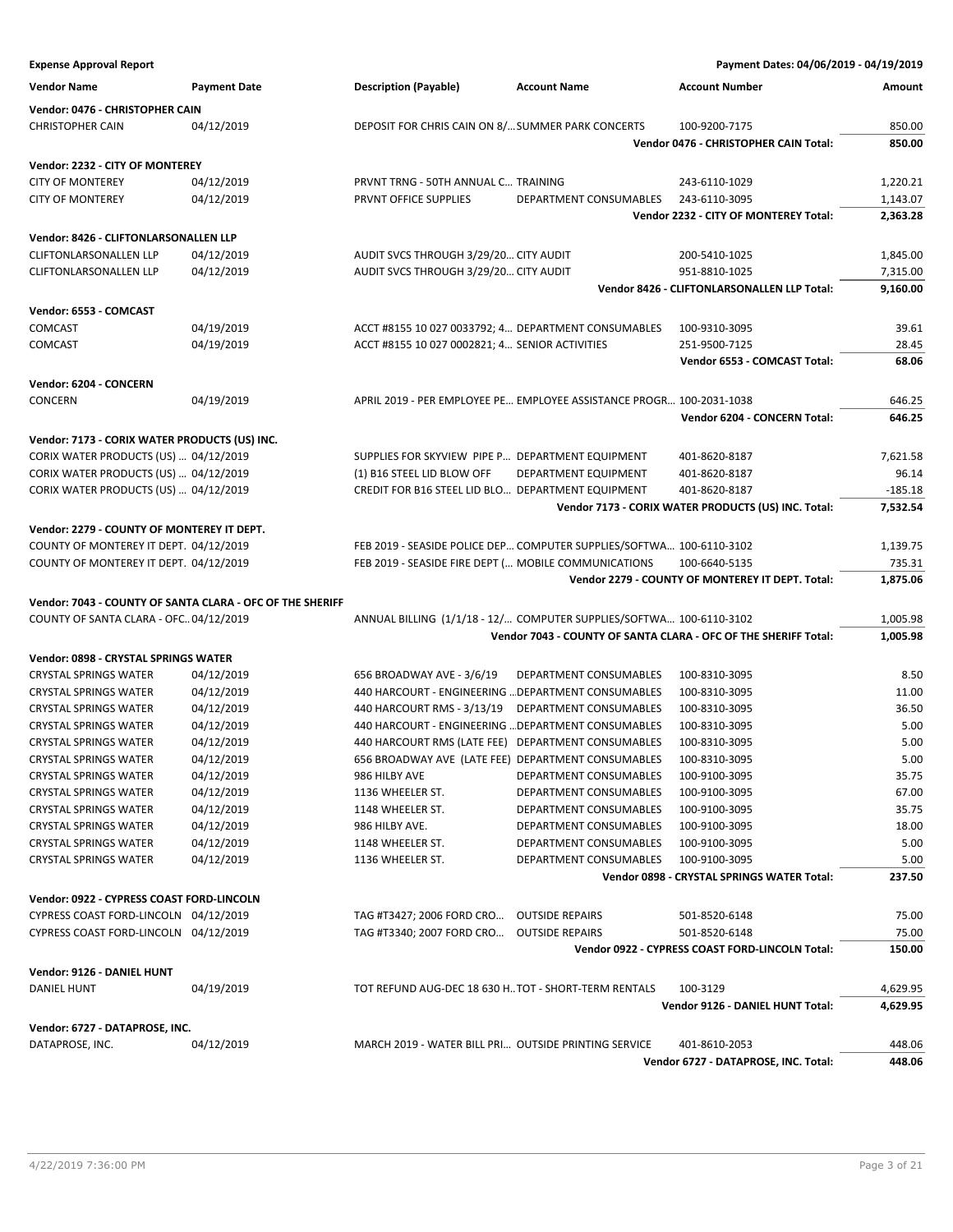**Expense Approval Report Payment Dates: 04/06/2019 - 04/19/2019 Vendor Name Payment Date Description (Payable) Account Name Account Number Amount Vendor: 0476 - CHRISTOPHER CAIN** CHRISTOPHER CAIN 04/12/2019 DEPOSIT FOR CHRIS CAIN ON 8/...SUMMER PARK CONCERTS 100-9200-7175 850.00 **Vendor 0476 - CHRISTOPHER CAIN Total: 850.00 Vendor: 2232 - CITY OF MONTEREY** CITY OF MONTEREY 04/12/2019 PRVNT TRNG - 50TH ANNUAL C… TRAINING 243-6110-1029 1,220.21 CITY OF MONTEREY 04/12/2019 PRVNT OFFICE SUPPLIES DEPARTMENT CONSUMABLES 243-6110-3095 1,143.07 **Vendor 2232 - CITY OF MONTEREY Total: 2,363.28 Vendor: 8426 - CLIFTONLARSONALLEN LLP** CLIFTONLARSONALLEN LLP 04/12/2019 AUDIT SVCS THROUGH 3/29/20… CITY AUDIT 200-5410-1025 1,845.00 CLIFTONLARSONALLEN LLP 04/12/2019 AUDIT SVCS THROUGH 3/29/20… CITY AUDIT 951-8810-1025 7,315.00 **Vendor 8426 - CLIFTONLARSONALLEN LLP Total: 9,160.00 Vendor: 6553 - COMCAST** COMCAST 04/19/2019 ACCT #8155 10 027 0033792; 4… DEPARTMENT CONSUMABLES 100-9310-3095 39.61 COMCAST 04/19/2019 ACCT #8155 10 027 0002821; 4… SENIOR ACTIVITIES 251-9500-7125 28.45 **Vendor 6553 - COMCAST Total: 68.06 Vendor: 6204 - CONCERN** CONCERN 04/19/2019 APRIL 2019 - PER EMPLOYEE PE… EMPLOYEE ASSISTANCE PROGR… 100-2031-1038 646.25 **Vendor 6204 - CONCERN Total: 646.25 Vendor: 7173 - CORIX WATER PRODUCTS (US) INC.** CORIX WATER PRODUCTS (US) … 04/12/2019 SUPPLIES FOR SKYVIEW PIPE P… DEPARTMENT EQUIPMENT 401-8620-8187 7,621.58 CORIX WATER PRODUCTS (US) … 04/12/2019 (1) B16 STEEL LID BLOW OFF DEPARTMENT EQUIPMENT 401-8620-8187 96.14 CORIX WATER PRODUCTS (US) … 04/12/2019 CREDIT FOR B16 STEEL LID BLO… DEPARTMENT EQUIPMENT 401-8620-8187 -185.18 **Vendor 7173 - CORIX WATER PRODUCTS (US) INC. Total: 7,532.54 Vendor: 2279 - COUNTY OF MONTEREY IT DEPT.** COUNTY OF MONTEREY IT DEPT. 04/12/2019 FEB 2019 - SEASIDE POLICE DEP… COMPUTER SUPPLIES/SOFTWA… 100-6110-3102 1,139.75 COUNTY OF MONTEREY IT DEPT. 04/12/2019 FEB 2019 - SEASIDE FIRE DEPT (… MOBILE COMMUNICATIONS 100-6640-5135 735.31 **Vendor 2279 - COUNTY OF MONTEREY IT DEPT. Total: 1,875.06 Vendor: 7043 - COUNTY OF SANTA CLARA - OFC OF THE SHERIFF** COUNTY OF SANTA CLARA - OFC…04/12/2019 ANNUAL BILLING (1/1/18 - 12/… COMPUTER SUPPLIES/SOFTWA… 100-6110-3102 1,005.98 **Vendor 7043 - COUNTY OF SANTA CLARA - OFC OF THE SHERIFF Total: 1,005.98 Vendor: 0898 - CRYSTAL SPRINGS WATER** CRYSTAL SPRINGS WATER 04/12/2019 656 BROADWAY AVE - 3/6/19 DEPARTMENT CONSUMABLES 100-8310-3095 8.50 CRYSTAL SPRINGS WATER 04/12/2019 440 HARCOURT - ENGINEERING …DEPARTMENT CONSUMABLES 100-8310-3095 11.00 CRYSTAL SPRINGS WATER 04/12/2019 440 HARCOURT RMS - 3/13/19 DEPARTMENT CONSUMABLES 100-8310-3095 36.50 CRYSTAL SPRINGS WATER 04/12/2019 440 HARCOURT - ENGINEERING …DEPARTMENT CONSUMABLES 100-8310-3095 5.00 CRYSTAL SPRINGS WATER 04/12/2019 440 HARCOURT RMS (LATE FEE) DEPARTMENT CONSUMABLES 100-8310-3095 5.00 CRYSTAL SPRINGS WATER 04/12/2019 656 BROADWAY AVE (LATE FEE) DEPARTMENT CONSUMABLES 100-8310-3095 5.00 CRYSTAL SPRINGS WATER 04/12/2019 986 HILBY AVE DEPARTMENT CONSUMABLES 100-9100-3095 35.75 CRYSTAL SPRINGS WATER 04/12/2019 1136 WHEELER ST. DEPARTMENT CONSUMABLES 100-9100-3095 67.00 CRYSTAL SPRINGS WATER 04/12/2019 1148 WHEELER ST. DEPARTMENT CONSUMABLES 100-9100-3095 35.75 CRYSTAL SPRINGS WATER 04/12/2019 986 HILBY AVE. DEPARTMENT CONSUMABLES 100-9100-3095 18.00 CRYSTAL SPRINGS WATER 04/12/2019 1148 WHEELER ST. DEPARTMENT CONSUMABLES 100-9100-3095 5.00 CRYSTAL SPRINGS WATER 04/12/2019 1136 WHEELER ST. DEPARTMENT CONSUMABLES 100-9100-3095 5.00 **Vendor 0898 - CRYSTAL SPRINGS WATER Total: 237.50 Vendor: 0922 - CYPRESS COAST FORD-LINCOLN** CYPRESS COAST FORD-LINCOLN 04/12/2019 TAG #T3427; 2006 FORD CRO… OUTSIDE REPAIRS 501-8520-6148 75.00 CYPRESS COAST FORD-LINCOLN 04/12/2019 TAG #T3340; 2007 FORD CRO… OUTSIDE REPAIRS 501-8520-6148 75.00 **Vendor 0922 - CYPRESS COAST FORD-LINCOLN Total: 150.00 Vendor: 9126 - DANIEL HUNT** DANIEL HUNT 04/19/2019 TOT REFUND AUG-DEC 18 630 H…TOT - SHORT-TERM RENTALS 100-3129 4,629.95 **Vendor 9126 - DANIEL HUNT Total: 4,629.95 Vendor: 6727 - DATAPROSE, INC.** DATAPROSE, INC. **04/12/2019** MARCH 2019 - WATER BILL PRI... OUTSIDE PRINTING SERVICE 401-8610-2053 448.06 **Vendor 6727 - DATAPROSE, INC. Total: 448.06**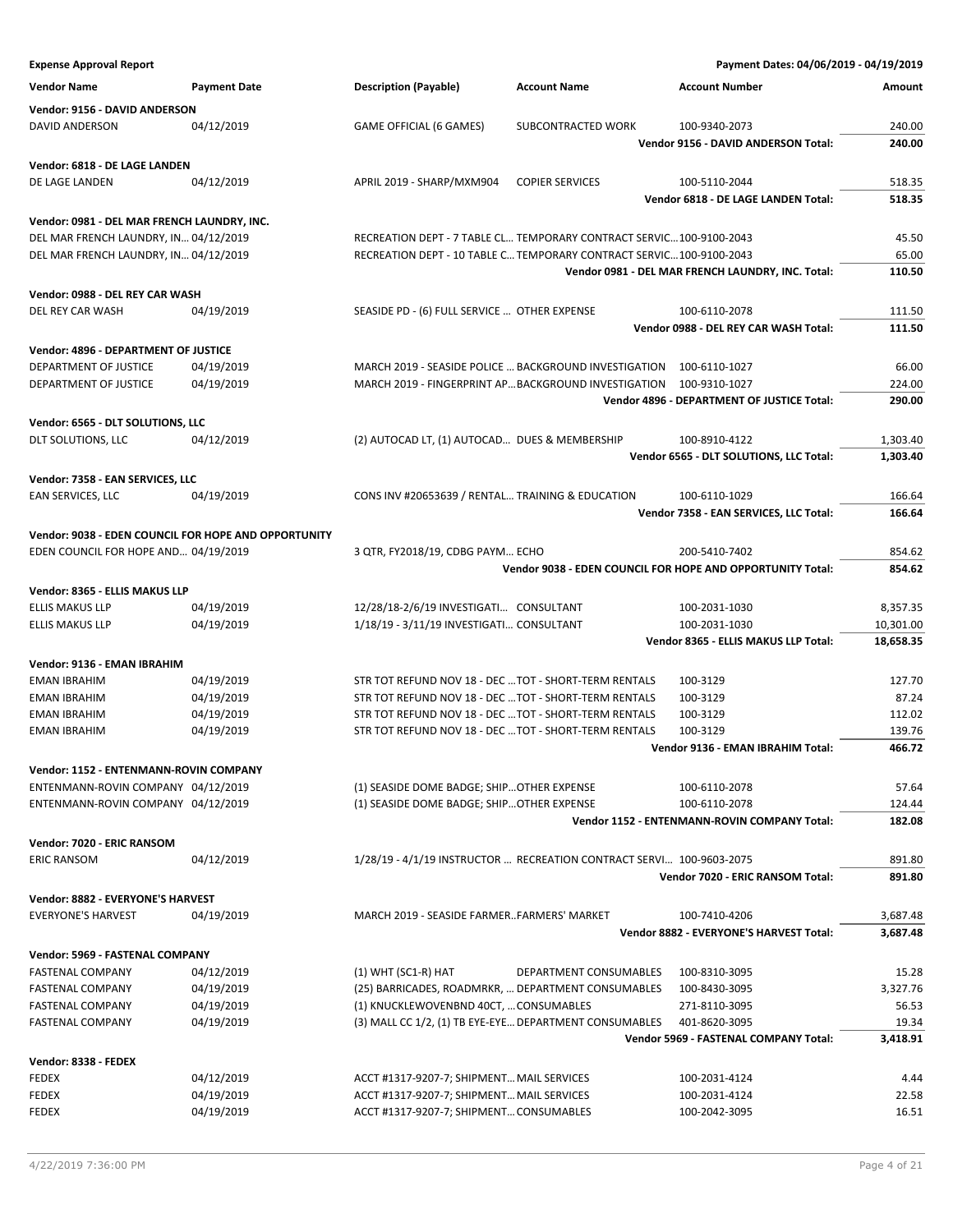**Expense Approval Report Payment Dates: 04/06/2019 - 04/19/2019 Vendor Name Payment Date Description (Payable) Account Name Account Number Amount Vendor: 9156 - DAVID ANDERSON** DAVID ANDERSON 04/12/2019 GAME OFFICIAL (6 GAMES) SUBCONTRACTED WORK 100-9340-2073 240.00 **Vendor 9156 - DAVID ANDERSON Total: 240.00 Vendor: 6818 - DE LAGE LANDEN** DE LAGE LANDEN 04/12/2019 APRIL 2019 - SHARP/MXM904 COPIER SERVICES 100-5110-2044 518.35 **Vendor 6818 - DE LAGE LANDEN Total: 518.35 Vendor: 0981 - DEL MAR FRENCH LAUNDRY, INC.** DEL MAR FRENCH LAUNDRY, IN… 04/12/2019 RECREATION DEPT - 7 TABLE CL… TEMPORARY CONTRACT SERVIC…100-9100-2043 45.50 DEL MAR FRENCH LAUNDRY, IN… 04/12/2019 RECREATION DEPT - 10 TABLE C…TEMPORARY CONTRACT SERVIC…100-9100-2043 65.00 **Vendor 0981 - DEL MAR FRENCH LAUNDRY, INC. Total: 110.50 Vendor: 0988 - DEL REY CAR WASH** DEL REY CAR WASH 04/19/2019 SEASIDE PD - (6) FULL SERVICE ... OTHER EXPENSE 100-6110-2078 111.50 **Vendor 0988 - DEL REY CAR WASH Total: 111.50 Vendor: 4896 - DEPARTMENT OF JUSTICE** DEPARTMENT OF JUSTICE 04/19/2019 MARCH 2019 - SEASIDE POLICE …BACKGROUND INVESTIGATION 100-6110-1027 66.00 DEPARTMENT OF JUSTICE 04/19/2019 MARCH 2019 - FINGERPRINT AP…BACKGROUND INVESTIGATION 100-9310-1027 224.00 **Vendor 4896 - DEPARTMENT OF JUSTICE Total: 290.00 Vendor: 6565 - DLT SOLUTIONS, LLC** DLT SOLUTIONS, LLC 04/12/2019 (2) AUTOCAD LT, (1) AUTOCAD… DUES & MEMBERSHIP 100-8910-4122 1,303.40 **Vendor 6565 - DLT SOLUTIONS, LLC Total: 1,303.40 Vendor: 7358 - EAN SERVICES, LLC** EAN SERVICES, LLC 64/19/2019 CONS INV #20653639 / RENTAL... TRAINING & EDUCATION 100-6110-1029 166.64 **Vendor 7358 - EAN SERVICES, LLC Total: 166.64 Vendor: 9038 - EDEN COUNCIL FOR HOPE AND OPPORTUNITY** EDEN COUNCIL FOR HOPE AND… 04/19/2019 3 QTR, FY2018/19, CDBG PAYM… ECHO 200-5410-7402 854.62 **Vendor 9038 - EDEN COUNCIL FOR HOPE AND OPPORTUNITY Total: 854.62 Vendor: 8365 - ELLIS MAKUS LLP** ELLIS MAKUS LLP 04/19/2019 12/28/18-2/6/19 INVESTIGATI… CONSULTANT 100-2031-1030 8,357.35 ELLIS MAKUS LLP 04/19/2019 1/18/19 - 3/11/19 INVESTIGATI... CONSULTANT 100-2031-1030 10,301.00 **Vendor 8365 - ELLIS MAKUS LLP Total: 18,658.35 Vendor: 9136 - EMAN IBRAHIM** EMAN IBRAHIM 04/19/2019 STR TOT REFUND NOV 18 - DEC ... TOT - SHORT-TERM RENTALS 100-3129 127.70 EMAN IBRAHIM 04/19/2019 STR TOT REFUND NOV 18 - DEC …TOT - SHORT-TERM RENTALS 100-3129 87.24 EMAN IBRAHIM 04/19/2019 STR TOT REFUND NOV 18 - DEC ... TOT - SHORT-TERM RENTALS 100-3129 112.02 EMAN IBRAHIM 04/19/2019 STR TOT REFUND NOV 18 - DEC ... TOT - SHORT-TERM RENTALS 100-3129 139.76 **Vendor 9136 - EMAN IBRAHIM Total: 466.72 Vendor: 1152 - ENTENMANN-ROVIN COMPANY** ENTENMANN-ROVIN COMPANY 04/12/2019 (1) SEASIDE DOME BADGE; SHIP... OTHER EXPENSE 100-6110-2078 57.64 ENTENMANN-ROVIN COMPANY 04/12/2019 (1) SEASIDE DOME BADGE; SHIP...OTHER EXPENSE 100-6110-2078 124.44 **Vendor 1152 - ENTENMANN-ROVIN COMPANY Total: 182.08 Vendor: 7020 - ERIC RANSOM** ERIC RANSOM 04/12/2019 1/28/19 - 4/1/19 INSTRUCTOR … RECREATION CONTRACT SERVI… 100-9603-2075 891.80 **Vendor 7020 - ERIC RANSOM Total: 891.80 Vendor: 8882 - EVERYONE'S HARVEST** EVERYONE'S HARVEST 04/19/2019 MARCH 2019 - SEASIDE FARMER…FARMERS' MARKET 100-7410-4206 3,687.48 **Vendor 8882 - EVERYONE'S HARVEST Total: 3,687.48 Vendor: 5969 - FASTENAL COMPANY** FASTENAL COMPANY 04/12/2019 (1) WHT (SC1-R) HAT DEPARTMENT CONSUMABLES 100-8310-3095 15.28 FASTENAL COMPANY 04/19/2019 (25) BARRICADES, ROADMRKR, … DEPARTMENT CONSUMABLES 100-8430-3095 3,327.76 FASTENAL COMPANY 04/19/2019 (1) KNUCKLEWOVENBND 40CT, …CONSUMABLES 271-8110-3095 56.53 FASTENAL COMPANY 04/19/2019 (3) MALL CC 1/2, (1) TB EYE-EYE…DEPARTMENT CONSUMABLES 401-8620-3095 19.34 **Vendor 5969 - FASTENAL COMPANY Total: 3,418.91 Vendor: 8338 - FEDEX** FEDEX 04/12/2019 ACCT #1317-9207-7; SHIPMENT…MAIL SERVICES 100-2031-4124 4.44 FEDEX 04/19/2019 ACCT #1317-9207-7; SHIPMENT…MAIL SERVICES 100-2031-4124 22.58 FEDEX 04/19/2019 ACCT #1317-9207-7; SHIPMENT…CONSUMABLES 100-2042-3095 16.51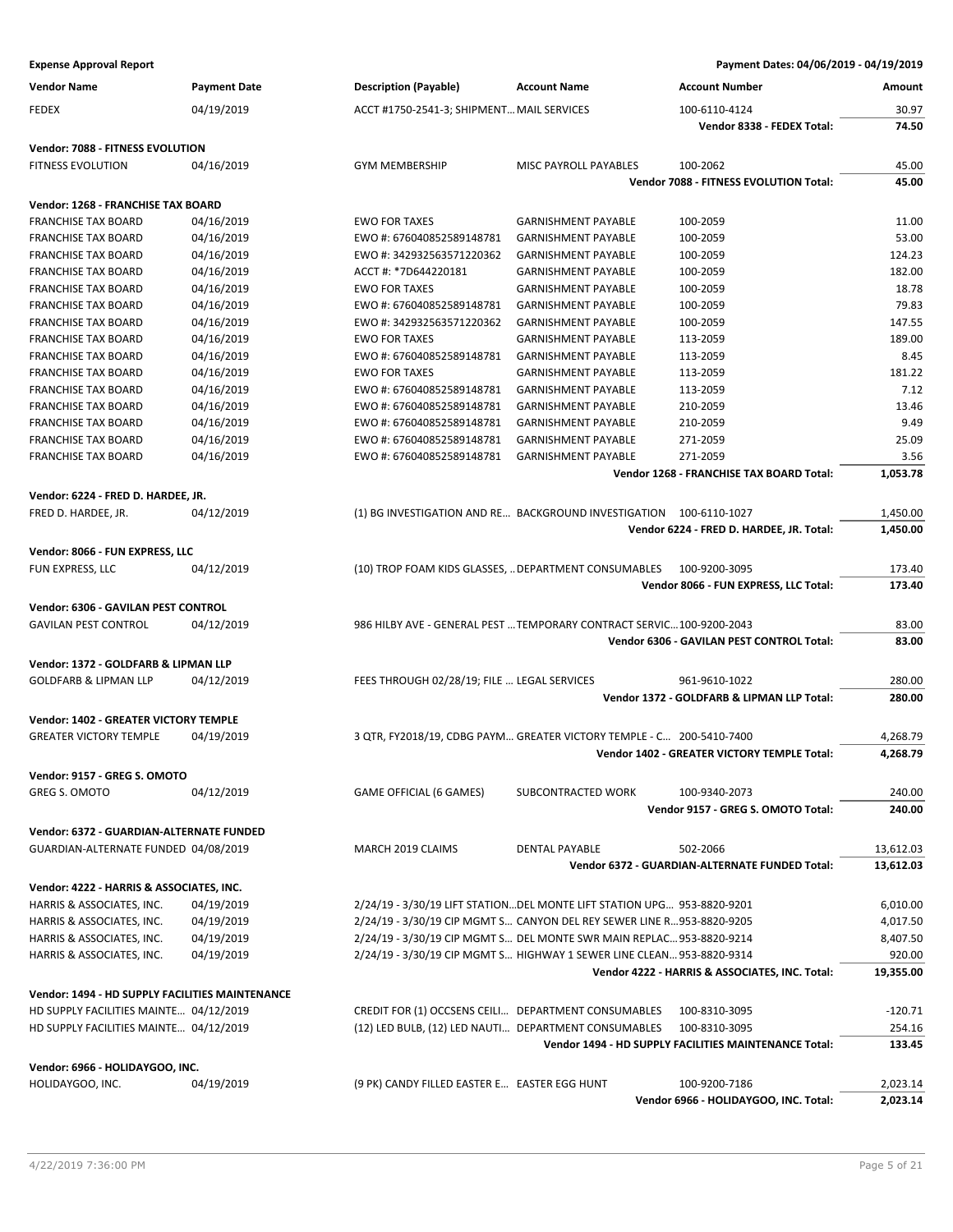**Expense Approval Report Payment Dates: 04/06/2019 - 04/19/2019 Vendor Name Payment Date Description (Payable) Account Name Account Number Amount** FEDEX 04/19/2019 ACCT #1750-2541-3; SHIPMENT…MAIL SERVICES 100-6110-4124 30.97 **Vendor 8338 - FEDEX Total: 74.50 Vendor: 7088 - FITNESS EVOLUTION** FITNESS EVOLUTION 04/16/2019 GYM MEMBERSHIP MISC PAYROLL PAYABLES 100-2062 45.00 **Vendor 7088 - FITNESS EVOLUTION Total: 45.00 Vendor: 1268 - FRANCHISE TAX BOARD** FRANCHISE TAX BOARD 04/16/2019 EWO FOR TAXES GARNISHMENT PAYABLE 100-2059 11.00 FRANCHISE TAX BOARD 04/16/2019 EWO #: 676040852589148781 GARNISHMENT PAYABLE 100-2059 53.00 FRANCHISE TAX BOARD 04/16/2019 EWO #: 342932563571220362 GARNISHMENT PAYABLE 100-2059 124.23 FRANCHISE TAX BOARD 04/16/2019 ACCT #: \*7D644220181 GARNISHMENT PAYABLE 100-2059 182.00 FRANCHISE TAX BOARD 04/16/2019 EWO FOR TAXES GARNISHMENT PAYABLE 100-2059 18.78 FRANCHISE TAX BOARD 04/16/2019 EWO #: 676040852589148781 GARNISHMENT PAYABLE 100-2059 79.83 FRANCHISE TAX BOARD 04/16/2019 EWO #: 342932563571220362 GARNISHMENT PAYABLE 100-2059 147.55 FRANCHISE TAX BOARD 04/16/2019 EWO FOR TAXES GARNISHMENT PAYABLE 113-2059 189.00 FRANCHISE TAX BOARD 04/16/2019 EWO #: 676040852589148781 GARNISHMENT PAYABLE 113-2059 8.45 FRANCHISE TAX BOARD 04/16/2019 **EWO FOR TAXES GARNISHMENT PAYABLE** 113-2059 181.22 FRANCHISE TAX BOARD 04/16/2019 EWO #: 676040852589148781 GARNISHMENT PAYABLE 113-2059 7.12 FRANCHISE TAX BOARD 04/16/2019 EWO #: 676040852589148781 GARNISHMENT PAYABLE 210-2059 13.46 FRANCHISE TAX BOARD 04/16/2019 EWO #: 676040852589148781 GARNISHMENT PAYABLE 210-2059 9.49 FRANCHISE TAX BOARD 04/16/2019 EWO #: 676040852589148781 GARNISHMENT PAYABLE 271-2059 25.09

#### **Vendor: 6224 - FRED D. HARDEE, JR.**

| FRED D. HARDEE. JR. | 04/12/2019 | (1) BG INVESTIGATION AND RE BACKGROUND INVESTIGATION 100-6110-1027 |                                          | .450.00  |
|---------------------|------------|--------------------------------------------------------------------|------------------------------------------|----------|
|                     |            |                                                                    | Vendor 6224 - FRED D. HARDEF. JR. Total: | 1.450.00 |

FRANCHISE TAX BOARD 04/16/2019 EWO #: 676040852589148781 GARNISHMENT PAYABLE 271-2059 3.56

#### **Vendor: 8066 - FUN EXPRESS, LLC**

| <b>FUN EXPRESS, LLC</b> | 04/12/2019 | (10) TROP FOAM KIDS GLASSES, DEPARTMENT CONSUMABLES<br>100-9200-3095 | 173.40 |
|-------------------------|------------|----------------------------------------------------------------------|--------|
|                         |            | Vendor 8066 - FUN EXPRESS, LLC Total:                                | 173.40 |

#### **Vendor: 6306 - GAVILAN PEST CONTROL**

| <b>GAVILAN PEST CONTROL</b> | 04/12/2019 |
|-----------------------------|------------|
|                             |            |

#### **Vendor: 1372 - GOLDFARB & LIPMAN LLP**

| <b>GOLDFARB &amp; LIPMAN LLP</b> | 04/12/2019 |
|----------------------------------|------------|
|----------------------------------|------------|

#### **Vendor: 1402 - GREATER VICTORY TEMPLE**

| <b>GREATER VICTORY TEMPLE</b> | 04/19/2019 |
|-------------------------------|------------|
|                               |            |

### **Vendor: 9157 - GREG S. OMOTO**

| <b>GREG S. OMOTO</b> | 04/12/2019 |
|----------------------|------------|
|                      |            |

## **Vendor: 6372 - GUARDIAN-ALTERNATE FUNDED**

GUARDIAN-ALTERNATE FUNDED 04/08/2019 MARCH 2019 CLAIMS DENTAL PAYABLE 502-2066 502-2066 13,612.03

#### **Vendor: 4222 - HARRIS & ASSOCIATES, INC.**

| HARRIS & ASSOCIATES. INC.            | 04/19/2019 |
|--------------------------------------|------------|
| <b>HARRIS &amp; ASSOCIATES. INC.</b> | 04/19/2019 |
| <b>HARRIS &amp; ASSOCIATES. INC.</b> | 04/19/2019 |
| HARRIS & ASSOCIATES, INC.            | 04/19/2019 |

#### **Vendor: 1494 - HD SUPPLY FACILITIES MAINTENANCE**

HD SUPPLY FACILITIES MAINTE… 04/12/2019 CREDIT FOR (1) OCCSENS CEILI… DEPARTMENT CONSUMABLES 100-8310-3095 -120.71 HD SUPPLY FACILITIES MAINTE… 04/12/2019 (12) LED BULB, (12) LED NAUTI… DEPARTMENT CONSUMABLES 100-8310-3095 254.16

#### **Vendor: 6966 - HOLIDAYGOO, INC.**

|                  |            |                                                 | <b>Vendor 6966 -</b><br>, - HOLIDAYGOO. INC. Total: | :.023.14 |
|------------------|------------|-------------------------------------------------|-----------------------------------------------------|----------|
| HOLIDAYGOO, INC. | 04/19/2019 | EASTER EGG HUNT<br>(9 PK) CANDY FILLED EASTER E | 100-9200-7186                                       | 02.3.10  |

**Vendor 1268 - FRANCHISE TAX BOARD Total: 1,053.78**

**Vendor 6306 - GAVILAN PEST CONTROL Total: 83.00**

**Vendor 1372 - GOLDFARB & LIPMAN LLP Total: 280.00**

**Vendor 1402 - GREATER VICTORY TEMPLE Total: 4,268.79**

**Vendor 6372 - GUARDIAN-ALTERNATE FUNDED Total: 13,612.03**

**Vendor 4222 - HARRIS & ASSOCIATES, INC. Total: 19,355.00**

**Vendor 1494 - HD SUPPLY FACILITIES MAINTENANCE Total: 133.45**

**Vendor 9157 - GREG S. OMOTO Total: 240.00**

986 HILBY AVE - GENERAL PEST ... TEMPORARY CONTRACT SERVIC... 100-9200-2043 83.00

FEES THROUGH 02/28/19; FILE ... LEGAL SERVICES 961-9610-1022 280.00

GREATER VICTORY TEMPLE 04/19/2019 3 QTR, FY2018/19, CDBG PAYM… GREATER VICTORY TEMPLE - C… 200-5410-7400 4,268.79

GAME OFFICIAL (6 GAMES) SUBCONTRACTED WORK 100-9340-2073 240.00

HARRIS & ASSOCIATES, INC. 04/19/2019 2/24/19 - 3/30/19 LIFT STATION…DEL MONTE LIFT STATION UPG… 953-8820-9201 6,010.00 HARRIS & ASSOCIATES, INC. 04/19/2019 2/24/19 - 3/30/19 CIP MGMT S… CANYON DEL REY SEWER LINE R…953-8820-9205 4,017.50 HARRIS & ASSOCIATES, INC. 04/19/2019 2/24/19 - 3/30/19 CIP MGMT S… DEL MONTE SWR MAIN REPLAC…953-8820-9214 8,407.50 HARRIS & ASSOCIATES, INC. 04/19/2019 2/24/19 - 3/30/19 CIP MGMT S… HIGHWAY 1 SEWER LINE CLEAN…953-8820-9314 920.00

**Vendor 6224 - FRED D. HARDEE, JR. Total: 1,450.00**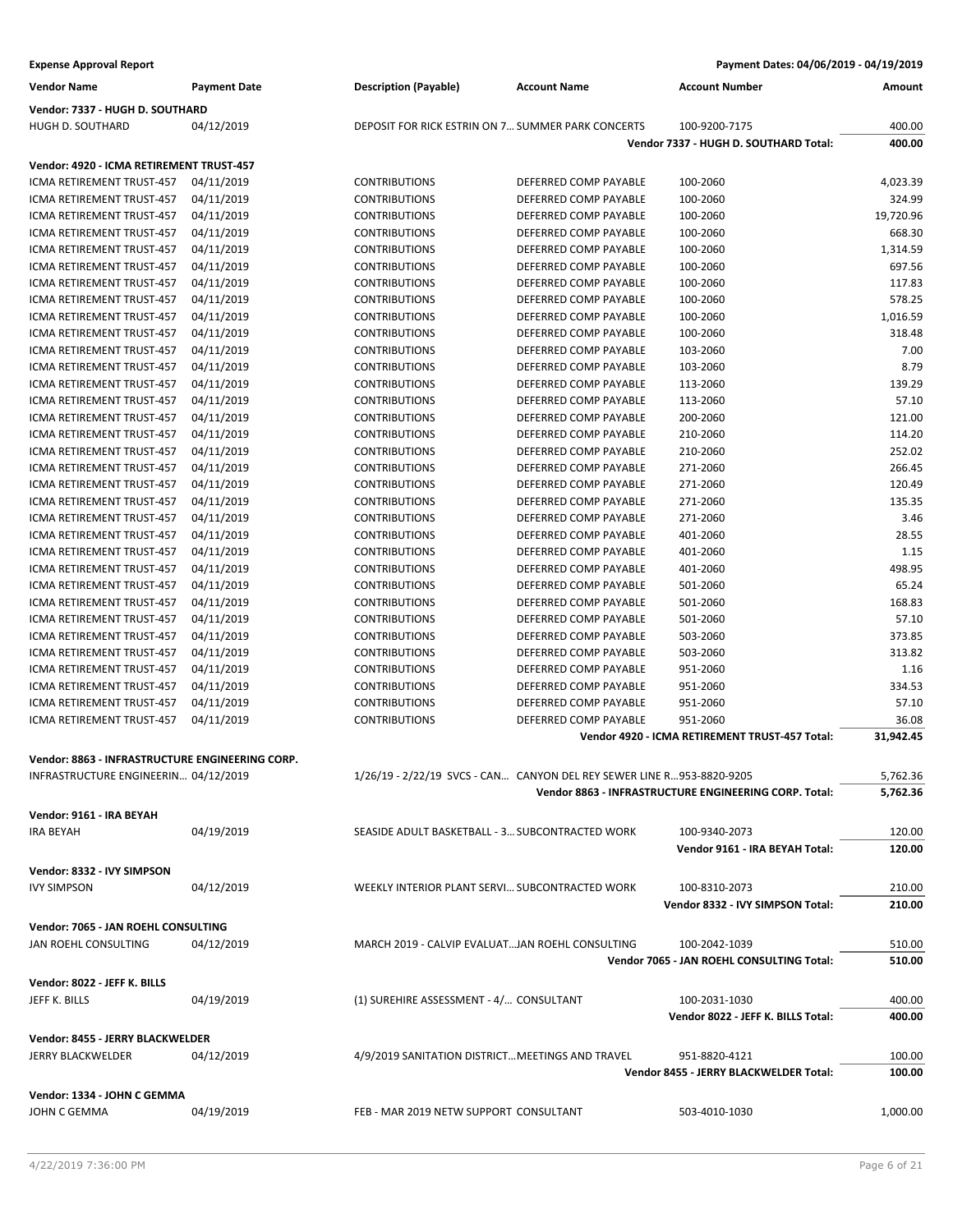| <b>Expense Approval Report</b>                         |                          |                                                                       |                                                | Payment Dates: 04/06/2019 - 04/19/2019                |                  |
|--------------------------------------------------------|--------------------------|-----------------------------------------------------------------------|------------------------------------------------|-------------------------------------------------------|------------------|
| <b>Vendor Name</b>                                     | <b>Payment Date</b>      | <b>Description (Payable)</b>                                          | <b>Account Name</b>                            | <b>Account Number</b>                                 | Amount           |
| Vendor: 7337 - HUGH D. SOUTHARD                        |                          |                                                                       |                                                |                                                       |                  |
| HUGH D. SOUTHARD                                       | 04/12/2019               | DEPOSIT FOR RICK ESTRIN ON 7 SUMMER PARK CONCERTS                     |                                                | 100-9200-7175                                         | 400.00           |
|                                                        |                          |                                                                       |                                                | Vendor 7337 - HUGH D. SOUTHARD Total:                 | 400.00           |
| Vendor: 4920 - ICMA RETIREMENT TRUST-457               |                          |                                                                       |                                                |                                                       |                  |
| ICMA RETIREMENT TRUST-457                              | 04/11/2019               | <b>CONTRIBUTIONS</b>                                                  | DEFERRED COMP PAYABLE                          | 100-2060                                              | 4,023.39         |
| ICMA RETIREMENT TRUST-457                              | 04/11/2019               | <b>CONTRIBUTIONS</b>                                                  | DEFERRED COMP PAYABLE                          | 100-2060                                              | 324.99           |
| ICMA RETIREMENT TRUST-457                              | 04/11/2019               | <b>CONTRIBUTIONS</b>                                                  | DEFERRED COMP PAYABLE                          | 100-2060                                              | 19,720.96        |
| ICMA RETIREMENT TRUST-457                              | 04/11/2019               | <b>CONTRIBUTIONS</b>                                                  | DEFERRED COMP PAYABLE                          | 100-2060                                              | 668.30           |
| ICMA RETIREMENT TRUST-457                              | 04/11/2019               | <b>CONTRIBUTIONS</b>                                                  | DEFERRED COMP PAYABLE                          | 100-2060                                              | 1,314.59         |
| ICMA RETIREMENT TRUST-457                              | 04/11/2019               | <b>CONTRIBUTIONS</b>                                                  | DEFERRED COMP PAYABLE                          | 100-2060                                              | 697.56           |
| ICMA RETIREMENT TRUST-457                              | 04/11/2019               | <b>CONTRIBUTIONS</b>                                                  | DEFERRED COMP PAYABLE                          | 100-2060                                              | 117.83           |
| ICMA RETIREMENT TRUST-457                              | 04/11/2019               | <b>CONTRIBUTIONS</b>                                                  | DEFERRED COMP PAYABLE                          | 100-2060                                              | 578.25           |
| ICMA RETIREMENT TRUST-457                              | 04/11/2019               | <b>CONTRIBUTIONS</b>                                                  | DEFERRED COMP PAYABLE                          | 100-2060                                              | 1,016.59         |
| ICMA RETIREMENT TRUST-457                              | 04/11/2019               | <b>CONTRIBUTIONS</b>                                                  | DEFERRED COMP PAYABLE                          | 100-2060                                              | 318.48           |
| ICMA RETIREMENT TRUST-457                              | 04/11/2019               | <b>CONTRIBUTIONS</b>                                                  | DEFERRED COMP PAYABLE                          | 103-2060                                              | 7.00             |
| ICMA RETIREMENT TRUST-457                              | 04/11/2019               | <b>CONTRIBUTIONS</b>                                                  | DEFERRED COMP PAYABLE                          | 103-2060                                              | 8.79             |
| ICMA RETIREMENT TRUST-457                              | 04/11/2019               | <b>CONTRIBUTIONS</b>                                                  | DEFERRED COMP PAYABLE                          | 113-2060                                              | 139.29           |
| ICMA RETIREMENT TRUST-457                              | 04/11/2019               | <b>CONTRIBUTIONS</b>                                                  | DEFERRED COMP PAYABLE                          | 113-2060                                              | 57.10            |
| ICMA RETIREMENT TRUST-457                              | 04/11/2019               | <b>CONTRIBUTIONS</b>                                                  | DEFERRED COMP PAYABLE                          | 200-2060                                              | 121.00           |
| ICMA RETIREMENT TRUST-457                              | 04/11/2019               | <b>CONTRIBUTIONS</b>                                                  | DEFERRED COMP PAYABLE                          | 210-2060                                              | 114.20           |
| ICMA RETIREMENT TRUST-457                              | 04/11/2019               | <b>CONTRIBUTIONS</b>                                                  | DEFERRED COMP PAYABLE                          | 210-2060                                              | 252.02           |
| ICMA RETIREMENT TRUST-457                              | 04/11/2019               | <b>CONTRIBUTIONS</b>                                                  | DEFERRED COMP PAYABLE                          | 271-2060                                              | 266.45           |
| ICMA RETIREMENT TRUST-457                              | 04/11/2019               | <b>CONTRIBUTIONS</b>                                                  | DEFERRED COMP PAYABLE                          | 271-2060                                              | 120.49           |
| ICMA RETIREMENT TRUST-457                              | 04/11/2019               | <b>CONTRIBUTIONS</b>                                                  | DEFERRED COMP PAYABLE                          | 271-2060                                              | 135.35           |
| ICMA RETIREMENT TRUST-457                              | 04/11/2019               | <b>CONTRIBUTIONS</b>                                                  | DEFERRED COMP PAYABLE                          | 271-2060                                              | 3.46             |
| ICMA RETIREMENT TRUST-457                              | 04/11/2019               | <b>CONTRIBUTIONS</b>                                                  | DEFERRED COMP PAYABLE                          | 401-2060                                              | 28.55            |
| ICMA RETIREMENT TRUST-457                              | 04/11/2019               | <b>CONTRIBUTIONS</b>                                                  | DEFERRED COMP PAYABLE                          | 401-2060                                              | 1.15             |
| ICMA RETIREMENT TRUST-457                              | 04/11/2019               | <b>CONTRIBUTIONS</b>                                                  | DEFERRED COMP PAYABLE                          | 401-2060                                              | 498.95           |
| ICMA RETIREMENT TRUST-457                              | 04/11/2019               | <b>CONTRIBUTIONS</b>                                                  | DEFERRED COMP PAYABLE                          | 501-2060                                              | 65.24            |
| ICMA RETIREMENT TRUST-457                              | 04/11/2019               | <b>CONTRIBUTIONS</b>                                                  | DEFERRED COMP PAYABLE                          | 501-2060                                              | 168.83           |
| ICMA RETIREMENT TRUST-457                              | 04/11/2019               | <b>CONTRIBUTIONS</b>                                                  | DEFERRED COMP PAYABLE                          | 501-2060                                              | 57.10            |
| ICMA RETIREMENT TRUST-457<br>ICMA RETIREMENT TRUST-457 | 04/11/2019               | <b>CONTRIBUTIONS</b><br><b>CONTRIBUTIONS</b>                          | DEFERRED COMP PAYABLE<br>DEFERRED COMP PAYABLE | 503-2060<br>503-2060                                  | 373.85<br>313.82 |
| ICMA RETIREMENT TRUST-457                              | 04/11/2019<br>04/11/2019 | <b>CONTRIBUTIONS</b>                                                  | DEFERRED COMP PAYABLE                          | 951-2060                                              | 1.16             |
| ICMA RETIREMENT TRUST-457                              | 04/11/2019               | <b>CONTRIBUTIONS</b>                                                  | DEFERRED COMP PAYABLE                          | 951-2060                                              | 334.53           |
| ICMA RETIREMENT TRUST-457                              | 04/11/2019               | <b>CONTRIBUTIONS</b>                                                  | DEFERRED COMP PAYABLE                          | 951-2060                                              | 57.10            |
| ICMA RETIREMENT TRUST-457                              | 04/11/2019               | <b>CONTRIBUTIONS</b>                                                  | DEFERRED COMP PAYABLE                          | 951-2060                                              | 36.08            |
|                                                        |                          |                                                                       |                                                | Vendor 4920 - ICMA RETIREMENT TRUST-457 Total:        | 31,942.45        |
|                                                        |                          |                                                                       |                                                |                                                       |                  |
| Vendor: 8863 - INFRASTRUCTURE ENGINEERING CORP.        |                          |                                                                       |                                                |                                                       | 5,762.36         |
| INFRASTRUCTURE ENGINEERIN 04/12/2019                   |                          | 1/26/19 - 2/22/19 SVCS - CAN CANYON DEL REY SEWER LINE R953-8820-9205 |                                                | Vendor 8863 - INFRASTRUCTURE ENGINEERING CORP. Total: | 5,762.36         |
|                                                        |                          |                                                                       |                                                |                                                       |                  |
| Vendor: 9161 - IRA BEYAH                               |                          |                                                                       |                                                |                                                       |                  |
| <b>IRA BEYAH</b>                                       | 04/19/2019               | SEASIDE ADULT BASKETBALL - 3 SUBCONTRACTED WORK                       |                                                | 100-9340-2073                                         | 120.00           |
|                                                        |                          |                                                                       |                                                | Vendor 9161 - IRA BEYAH Total:                        | 120.00           |
| Vendor: 8332 - IVY SIMPSON                             |                          |                                                                       |                                                |                                                       |                  |
| <b>IVY SIMPSON</b>                                     | 04/12/2019               | WEEKLY INTERIOR PLANT SERVI SUBCONTRACTED WORK                        |                                                | 100-8310-2073                                         | 210.00           |
|                                                        |                          |                                                                       |                                                | Vendor 8332 - IVY SIMPSON Total:                      | 210.00           |
| Vendor: 7065 - JAN ROEHL CONSULTING                    |                          |                                                                       |                                                |                                                       |                  |
| JAN ROEHL CONSULTING                                   | 04/12/2019               | MARCH 2019 - CALVIP EVALUATJAN ROEHL CONSULTING                       |                                                | 100-2042-1039                                         | 510.00           |
|                                                        |                          |                                                                       |                                                | Vendor 7065 - JAN ROEHL CONSULTING Total:             | 510.00           |
| Vendor: 8022 - JEFF K. BILLS                           |                          |                                                                       |                                                |                                                       |                  |
| JEFF K. BILLS                                          | 04/19/2019               | (1) SUREHIRE ASSESSMENT - 4/ CONSULTANT                               |                                                | 100-2031-1030                                         | 400.00           |
|                                                        |                          |                                                                       |                                                | Vendor 8022 - JEFF K. BILLS Total:                    | 400.00           |
|                                                        |                          |                                                                       |                                                |                                                       |                  |
| Vendor: 8455 - JERRY BLACKWELDER                       |                          |                                                                       |                                                |                                                       |                  |
| <b>JERRY BLACKWELDER</b>                               | 04/12/2019               | 4/9/2019 SANITATION DISTRICT MEETINGS AND TRAVEL                      |                                                | 951-8820-4121                                         | 100.00           |
|                                                        |                          |                                                                       |                                                | Vendor 8455 - JERRY BLACKWELDER Total:                | 100.00           |
| Vendor: 1334 - JOHN C GEMMA                            |                          |                                                                       |                                                |                                                       |                  |
| JOHN C GEMMA                                           | 04/19/2019               | FEB - MAR 2019 NETW SUPPORT CONSULTANT                                |                                                | 503-4010-1030                                         | 1,000.00         |
|                                                        |                          |                                                                       |                                                |                                                       |                  |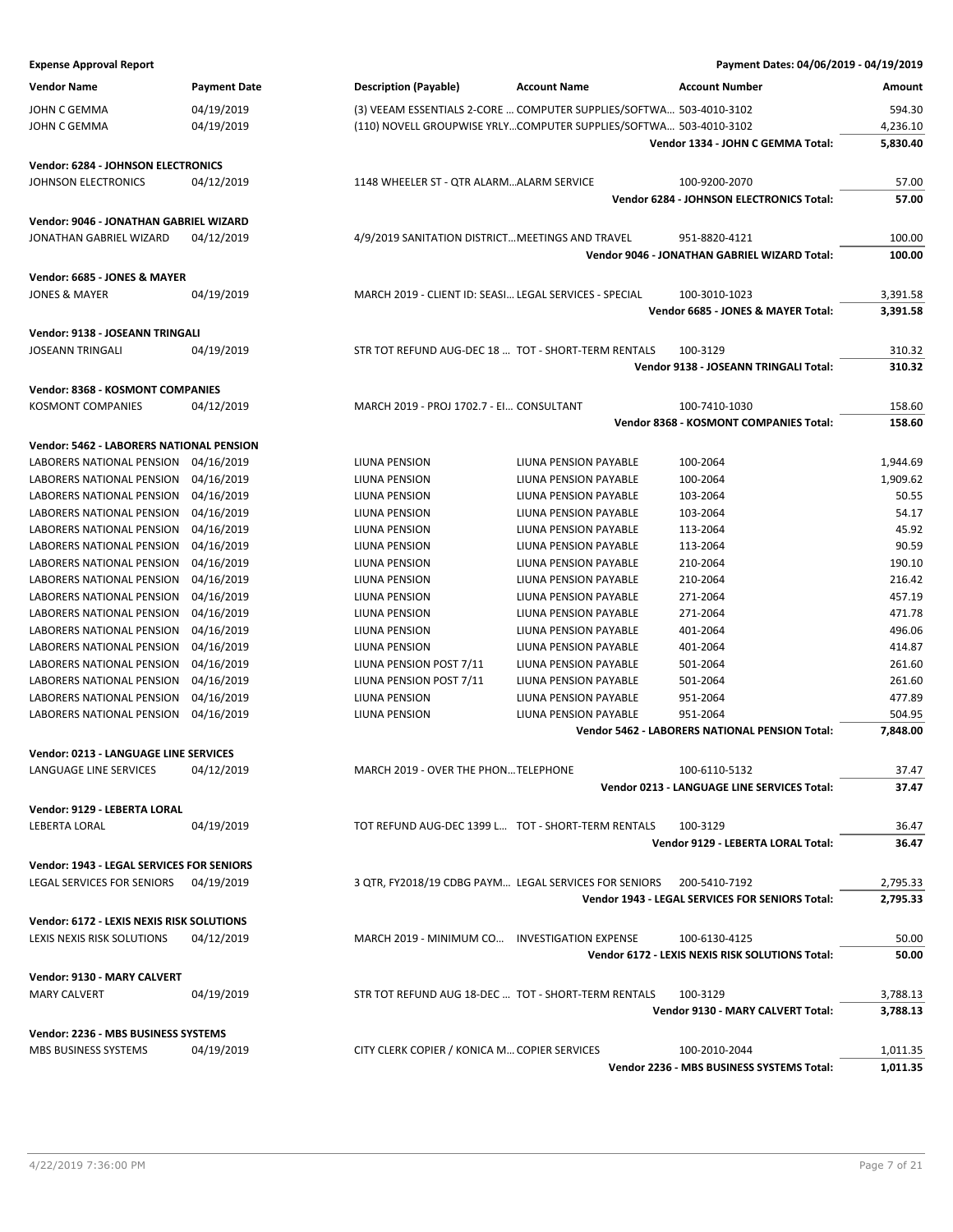| <b>Expense Approval Report</b>                  |                     |                                                        |                                                                     | Payment Dates: 04/06/2019 - 04/19/2019                 |                |
|-------------------------------------------------|---------------------|--------------------------------------------------------|---------------------------------------------------------------------|--------------------------------------------------------|----------------|
| <b>Vendor Name</b>                              | <b>Payment Date</b> | <b>Description (Payable)</b>                           | <b>Account Name</b>                                                 | <b>Account Number</b>                                  | Amount         |
| JOHN C GEMMA                                    | 04/19/2019          |                                                        | (3) VEEAM ESSENTIALS 2-CORE  COMPUTER SUPPLIES/SOFTWA 503-4010-3102 |                                                        | 594.30         |
| JOHN C GEMMA                                    | 04/19/2019          |                                                        | (110) NOVELL GROUPWISE YRLYCOMPUTER SUPPLIES/SOFTWA 503-4010-3102   |                                                        | 4,236.10       |
|                                                 |                     |                                                        |                                                                     | Vendor 1334 - JOHN C GEMMA Total:                      | 5,830.40       |
|                                                 |                     |                                                        |                                                                     |                                                        |                |
| Vendor: 6284 - JOHNSON ELECTRONICS              |                     | 1148 WHEELER ST - QTR ALARMALARM SERVICE               |                                                                     | 100-9200-2070                                          |                |
| JOHNSON ELECTRONICS                             | 04/12/2019          |                                                        |                                                                     | Vendor 6284 - JOHNSON ELECTRONICS Total:               | 57.00<br>57.00 |
|                                                 |                     |                                                        |                                                                     |                                                        |                |
| Vendor: 9046 - JONATHAN GABRIEL WIZARD          |                     |                                                        |                                                                     |                                                        |                |
| JONATHAN GABRIEL WIZARD                         | 04/12/2019          | 4/9/2019 SANITATION DISTRICT MEETINGS AND TRAVEL       |                                                                     | 951-8820-4121                                          | 100.00         |
|                                                 |                     |                                                        |                                                                     | Vendor 9046 - JONATHAN GABRIEL WIZARD Total:           | 100.00         |
| Vendor: 6685 - JONES & MAYER                    |                     |                                                        |                                                                     |                                                        |                |
| <b>JONES &amp; MAYER</b>                        | 04/19/2019          | MARCH 2019 - CLIENT ID: SEASI LEGAL SERVICES - SPECIAL |                                                                     | 100-3010-1023                                          | 3,391.58       |
|                                                 |                     |                                                        |                                                                     | Vendor 6685 - JONES & MAYER Total:                     | 3,391.58       |
| Vendor: 9138 - JOSEANN TRINGALI                 |                     |                                                        |                                                                     |                                                        |                |
| <b>JOSEANN TRINGALI</b>                         | 04/19/2019          | STR TOT REFUND AUG-DEC 18  TOT - SHORT-TERM RENTALS    |                                                                     | 100-3129                                               | 310.32         |
|                                                 |                     |                                                        |                                                                     | Vendor 9138 - JOSEANN TRINGALI Total:                  | 310.32         |
| Vendor: 8368 - KOSMONT COMPANIES                |                     |                                                        |                                                                     |                                                        |                |
| KOSMONT COMPANIES                               | 04/12/2019          | MARCH 2019 - PROJ 1702.7 - EI CONSULTANT               |                                                                     | 100-7410-1030                                          | 158.60         |
|                                                 |                     |                                                        |                                                                     | Vendor 8368 - KOSMONT COMPANIES Total:                 | 158.60         |
| <b>Vendor: 5462 - LABORERS NATIONAL PENSION</b> |                     |                                                        |                                                                     |                                                        |                |
| LABORERS NATIONAL PENSION                       | 04/16/2019          | LIUNA PENSION                                          | LIUNA PENSION PAYABLE                                               | 100-2064                                               | 1,944.69       |
| LABORERS NATIONAL PENSION                       | 04/16/2019          | LIUNA PENSION                                          | <b>LIUNA PENSION PAYABLE</b>                                        | 100-2064                                               | 1,909.62       |
| LABORERS NATIONAL PENSION                       | 04/16/2019          | LIUNA PENSION                                          | LIUNA PENSION PAYABLE                                               | 103-2064                                               | 50.55          |
| LABORERS NATIONAL PENSION                       | 04/16/2019          | LIUNA PENSION                                          | LIUNA PENSION PAYABLE                                               | 103-2064                                               | 54.17          |
| LABORERS NATIONAL PENSION                       | 04/16/2019          | LIUNA PENSION                                          | LIUNA PENSION PAYABLE                                               | 113-2064                                               | 45.92          |
| LABORERS NATIONAL PENSION                       | 04/16/2019          | LIUNA PENSION                                          | LIUNA PENSION PAYABLE                                               | 113-2064                                               | 90.59          |
| LABORERS NATIONAL PENSION                       | 04/16/2019          | LIUNA PENSION                                          | LIUNA PENSION PAYABLE                                               | 210-2064                                               | 190.10         |
| LABORERS NATIONAL PENSION                       | 04/16/2019          | LIUNA PENSION                                          | LIUNA PENSION PAYABLE                                               | 210-2064                                               | 216.42         |
| LABORERS NATIONAL PENSION                       | 04/16/2019          | LIUNA PENSION                                          | LIUNA PENSION PAYABLE                                               | 271-2064                                               | 457.19         |
| LABORERS NATIONAL PENSION                       | 04/16/2019          | LIUNA PENSION                                          | LIUNA PENSION PAYABLE                                               | 271-2064                                               | 471.78         |
| LABORERS NATIONAL PENSION                       | 04/16/2019          | LIUNA PENSION                                          | LIUNA PENSION PAYABLE                                               | 401-2064                                               | 496.06         |
| LABORERS NATIONAL PENSION                       | 04/16/2019          | LIUNA PENSION                                          | LIUNA PENSION PAYABLE                                               | 401-2064                                               | 414.87         |
| LABORERS NATIONAL PENSION                       | 04/16/2019          | LIUNA PENSION POST 7/11                                | LIUNA PENSION PAYABLE                                               | 501-2064                                               | 261.60         |
| LABORERS NATIONAL PENSION                       | 04/16/2019          | LIUNA PENSION POST 7/11                                | <b>LIUNA PENSION PAYABLE</b>                                        | 501-2064                                               | 261.60         |
| LABORERS NATIONAL PENSION                       | 04/16/2019          | LIUNA PENSION                                          | LIUNA PENSION PAYABLE                                               | 951-2064                                               | 477.89         |
| LABORERS NATIONAL PENSION                       | 04/16/2019          | LIUNA PENSION                                          | LIUNA PENSION PAYABLE                                               | 951-2064                                               | 504.95         |
|                                                 |                     |                                                        |                                                                     | Vendor 5462 - LABORERS NATIONAL PENSION Total:         | 7,848.00       |
| Vendor: 0213 - LANGUAGE LINE SERVICES           |                     |                                                        |                                                                     |                                                        |                |
| LANGUAGE LINE SERVICES                          | 04/12/2019          | MARCH 2019 - OVER THE PHONTELEPHONE                    |                                                                     | 100-6110-5132                                          | 37.47          |
|                                                 |                     |                                                        |                                                                     | Vendor 0213 - LANGUAGE LINE SERVICES Total:            | 37.47          |
| Vendor: 9129 - LEBERTA LORAL                    |                     |                                                        |                                                                     |                                                        |                |
| LEBERTA LORAL                                   | 04/19/2019          | TOT REFUND AUG-DEC 1399 L TOT - SHORT-TERM RENTALS     |                                                                     | 100-3129                                               | 36.47          |
|                                                 |                     |                                                        |                                                                     | Vendor 9129 - LEBERTA LORAL Total:                     | 36.47          |
| Vendor: 1943 - LEGAL SERVICES FOR SENIORS       |                     |                                                        |                                                                     |                                                        |                |
| LEGAL SERVICES FOR SENIORS                      | 04/19/2019          | 3 QTR, FY2018/19 CDBG PAYM LEGAL SERVICES FOR SENIORS  |                                                                     | 200-5410-7192                                          | 2,795.33       |
|                                                 |                     |                                                        |                                                                     | <b>Vendor 1943 - LEGAL SERVICES FOR SENIORS Total:</b> | 2,795.33       |
|                                                 |                     |                                                        |                                                                     |                                                        |                |
| Vendor: 6172 - LEXIS NEXIS RISK SOLUTIONS       |                     |                                                        |                                                                     |                                                        |                |
| LEXIS NEXIS RISK SOLUTIONS                      | 04/12/2019          | MARCH 2019 - MINIMUM CO INVESTIGATION EXPENSE          |                                                                     | 100-6130-4125                                          | 50.00          |
|                                                 |                     |                                                        |                                                                     | Vendor 6172 - LEXIS NEXIS RISK SOLUTIONS Total:        | 50.00          |
| Vendor: 9130 - MARY CALVERT                     |                     |                                                        |                                                                     |                                                        |                |
| <b>MARY CALVERT</b>                             | 04/19/2019          | STR TOT REFUND AUG 18-DEC  TOT - SHORT-TERM RENTALS    |                                                                     | 100-3129                                               | 3,788.13       |
|                                                 |                     |                                                        |                                                                     | Vendor 9130 - MARY CALVERT Total:                      | 3,788.13       |
| Vendor: 2236 - MBS BUSINESS SYSTEMS             |                     |                                                        |                                                                     |                                                        |                |
| MBS BUSINESS SYSTEMS                            | 04/19/2019          | CITY CLERK COPIER / KONICA M COPIER SERVICES           |                                                                     | 100-2010-2044                                          | 1,011.35       |
|                                                 |                     |                                                        |                                                                     | Vendor 2236 - MBS BUSINESS SYSTEMS Total:              | 1,011.35       |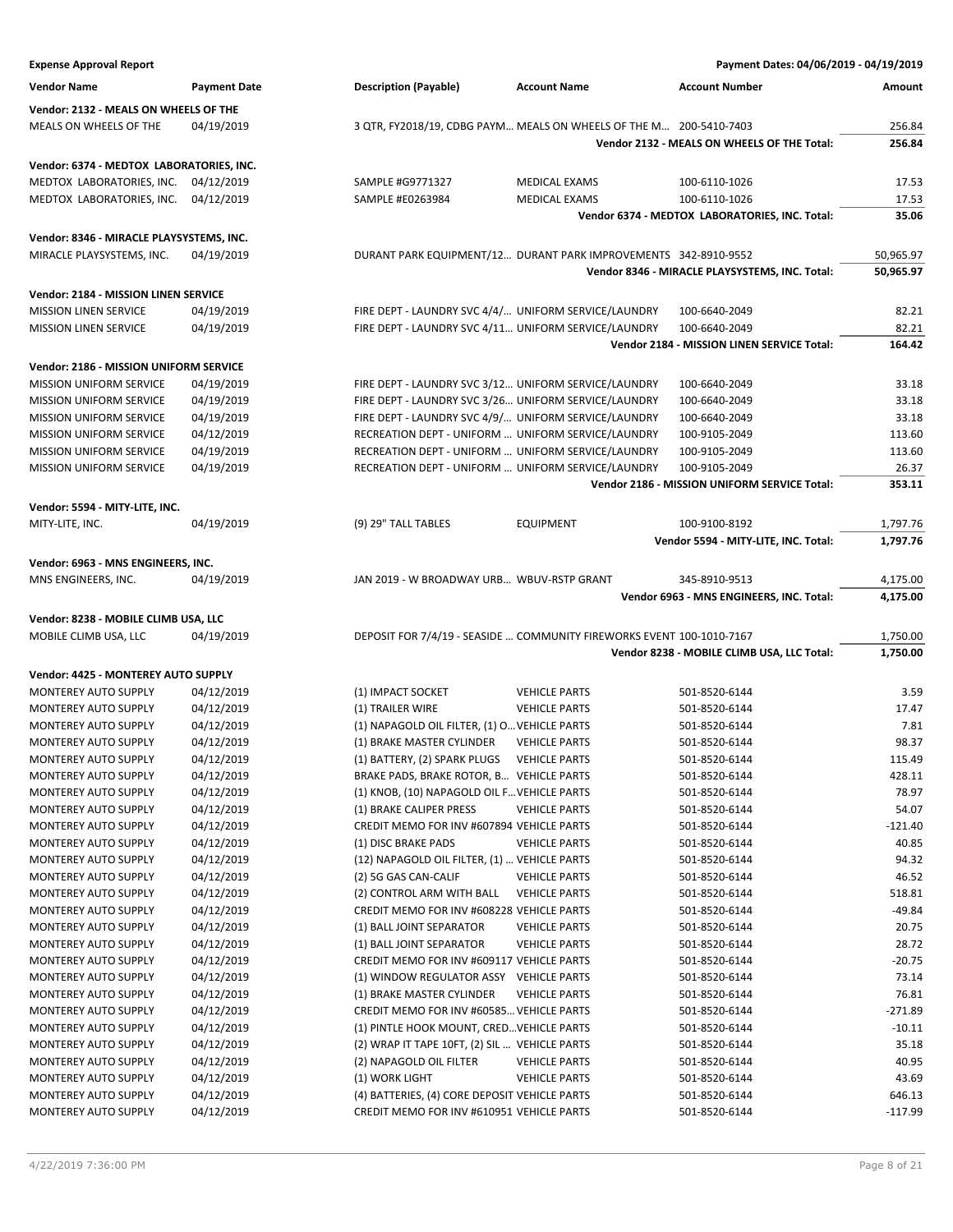| <b>Expense Approval Report</b>           |                     |                                                                                                              |                      | Payment Dates: 04/06/2019 - 04/19/2019         |                |
|------------------------------------------|---------------------|--------------------------------------------------------------------------------------------------------------|----------------------|------------------------------------------------|----------------|
| <b>Vendor Name</b>                       | <b>Payment Date</b> | <b>Description (Payable)</b>                                                                                 | <b>Account Name</b>  | <b>Account Number</b>                          | Amount         |
| Vendor: 2132 - MEALS ON WHEELS OF THE    |                     |                                                                                                              |                      |                                                |                |
| MEALS ON WHEELS OF THE                   | 04/19/2019          | 3 QTR, FY2018/19, CDBG PAYM MEALS ON WHEELS OF THE M 200-5410-7403                                           |                      |                                                | 256.84         |
|                                          |                     |                                                                                                              |                      | Vendor 2132 - MEALS ON WHEELS OF THE Total:    | 256.84         |
| Vendor: 6374 - MEDTOX LABORATORIES, INC. |                     |                                                                                                              |                      |                                                |                |
| MEDTOX LABORATORIES, INC.                | 04/12/2019          | SAMPLE #G9771327                                                                                             | MEDICAL EXAMS        | 100-6110-1026                                  | 17.53          |
| MEDTOX LABORATORIES, INC.                | 04/12/2019          | SAMPLE #E0263984                                                                                             | MEDICAL EXAMS        | 100-6110-1026                                  | 17.53          |
|                                          |                     |                                                                                                              |                      | Vendor 6374 - MEDTOX LABORATORIES, INC. Total: | 35.06          |
| Vendor: 8346 - MIRACLE PLAYSYSTEMS, INC. |                     |                                                                                                              |                      |                                                |                |
| MIRACLE PLAYSYSTEMS, INC.                | 04/19/2019          | DURANT PARK EQUIPMENT/12 DURANT PARK IMPROVEMENTS 342-8910-9552                                              |                      |                                                | 50,965.97      |
|                                          |                     |                                                                                                              |                      | Vendor 8346 - MIRACLE PLAYSYSTEMS, INC. Total: | 50,965.97      |
|                                          |                     |                                                                                                              |                      |                                                |                |
| Vendor: 2184 - MISSION LINEN SERVICE     |                     |                                                                                                              |                      |                                                |                |
| <b>MISSION LINEN SERVICE</b>             | 04/19/2019          | FIRE DEPT - LAUNDRY SVC 4/4/ UNIFORM SERVICE/LAUNDRY<br>FIRE DEPT - LAUNDRY SVC 4/11 UNIFORM SERVICE/LAUNDRY |                      | 100-6640-2049<br>100-6640-2049                 | 82.21<br>82.21 |
| <b>MISSION LINEN SERVICE</b>             | 04/19/2019          |                                                                                                              |                      | Vendor 2184 - MISSION LINEN SERVICE Total:     | 164.42         |
|                                          |                     |                                                                                                              |                      |                                                |                |
| Vendor: 2186 - MISSION UNIFORM SERVICE   |                     |                                                                                                              |                      |                                                |                |
| <b>MISSION UNIFORM SERVICE</b>           | 04/19/2019          | FIRE DEPT - LAUNDRY SVC 3/12 UNIFORM SERVICE/LAUNDRY                                                         |                      | 100-6640-2049                                  | 33.18          |
| <b>MISSION UNIFORM SERVICE</b>           | 04/19/2019          | FIRE DEPT - LAUNDRY SVC 3/26 UNIFORM SERVICE/LAUNDRY                                                         |                      | 100-6640-2049                                  | 33.18          |
| <b>MISSION UNIFORM SERVICE</b>           | 04/19/2019          | FIRE DEPT - LAUNDRY SVC 4/9/ UNIFORM SERVICE/LAUNDRY                                                         |                      | 100-6640-2049                                  | 33.18          |
| <b>MISSION UNIFORM SERVICE</b>           | 04/12/2019          | RECREATION DEPT - UNIFORM  UNIFORM SERVICE/LAUNDRY                                                           |                      | 100-9105-2049                                  | 113.60         |
| MISSION UNIFORM SERVICE                  | 04/19/2019          | RECREATION DEPT - UNIFORM  UNIFORM SERVICE/LAUNDRY                                                           |                      | 100-9105-2049                                  | 113.60         |
| MISSION UNIFORM SERVICE                  | 04/19/2019          | RECREATION DEPT - UNIFORM  UNIFORM SERVICE/LAUNDRY                                                           |                      | 100-9105-2049                                  | 26.37          |
|                                          |                     |                                                                                                              |                      | Vendor 2186 - MISSION UNIFORM SERVICE Total:   | 353.11         |
| Vendor: 5594 - MITY-LITE, INC.           |                     |                                                                                                              |                      |                                                |                |
| MITY-LITE, INC.                          | 04/19/2019          | (9) 29" TALL TABLES                                                                                          | <b>EQUIPMENT</b>     | 100-9100-8192                                  | 1,797.76       |
|                                          |                     |                                                                                                              |                      | Vendor 5594 - MITY-LITE, INC. Total:           | 1,797.76       |
| Vendor: 6963 - MNS ENGINEERS, INC.       |                     |                                                                                                              |                      |                                                |                |
| MNS ENGINEERS, INC.                      | 04/19/2019          | JAN 2019 - W BROADWAY URB WBUV-RSTP GRANT                                                                    |                      | 345-8910-9513                                  | 4,175.00       |
|                                          |                     |                                                                                                              |                      | Vendor 6963 - MNS ENGINEERS, INC. Total:       | 4,175.00       |
| Vendor: 8238 - MOBILE CLIMB USA, LLC     |                     |                                                                                                              |                      |                                                |                |
| MOBILE CLIMB USA, LLC                    | 04/19/2019          | DEPOSIT FOR 7/4/19 - SEASIDE  COMMUNITY FIREWORKS EVENT 100-1010-7167                                        |                      |                                                | 1,750.00       |
|                                          |                     |                                                                                                              |                      | Vendor 8238 - MOBILE CLIMB USA, LLC Total:     | 1,750.00       |
| Vendor: 4425 - MONTEREY AUTO SUPPLY      |                     |                                                                                                              |                      |                                                |                |
| MONTEREY AUTO SUPPLY                     | 04/12/2019          | (1) IMPACT SOCKET                                                                                            | <b>VEHICLE PARTS</b> | 501-8520-6144                                  | 3.59           |
| MONTEREY AUTO SUPPLY                     | 04/12/2019          | (1) TRAILER WIRE                                                                                             | <b>VEHICLE PARTS</b> | 501-8520-6144                                  | 17.47          |
| MONTEREY AUTO SUPPLY                     | 04/12/2019          | (1) NAPAGOLD OIL FILTER, (1) O VEHICLE PARTS                                                                 |                      | 501-8520-6144                                  | 7.81           |
| MONTEREY AUTO SUPPLY                     | 04/12/2019          | (1) BRAKE MASTER CYLINDER                                                                                    | <b>VEHICLE PARTS</b> | 501-8520-6144                                  | 98.37          |
| <b>MONTEREY AUTO SUPPLY</b>              | 04/12/2019          | (1) BATTERY, (2) SPARK PLUGS VEHICLE PARTS                                                                   |                      | 501-8520-6144                                  | 115.49         |
| MONTEREY AUTO SUPPLY                     | 04/12/2019          | BRAKE PADS, BRAKE ROTOR, B VEHICLE PARTS                                                                     |                      | 501-8520-6144                                  | 428.11         |
| MONTEREY AUTO SUPPLY                     | 04/12/2019          | (1) KNOB, (10) NAPAGOLD OIL F VEHICLE PARTS                                                                  |                      | 501-8520-6144                                  | 78.97          |
| MONTEREY AUTO SUPPLY                     | 04/12/2019          | (1) BRAKE CALIPER PRESS                                                                                      | <b>VEHICLE PARTS</b> | 501-8520-6144                                  | 54.07          |
| <b>MONTEREY AUTO SUPPLY</b>              | 04/12/2019          | CREDIT MEMO FOR INV #607894 VEHICLE PARTS                                                                    |                      | 501-8520-6144                                  | $-121.40$      |
| MONTEREY AUTO SUPPLY                     | 04/12/2019          | (1) DISC BRAKE PADS                                                                                          | <b>VEHICLE PARTS</b> | 501-8520-6144                                  | 40.85          |
| MONTEREY AUTO SUPPLY                     | 04/12/2019          | (12) NAPAGOLD OIL FILTER, (1)  VEHICLE PARTS                                                                 |                      | 501-8520-6144                                  | 94.32          |
| MONTEREY AUTO SUPPLY                     | 04/12/2019          | (2) 5G GAS CAN-CALIF                                                                                         | <b>VEHICLE PARTS</b> | 501-8520-6144                                  | 46.52          |
| MONTEREY AUTO SUPPLY                     | 04/12/2019          | (2) CONTROL ARM WITH BALL                                                                                    | <b>VEHICLE PARTS</b> | 501-8520-6144                                  | 518.81         |
| MONTEREY AUTO SUPPLY                     | 04/12/2019          | CREDIT MEMO FOR INV #608228 VEHICLE PARTS                                                                    |                      | 501-8520-6144                                  | $-49.84$       |
| MONTEREY AUTO SUPPLY                     | 04/12/2019          | (1) BALL JOINT SEPARATOR                                                                                     | <b>VEHICLE PARTS</b> | 501-8520-6144                                  | 20.75          |
| MONTEREY AUTO SUPPLY                     | 04/12/2019          | (1) BALL JOINT SEPARATOR                                                                                     | <b>VEHICLE PARTS</b> | 501-8520-6144                                  | 28.72          |
| MONTEREY AUTO SUPPLY                     | 04/12/2019          | CREDIT MEMO FOR INV #609117 VEHICLE PARTS                                                                    |                      | 501-8520-6144                                  | $-20.75$       |
| <b>MONTEREY AUTO SUPPLY</b>              | 04/12/2019          | (1) WINDOW REGULATOR ASSY VEHICLE PARTS                                                                      |                      | 501-8520-6144                                  | 73.14          |
| <b>MONTEREY AUTO SUPPLY</b>              | 04/12/2019          | (1) BRAKE MASTER CYLINDER                                                                                    | <b>VEHICLE PARTS</b> | 501-8520-6144                                  | 76.81          |
| MONTEREY AUTO SUPPLY                     | 04/12/2019          | CREDIT MEMO FOR INV #60585 VEHICLE PARTS                                                                     |                      | 501-8520-6144                                  | $-271.89$      |
| MONTEREY AUTO SUPPLY                     | 04/12/2019          | (1) PINTLE HOOK MOUNT, CRED VEHICLE PARTS                                                                    |                      | 501-8520-6144                                  | $-10.11$       |
| MONTEREY AUTO SUPPLY                     | 04/12/2019          | (2) WRAP IT TAPE 10FT, (2) SIL  VEHICLE PARTS                                                                |                      | 501-8520-6144                                  | 35.18          |
| <b>MONTEREY AUTO SUPPLY</b>              | 04/12/2019          | (2) NAPAGOLD OIL FILTER                                                                                      | <b>VEHICLE PARTS</b> | 501-8520-6144                                  | 40.95          |
| MONTEREY AUTO SUPPLY                     | 04/12/2019          | (1) WORK LIGHT                                                                                               | <b>VEHICLE PARTS</b> | 501-8520-6144                                  | 43.69          |
| MONTEREY AUTO SUPPLY                     | 04/12/2019          | (4) BATTERIES, (4) CORE DEPOSIT VEHICLE PARTS                                                                |                      | 501-8520-6144                                  | 646.13         |
| MONTEREY AUTO SUPPLY                     | 04/12/2019          | CREDIT MEMO FOR INV #610951 VEHICLE PARTS                                                                    |                      | 501-8520-6144                                  | $-117.99$      |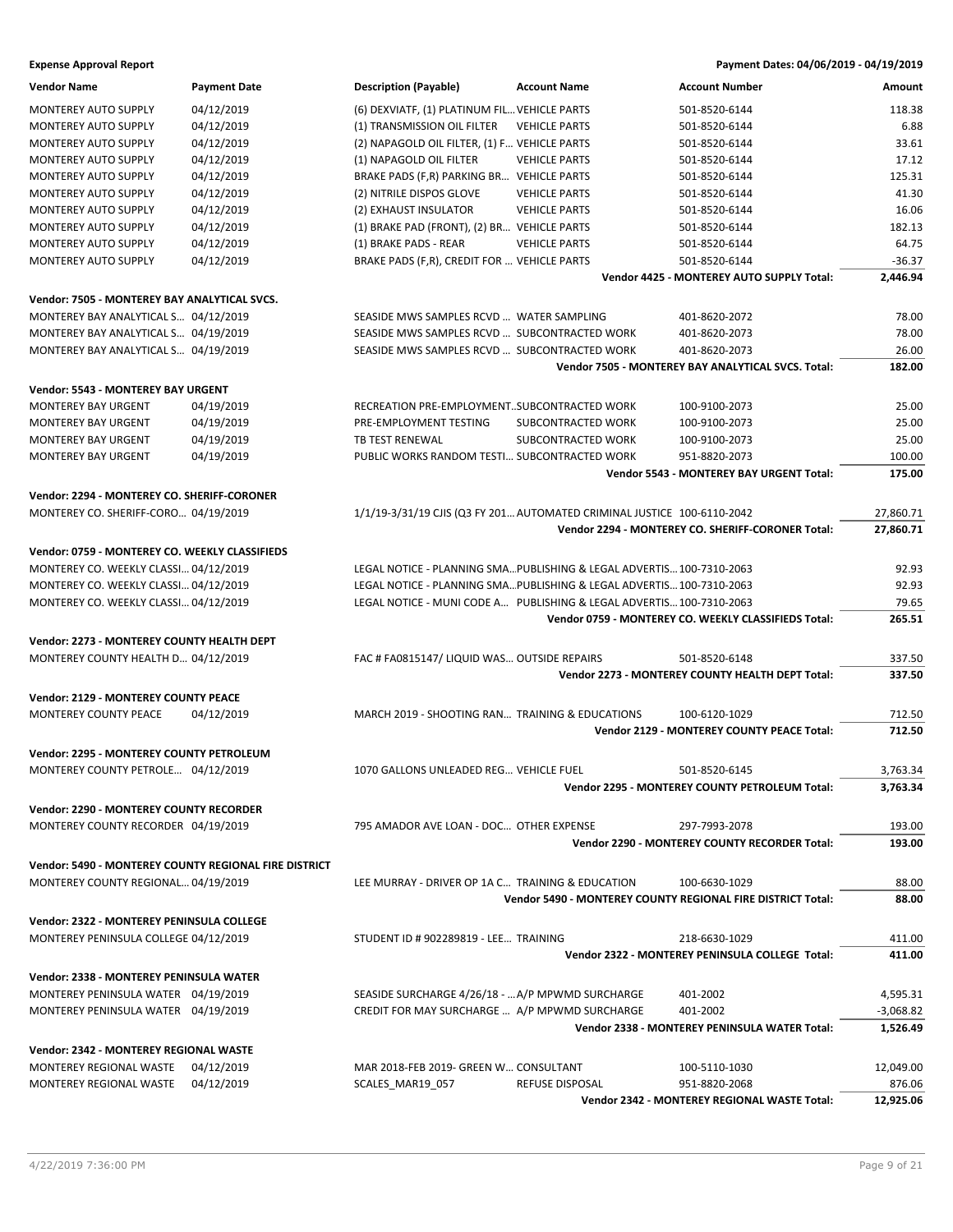**Expense Approval Report Payment Dates: 04/06/2019 - 04/19/2019**

| <b>Vendor Name</b>                                    | <b>Payment Date</b> | Description (Payable)                                                   | <b>Account Name</b>  | <b>Account Number</b>                                       | Amount      |
|-------------------------------------------------------|---------------------|-------------------------------------------------------------------------|----------------------|-------------------------------------------------------------|-------------|
| <b>MONTEREY AUTO SUPPLY</b>                           | 04/12/2019          | (6) DEXVIATF, (1) PLATINUM FIL VEHICLE PARTS                            |                      | 501-8520-6144                                               | 118.38      |
| <b>MONTEREY AUTO SUPPLY</b>                           | 04/12/2019          | (1) TRANSMISSION OIL FILTER                                             | <b>VEHICLE PARTS</b> | 501-8520-6144                                               | 6.88        |
| <b>MONTEREY AUTO SUPPLY</b>                           | 04/12/2019          | (2) NAPAGOLD OIL FILTER, (1) F VEHICLE PARTS                            |                      | 501-8520-6144                                               | 33.61       |
| <b>MONTEREY AUTO SUPPLY</b>                           | 04/12/2019          | (1) NAPAGOLD OIL FILTER                                                 | <b>VEHICLE PARTS</b> | 501-8520-6144                                               | 17.12       |
| MONTEREY AUTO SUPPLY                                  | 04/12/2019          | BRAKE PADS (F,R) PARKING BR VEHICLE PARTS                               |                      | 501-8520-6144                                               | 125.31      |
| MONTEREY AUTO SUPPLY                                  | 04/12/2019          | (2) NITRILE DISPOS GLOVE                                                | <b>VEHICLE PARTS</b> | 501-8520-6144                                               | 41.30       |
| MONTEREY AUTO SUPPLY                                  | 04/12/2019          | (2) EXHAUST INSULATOR                                                   | <b>VEHICLE PARTS</b> | 501-8520-6144                                               | 16.06       |
| <b>MONTEREY AUTO SUPPLY</b>                           | 04/12/2019          | (1) BRAKE PAD (FRONT), (2) BR VEHICLE PARTS                             |                      | 501-8520-6144                                               | 182.13      |
| MONTEREY AUTO SUPPLY                                  | 04/12/2019          | (1) BRAKE PADS - REAR                                                   | <b>VEHICLE PARTS</b> | 501-8520-6144                                               | 64.75       |
| MONTEREY AUTO SUPPLY                                  | 04/12/2019          | BRAKE PADS (F,R), CREDIT FOR  VEHICLE PARTS                             |                      | 501-8520-6144                                               | $-36.37$    |
|                                                       |                     |                                                                         |                      | Vendor 4425 - MONTEREY AUTO SUPPLY Total:                   | 2,446.94    |
| Vendor: 7505 - MONTEREY BAY ANALYTICAL SVCS.          |                     |                                                                         |                      |                                                             |             |
| MONTEREY BAY ANALYTICAL S 04/12/2019                  |                     | SEASIDE MWS SAMPLES RCVD  WATER SAMPLING                                |                      | 401-8620-2072                                               | 78.00       |
| MONTEREY BAY ANALYTICAL S 04/19/2019                  |                     | SEASIDE MWS SAMPLES RCVD  SUBCONTRACTED WORK                            |                      | 401-8620-2073                                               | 78.00       |
| MONTEREY BAY ANALYTICAL S 04/19/2019                  |                     | SEASIDE MWS SAMPLES RCVD  SUBCONTRACTED WORK                            |                      | 401-8620-2073                                               | 26.00       |
|                                                       |                     |                                                                         |                      | Vendor 7505 - MONTEREY BAY ANALYTICAL SVCS. Total:          | 182.00      |
|                                                       |                     |                                                                         |                      |                                                             |             |
| <b>Vendor: 5543 - MONTEREY BAY URGENT</b>             |                     |                                                                         |                      |                                                             |             |
| <b>MONTEREY BAY URGENT</b>                            | 04/19/2019          | RECREATION PRE-EMPLOYMENTSUBCONTRACTED WORK                             |                      | 100-9100-2073                                               | 25.00       |
| <b>MONTEREY BAY URGENT</b>                            | 04/19/2019          | PRE-EMPLOYMENT TESTING                                                  | SUBCONTRACTED WORK   | 100-9100-2073                                               | 25.00       |
| <b>MONTEREY BAY URGENT</b>                            | 04/19/2019          | TB TEST RENEWAL                                                         | SUBCONTRACTED WORK   | 100-9100-2073                                               | 25.00       |
| MONTEREY BAY URGENT                                   | 04/19/2019          | PUBLIC WORKS RANDOM TESTI SUBCONTRACTED WORK                            |                      | 951-8820-2073                                               | 100.00      |
|                                                       |                     |                                                                         |                      | Vendor 5543 - MONTEREY BAY URGENT Total:                    | 175.00      |
| Vendor: 2294 - MONTEREY CO. SHERIFF-CORONER           |                     |                                                                         |                      |                                                             |             |
| MONTEREY CO. SHERIFF-CORO 04/19/2019                  |                     | 1/1/19-3/31/19 CJIS (Q3 FY 201 AUTOMATED CRIMINAL JUSTICE 100-6110-2042 |                      |                                                             | 27,860.71   |
|                                                       |                     |                                                                         |                      | Vendor 2294 - MONTEREY CO. SHERIFF-CORONER Total:           | 27,860.71   |
|                                                       |                     |                                                                         |                      |                                                             |             |
| Vendor: 0759 - MONTEREY CO. WEEKLY CLASSIFIEDS        |                     |                                                                         |                      |                                                             |             |
| MONTEREY CO. WEEKLY CLASSI 04/12/2019                 |                     | LEGAL NOTICE - PLANNING SMAPUBLISHING & LEGAL ADVERTIS 100-7310-2063    |                      |                                                             | 92.93       |
| MONTEREY CO. WEEKLY CLASSI 04/12/2019                 |                     | LEGAL NOTICE - PLANNING SMAPUBLISHING & LEGAL ADVERTIS 100-7310-2063    |                      |                                                             | 92.93       |
| MONTEREY CO. WEEKLY CLASSI 04/12/2019                 |                     | LEGAL NOTICE - MUNI CODE A PUBLISHING & LEGAL ADVERTIS 100-7310-2063    |                      |                                                             | 79.65       |
|                                                       |                     |                                                                         |                      | Vendor 0759 - MONTEREY CO. WEEKLY CLASSIFIEDS Total:        | 265.51      |
| Vendor: 2273 - MONTEREY COUNTY HEALTH DEPT            |                     |                                                                         |                      |                                                             |             |
| MONTEREY COUNTY HEALTH D 04/12/2019                   |                     | FAC # FA0815147/ LIQUID WAS OUTSIDE REPAIRS                             |                      | 501-8520-6148                                               | 337.50      |
|                                                       |                     |                                                                         |                      | Vendor 2273 - MONTEREY COUNTY HEALTH DEPT Total:            | 337.50      |
|                                                       |                     |                                                                         |                      |                                                             |             |
| Vendor: 2129 - MONTEREY COUNTY PEACE                  |                     |                                                                         |                      |                                                             |             |
| MONTEREY COUNTY PEACE                                 | 04/12/2019          | MARCH 2019 - SHOOTING RAN TRAINING & EDUCATIONS                         |                      | 100-6120-1029                                               | 712.50      |
|                                                       |                     |                                                                         |                      | Vendor 2129 - MONTEREY COUNTY PEACE Total:                  | 712.50      |
| Vendor: 2295 - MONTEREY COUNTY PETROLEUM              |                     |                                                                         |                      |                                                             |             |
| MONTEREY COUNTY PETROLE 04/12/2019                    |                     | 1070 GALLONS UNLEADED REG VEHICLE FUEL                                  |                      | 501-8520-6145                                               | 3,763.34    |
|                                                       |                     |                                                                         |                      | Vendor 2295 - MONTEREY COUNTY PETROLEUM Total:              | 3,763.34    |
| <b>Vendor: 2290 - MONTEREY COUNTY RECORDER</b>        |                     |                                                                         |                      |                                                             |             |
| MONTEREY COUNTY RECORDER 04/19/2019                   |                     | 795 AMADOR AVE LOAN - DOC OTHER EXPENSE                                 |                      | 297-7993-2078                                               | 193.00      |
|                                                       |                     |                                                                         |                      | Vendor 2290 - MONTEREY COUNTY RECORDER Total:               | 193.00      |
|                                                       |                     |                                                                         |                      |                                                             |             |
| Vendor: 5490 - MONTEREY COUNTY REGIONAL FIRE DISTRICT |                     |                                                                         |                      |                                                             |             |
| MONTEREY COUNTY REGIONAL 04/19/2019                   |                     | LEE MURRAY - DRIVER OP 1A C TRAINING & EDUCATION                        |                      | 100-6630-1029                                               | 88.00       |
|                                                       |                     |                                                                         |                      | Vendor 5490 - MONTEREY COUNTY REGIONAL FIRE DISTRICT Total: | 88.00       |
| Vendor: 2322 - MONTEREY PENINSULA COLLEGE             |                     |                                                                         |                      |                                                             |             |
| MONTEREY PENINSULA COLLEGE 04/12/2019                 |                     | STUDENT ID # 902289819 - LEE TRAINING                                   |                      | 218-6630-1029                                               | 411.00      |
|                                                       |                     |                                                                         |                      | Vendor 2322 - MONTEREY PENINSULA COLLEGE Total:             | 411.00      |
|                                                       |                     |                                                                         |                      |                                                             |             |
| Vendor: 2338 - MONTEREY PENINSULA WATER               |                     |                                                                         |                      |                                                             |             |
| MONTEREY PENINSULA WATER 04/19/2019                   |                     | SEASIDE SURCHARGE 4/26/18 -  A/P MPWMD SURCHARGE                        |                      | 401-2002                                                    | 4,595.31    |
| MONTEREY PENINSULA WATER 04/19/2019                   |                     | CREDIT FOR MAY SURCHARGE  A/P MPWMD SURCHARGE                           |                      | 401-2002                                                    | $-3,068.82$ |
|                                                       |                     |                                                                         |                      | Vendor 2338 - MONTEREY PENINSULA WATER Total:               | 1,526.49    |
| Vendor: 2342 - MONTEREY REGIONAL WASTE                |                     |                                                                         |                      |                                                             |             |
| MONTEREY REGIONAL WASTE                               | 04/12/2019          | MAR 2018-FEB 2019- GREEN W CONSULTANT                                   |                      | 100-5110-1030                                               | 12,049.00   |
| MONTEREY REGIONAL WASTE                               | 04/12/2019          | SCALES_MAR19_057                                                        | REFUSE DISPOSAL      | 951-8820-2068                                               | 876.06      |
|                                                       |                     |                                                                         |                      | Vendor 2342 - MONTEREY REGIONAL WASTE Total:                | 12,925.06   |
|                                                       |                     |                                                                         |                      |                                                             |             |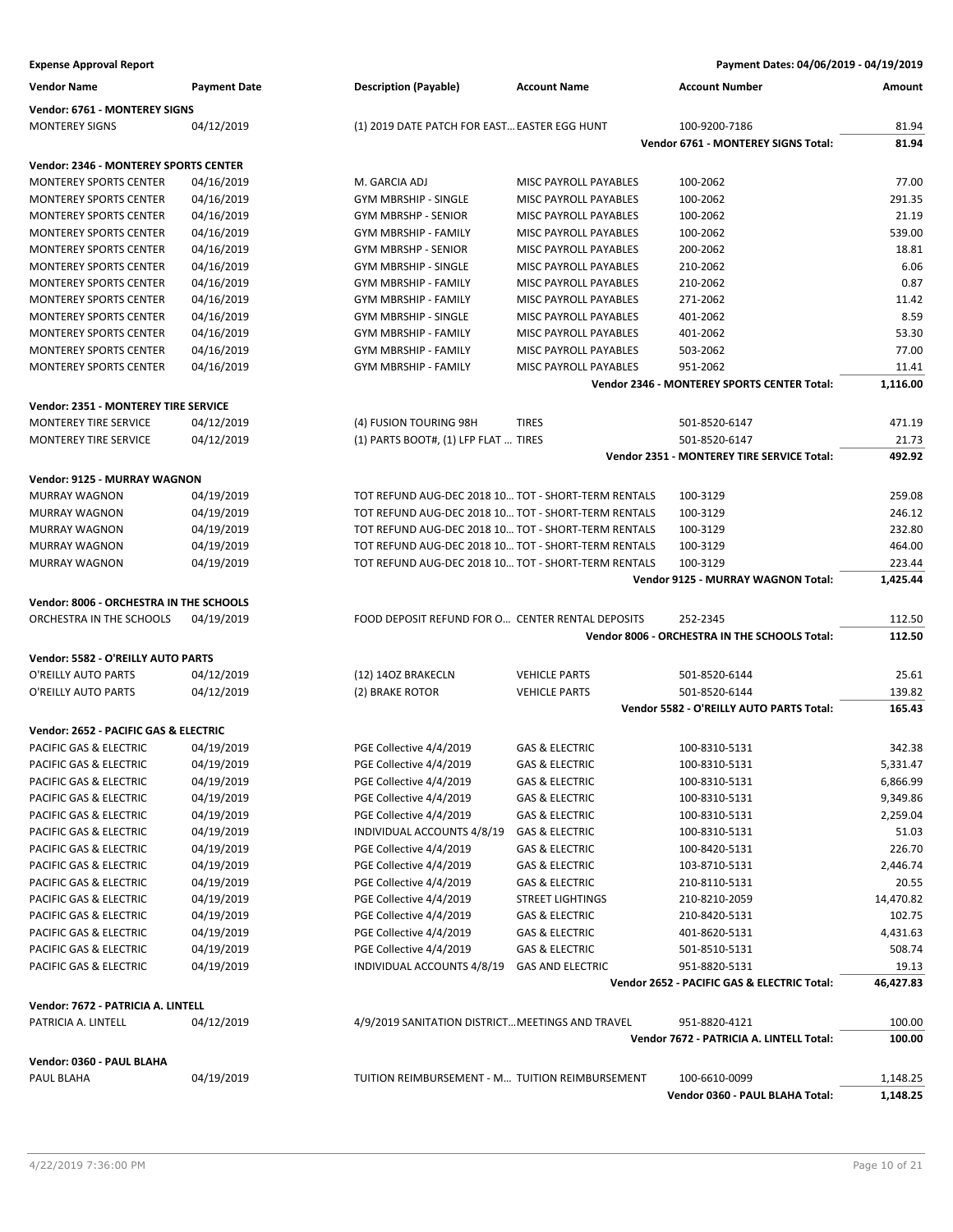**Expense Approval Report Payment Dates: 04/06/2019 - 04/19/2019**

| <b>Vendor Name</b>                           | <b>Payment Date</b> | <b>Description (Payable)</b>                        | <b>Account Name</b>          | <b>Account Number</b>                                     | Amount           |
|----------------------------------------------|---------------------|-----------------------------------------------------|------------------------------|-----------------------------------------------------------|------------------|
| Vendor: 6761 - MONTEREY SIGNS                |                     |                                                     |                              |                                                           |                  |
| <b>MONTEREY SIGNS</b>                        | 04/12/2019          | (1) 2019 DATE PATCH FOR EAST EASTER EGG HUNT        |                              | 100-9200-7186                                             | 81.94            |
|                                              |                     |                                                     |                              | Vendor 6761 - MONTEREY SIGNS Total:                       | 81.94            |
| <b>Vendor: 2346 - MONTEREY SPORTS CENTER</b> |                     |                                                     |                              |                                                           |                  |
| <b>MONTEREY SPORTS CENTER</b>                | 04/16/2019          | M. GARCIA ADJ                                       | MISC PAYROLL PAYABLES        | 100-2062                                                  | 77.00            |
| <b>MONTEREY SPORTS CENTER</b>                | 04/16/2019          | <b>GYM MBRSHIP - SINGLE</b>                         | MISC PAYROLL PAYABLES        | 100-2062                                                  | 291.35           |
| <b>MONTEREY SPORTS CENTER</b>                | 04/16/2019          | <b>GYM MBRSHP - SENIOR</b>                          | MISC PAYROLL PAYABLES        | 100-2062                                                  | 21.19            |
| <b>MONTEREY SPORTS CENTER</b>                | 04/16/2019          | <b>GYM MBRSHIP - FAMILY</b>                         | MISC PAYROLL PAYABLES        | 100-2062                                                  | 539.00           |
| <b>MONTEREY SPORTS CENTER</b>                | 04/16/2019          | <b>GYM MBRSHP - SENIOR</b>                          | <b>MISC PAYROLL PAYABLES</b> | 200-2062                                                  | 18.81            |
| <b>MONTEREY SPORTS CENTER</b>                | 04/16/2019          | GYM MBRSHIP - SINGLE                                | MISC PAYROLL PAYABLES        | 210-2062                                                  | 6.06             |
| <b>MONTEREY SPORTS CENTER</b>                | 04/16/2019          | <b>GYM MBRSHIP - FAMILY</b>                         | MISC PAYROLL PAYABLES        | 210-2062                                                  | 0.87             |
| <b>MONTEREY SPORTS CENTER</b>                | 04/16/2019          | <b>GYM MBRSHIP - FAMILY</b>                         | MISC PAYROLL PAYABLES        | 271-2062                                                  | 11.42            |
| <b>MONTEREY SPORTS CENTER</b>                | 04/16/2019          | <b>GYM MBRSHIP - SINGLE</b>                         | MISC PAYROLL PAYABLES        | 401-2062                                                  | 8.59             |
| <b>MONTEREY SPORTS CENTER</b>                | 04/16/2019          | <b>GYM MBRSHIP - FAMILY</b>                         | MISC PAYROLL PAYABLES        | 401-2062                                                  | 53.30            |
| <b>MONTEREY SPORTS CENTER</b>                | 04/16/2019          | <b>GYM MBRSHIP - FAMILY</b>                         | MISC PAYROLL PAYABLES        | 503-2062                                                  | 77.00            |
| <b>MONTEREY SPORTS CENTER</b>                | 04/16/2019          | <b>GYM MBRSHIP - FAMILY</b>                         | MISC PAYROLL PAYABLES        | 951-2062                                                  | 11.41            |
|                                              |                     |                                                     |                              | Vendor 2346 - MONTEREY SPORTS CENTER Total:               | 1,116.00         |
| Vendor: 2351 - MONTEREY TIRE SERVICE         |                     |                                                     |                              |                                                           |                  |
| <b>MONTEREY TIRE SERVICE</b>                 | 04/12/2019          | (4) FUSION TOURING 98H                              | <b>TIRES</b>                 | 501-8520-6147                                             | 471.19           |
| <b>MONTEREY TIRE SERVICE</b>                 | 04/12/2019          | (1) PARTS BOOT#, (1) LFP FLAT  TIRES                |                              | 501-8520-6147                                             | 21.73            |
|                                              |                     |                                                     |                              | Vendor 2351 - MONTEREY TIRE SERVICE Total:                | 492.92           |
| <b>Vendor: 9125 - MURRAY WAGNON</b>          |                     |                                                     |                              |                                                           |                  |
| <b>MURRAY WAGNON</b>                         | 04/19/2019          | TOT REFUND AUG-DEC 2018 10 TOT - SHORT-TERM RENTALS |                              | 100-3129                                                  | 259.08           |
| <b>MURRAY WAGNON</b>                         | 04/19/2019          | TOT REFUND AUG-DEC 2018 10 TOT - SHORT-TERM RENTALS |                              | 100-3129                                                  | 246.12           |
| <b>MURRAY WAGNON</b>                         | 04/19/2019          | TOT REFUND AUG-DEC 2018 10 TOT - SHORT-TERM RENTALS |                              | 100-3129                                                  | 232.80           |
| <b>MURRAY WAGNON</b>                         | 04/19/2019          | TOT REFUND AUG-DEC 2018 10 TOT - SHORT-TERM RENTALS |                              | 100-3129                                                  | 464.00           |
| <b>MURRAY WAGNON</b>                         | 04/19/2019          | TOT REFUND AUG-DEC 2018 10 TOT - SHORT-TERM RENTALS |                              | 100-3129                                                  | 223.44           |
|                                              |                     |                                                     |                              | Vendor 9125 - MURRAY WAGNON Total:                        | 1,425.44         |
|                                              |                     |                                                     |                              |                                                           |                  |
| Vendor: 8006 - ORCHESTRA IN THE SCHOOLS      |                     |                                                     |                              |                                                           |                  |
| ORCHESTRA IN THE SCHOOLS                     | 04/19/2019          | FOOD DEPOSIT REFUND FOR O CENTER RENTAL DEPOSITS    |                              | 252-2345<br>Vendor 8006 - ORCHESTRA IN THE SCHOOLS Total: | 112.50<br>112.50 |
|                                              |                     |                                                     |                              |                                                           |                  |
| Vendor: 5582 - O'REILLY AUTO PARTS           |                     |                                                     |                              |                                                           |                  |
| O'REILLY AUTO PARTS                          | 04/12/2019          | (12) 14OZ BRAKECLN                                  | <b>VEHICLE PARTS</b>         | 501-8520-6144                                             | 25.61            |
| O'REILLY AUTO PARTS                          | 04/12/2019          | (2) BRAKE ROTOR                                     | <b>VEHICLE PARTS</b>         | 501-8520-6144                                             | 139.82           |
|                                              |                     |                                                     |                              | Vendor 5582 - O'REILLY AUTO PARTS Total:                  | 165.43           |
| Vendor: 2652 - PACIFIC GAS & ELECTRIC        |                     |                                                     |                              |                                                           |                  |
| PACIFIC GAS & ELECTRIC                       | 04/19/2019          | PGE Collective 4/4/2019                             | <b>GAS &amp; ELECTRIC</b>    | 100-8310-5131                                             | 342.38           |
| PACIFIC GAS & ELECTRIC                       | 04/19/2019          | PGE Collective 4/4/2019                             | <b>GAS &amp; ELECTRIC</b>    | 100-8310-5131                                             | 5,331.47         |
| PACIFIC GAS & ELECTRIC                       | 04/19/2019          | PGE Collective 4/4/2019                             | GAS & ELECTRIC               | 100-8310-5131                                             | 6,866.99         |
| PACIFIC GAS & ELECTRIC                       | 04/19/2019          | PGE Collective 4/4/2019                             | <b>GAS &amp; ELECTRIC</b>    | 100-8310-5131                                             | 9,349.86         |
| PACIFIC GAS & ELECTRIC                       | 04/19/2019          | PGE Collective 4/4/2019                             | GAS & ELECTRIC               | 100-8310-5131                                             | 2,259.04         |
| PACIFIC GAS & ELECTRIC                       | 04/19/2019          | INDIVIDUAL ACCOUNTS 4/8/19                          | <b>GAS &amp; ELECTRIC</b>    | 100-8310-5131                                             | 51.03            |
| PACIFIC GAS & ELECTRIC                       | 04/19/2019          | PGE Collective 4/4/2019                             | GAS & ELECTRIC               | 100-8420-5131                                             | 226.70           |
| PACIFIC GAS & ELECTRIC                       | 04/19/2019          | PGE Collective 4/4/2019                             | GAS & ELECTRIC               | 103-8710-5131                                             | 2,446.74         |
| PACIFIC GAS & ELECTRIC                       | 04/19/2019          | PGE Collective 4/4/2019                             | <b>GAS &amp; ELECTRIC</b>    | 210-8110-5131                                             | 20.55            |
| PACIFIC GAS & ELECTRIC                       | 04/19/2019          | PGE Collective 4/4/2019                             | <b>STREET LIGHTINGS</b>      | 210-8210-2059                                             | 14,470.82        |
| PACIFIC GAS & ELECTRIC                       | 04/19/2019          | PGE Collective 4/4/2019                             | <b>GAS &amp; ELECTRIC</b>    | 210-8420-5131                                             | 102.75           |
| PACIFIC GAS & ELECTRIC                       | 04/19/2019          | PGE Collective 4/4/2019                             | GAS & ELECTRIC               | 401-8620-5131                                             | 4,431.63         |
| PACIFIC GAS & ELECTRIC                       | 04/19/2019          | PGE Collective 4/4/2019                             | GAS & ELECTRIC               | 501-8510-5131                                             | 508.74           |
| PACIFIC GAS & ELECTRIC                       | 04/19/2019          | INDIVIDUAL ACCOUNTS 4/8/19                          | <b>GAS AND ELECTRIC</b>      | 951-8820-5131                                             | 19.13            |
|                                              |                     |                                                     |                              | Vendor 2652 - PACIFIC GAS & ELECTRIC Total:               | 46,427.83        |
| Vendor: 7672 - PATRICIA A. LINTELL           |                     |                                                     |                              |                                                           |                  |
| PATRICIA A. LINTELL                          | 04/12/2019          | 4/9/2019 SANITATION DISTRICT MEETINGS AND TRAVEL    |                              | 951-8820-4121                                             | 100.00           |
|                                              |                     |                                                     |                              | Vendor 7672 - PATRICIA A. LINTELL Total:                  | 100.00           |
| Vendor: 0360 - PAUL BLAHA                    |                     |                                                     |                              |                                                           |                  |
| PAUL BLAHA                                   | 04/19/2019          | TUITION REIMBURSEMENT - M TUITION REIMBURSEMENT     |                              | 100-6610-0099                                             | 1,148.25         |
|                                              |                     |                                                     |                              | Vendor 0360 - PAUL BLAHA Total:                           | 1,148.25         |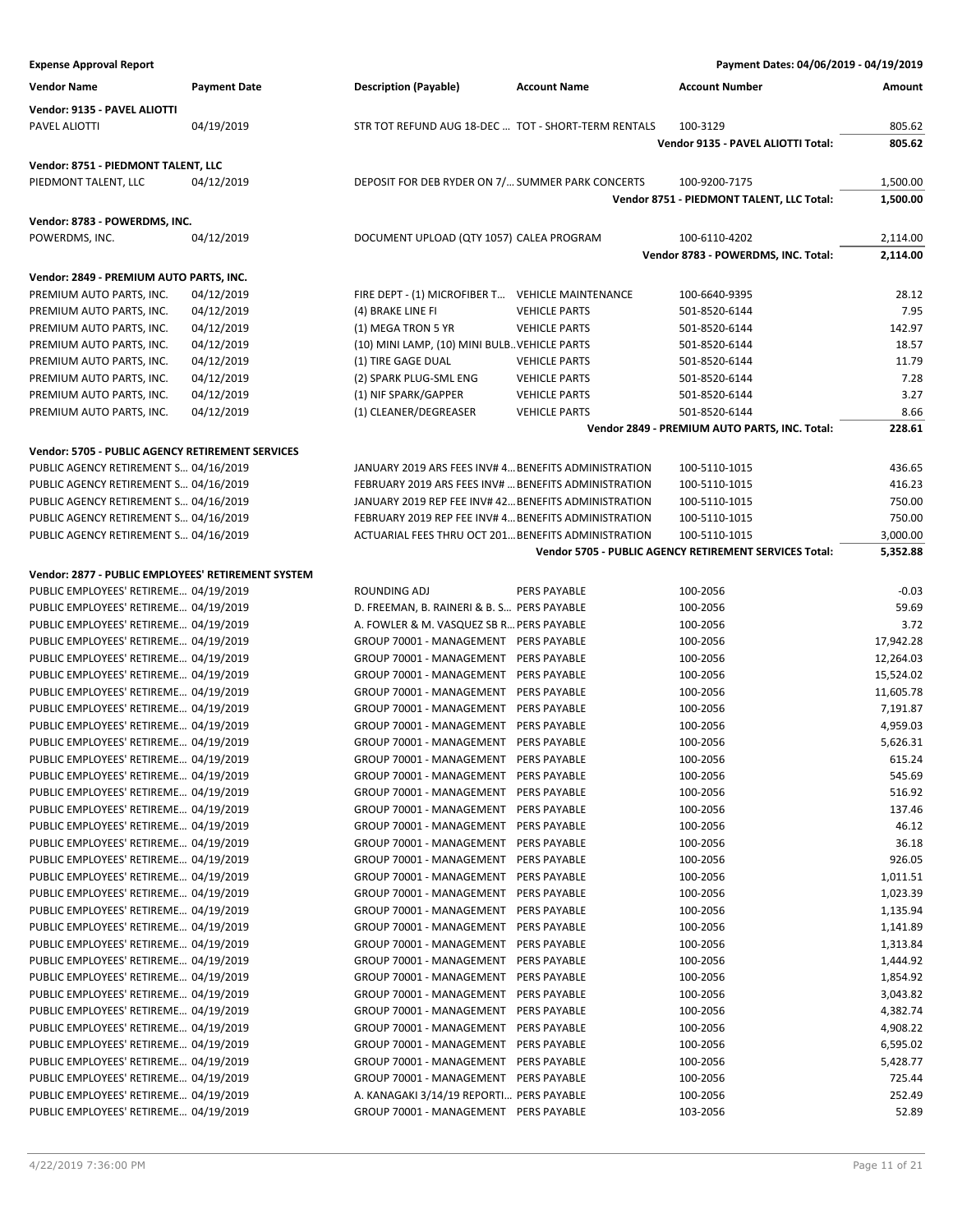| <b>Expense Approval Report</b>                                                 |                     |                                                                                   |                      | Payment Dates: 04/06/2019 - 04/19/2019                 |                    |
|--------------------------------------------------------------------------------|---------------------|-----------------------------------------------------------------------------------|----------------------|--------------------------------------------------------|--------------------|
| <b>Vendor Name</b>                                                             | <b>Payment Date</b> | <b>Description (Payable)</b>                                                      | <b>Account Name</b>  | <b>Account Number</b>                                  | Amount             |
| Vendor: 9135 - PAVEL ALIOTTI                                                   |                     |                                                                                   |                      |                                                        |                    |
| PAVEL ALIOTTI                                                                  | 04/19/2019          | STR TOT REFUND AUG 18-DEC  TOT - SHORT-TERM RENTALS                               |                      | 100-3129                                               | 805.62             |
|                                                                                |                     |                                                                                   |                      | Vendor 9135 - PAVEL ALIOTTI Total:                     | 805.62             |
| Vendor: 8751 - PIEDMONT TALENT, LLC                                            |                     |                                                                                   |                      |                                                        |                    |
| PIEDMONT TALENT, LLC                                                           | 04/12/2019          | DEPOSIT FOR DEB RYDER ON 7/ SUMMER PARK CONCERTS                                  |                      | 100-9200-7175                                          | 1,500.00           |
|                                                                                |                     |                                                                                   |                      | Vendor 8751 - PIEDMONT TALENT, LLC Total:              | 1,500.00           |
| Vendor: 8783 - POWERDMS, INC.                                                  |                     |                                                                                   |                      |                                                        |                    |
| POWERDMS, INC.                                                                 | 04/12/2019          | DOCUMENT UPLOAD (QTY 1057) CALEA PROGRAM                                          |                      | 100-6110-4202                                          | 2,114.00           |
|                                                                                |                     |                                                                                   |                      | Vendor 8783 - POWERDMS, INC. Total:                    | 2,114.00           |
|                                                                                |                     |                                                                                   |                      |                                                        |                    |
| Vendor: 2849 - PREMIUM AUTO PARTS, INC.<br>PREMIUM AUTO PARTS, INC.            | 04/12/2019          | FIRE DEPT - (1) MICROFIBER T VEHICLE MAINTENANCE                                  |                      | 100-6640-9395                                          | 28.12              |
| PREMIUM AUTO PARTS, INC.                                                       | 04/12/2019          | (4) BRAKE LINE FI                                                                 | <b>VEHICLE PARTS</b> | 501-8520-6144                                          | 7.95               |
| PREMIUM AUTO PARTS, INC.                                                       | 04/12/2019          | (1) MEGA TRON 5 YR                                                                | <b>VEHICLE PARTS</b> | 501-8520-6144                                          | 142.97             |
| PREMIUM AUTO PARTS, INC.                                                       | 04/12/2019          | (10) MINI LAMP, (10) MINI BULB. VEHICLE PARTS                                     |                      | 501-8520-6144                                          | 18.57              |
| PREMIUM AUTO PARTS, INC.                                                       | 04/12/2019          | (1) TIRE GAGE DUAL                                                                | <b>VEHICLE PARTS</b> | 501-8520-6144                                          | 11.79              |
| PREMIUM AUTO PARTS, INC.                                                       | 04/12/2019          | (2) SPARK PLUG-SML ENG                                                            | <b>VEHICLE PARTS</b> | 501-8520-6144                                          | 7.28               |
| PREMIUM AUTO PARTS, INC.                                                       | 04/12/2019          | (1) NIF SPARK/GAPPER                                                              | <b>VEHICLE PARTS</b> | 501-8520-6144                                          | 3.27               |
| PREMIUM AUTO PARTS, INC.                                                       | 04/12/2019          | (1) CLEANER/DEGREASER                                                             | <b>VEHICLE PARTS</b> | 501-8520-6144                                          | 8.66               |
|                                                                                |                     |                                                                                   |                      | Vendor 2849 - PREMIUM AUTO PARTS, INC. Total:          | 228.61             |
| Vendor: 5705 - PUBLIC AGENCY RETIREMENT SERVICES                               |                     |                                                                                   |                      |                                                        |                    |
| PUBLIC AGENCY RETIREMENT S 04/16/2019                                          |                     | JANUARY 2019 ARS FEES INV# 4 BENEFITS ADMINISTRATION                              |                      | 100-5110-1015                                          | 436.65             |
| PUBLIC AGENCY RETIREMENT S 04/16/2019                                          |                     | FEBRUARY 2019 ARS FEES INV#  BENEFITS ADMINISTRATION                              |                      | 100-5110-1015                                          | 416.23             |
| PUBLIC AGENCY RETIREMENT S 04/16/2019                                          |                     | JANUARY 2019 REP FEE INV# 42 BENEFITS ADMINISTRATION                              |                      | 100-5110-1015                                          | 750.00             |
| PUBLIC AGENCY RETIREMENT S 04/16/2019                                          |                     | FEBRUARY 2019 REP FEE INV# 4 BENEFITS ADMINISTRATION                              |                      | 100-5110-1015                                          | 750.00             |
| PUBLIC AGENCY RETIREMENT S 04/16/2019                                          |                     | ACTUARIAL FEES THRU OCT 201 BENEFITS ADMINISTRATION                               |                      | 100-5110-1015                                          | 3,000.00           |
|                                                                                |                     |                                                                                   |                      | Vendor 5705 - PUBLIC AGENCY RETIREMENT SERVICES Total: | 5,352.88           |
| Vendor: 2877 - PUBLIC EMPLOYEES' RETIREMENT SYSTEM                             |                     |                                                                                   |                      |                                                        |                    |
| PUBLIC EMPLOYEES' RETIREME 04/19/2019                                          |                     | ROUNDING ADJ                                                                      | <b>PERS PAYABLE</b>  | 100-2056                                               | $-0.03$            |
| PUBLIC EMPLOYEES' RETIREME 04/19/2019                                          |                     | D. FREEMAN, B. RAINERI & B. S PERS PAYABLE                                        |                      | 100-2056                                               | 59.69              |
| PUBLIC EMPLOYEES' RETIREME 04/19/2019                                          |                     | A. FOWLER & M. VASQUEZ SB R PERS PAYABLE                                          |                      | 100-2056                                               | 3.72               |
| PUBLIC EMPLOYEES' RETIREME 04/19/2019                                          |                     | GROUP 70001 - MANAGEMENT PERS PAYABLE                                             |                      | 100-2056                                               | 17,942.28          |
| PUBLIC EMPLOYEES' RETIREME 04/19/2019                                          |                     | GROUP 70001 - MANAGEMENT PERS PAYABLE                                             |                      | 100-2056                                               | 12,264.03          |
| PUBLIC EMPLOYEES' RETIREME 04/19/2019                                          |                     | GROUP 70001 - MANAGEMENT PERS PAYABLE                                             |                      | 100-2056                                               | 15,524.02          |
| PUBLIC EMPLOYEES' RETIREME 04/19/2019                                          |                     | GROUP 70001 - MANAGEMENT PERS PAYABLE                                             |                      | 100-2056                                               | 11,605.78          |
| PUBLIC EMPLOYEES' RETIREME 04/19/2019                                          |                     | GROUP 70001 - MANAGEMENT PERS PAYABLE                                             |                      | 100-2056                                               | 7,191.87           |
| PUBLIC EMPLOYEES' RETIREME 04/19/2019                                          |                     | GROUP 70001 - MANAGEMENT PERS PAYABLE                                             |                      | 100-2056                                               | 4,959.03           |
| PUBLIC EMPLOYEES' RETIREME 04/19/2019                                          |                     | GROUP 70001 - MANAGEMENT PERS PAYABLE                                             |                      | 100-2056                                               | 5,626.31           |
| PUBLIC EMPLOYEES' RETIREME 04/19/2019                                          |                     | GROUP 70001 - MANAGEMENT PERS PAYABLE<br>GROUP 70001 - MANAGEMENT PERS PAYABLE    |                      | 100-2056                                               | 615.24             |
| PUBLIC EMPLOYEES' RETIREME 04/19/2019<br>PUBLIC EMPLOYEES' RETIREME 04/19/2019 |                     | GROUP 70001 - MANAGEMENT PERS PAYABLE                                             |                      | 100-2056<br>100-2056                                   | 545.69<br>516.92   |
| PUBLIC EMPLOYEES' RETIREME 04/19/2019                                          |                     | GROUP 70001 - MANAGEMENT PERS PAYABLE                                             |                      | 100-2056                                               | 137.46             |
| PUBLIC EMPLOYEES' RETIREME 04/19/2019                                          |                     | GROUP 70001 - MANAGEMENT                                                          | PERS PAYABLE         | 100-2056                                               | 46.12              |
| PUBLIC EMPLOYEES' RETIREME 04/19/2019                                          |                     | GROUP 70001 - MANAGEMENT PERS PAYABLE                                             |                      | 100-2056                                               | 36.18              |
| PUBLIC EMPLOYEES' RETIREME 04/19/2019                                          |                     | GROUP 70001 - MANAGEMENT PERS PAYABLE                                             |                      | 100-2056                                               | 926.05             |
| PUBLIC EMPLOYEES' RETIREME 04/19/2019                                          |                     | GROUP 70001 - MANAGEMENT PERS PAYABLE                                             |                      | 100-2056                                               | 1,011.51           |
| PUBLIC EMPLOYEES' RETIREME 04/19/2019                                          |                     | GROUP 70001 - MANAGEMENT PERS PAYABLE                                             |                      | 100-2056                                               | 1,023.39           |
| PUBLIC EMPLOYEES' RETIREME 04/19/2019                                          |                     | GROUP 70001 - MANAGEMENT                                                          | <b>PERS PAYABLE</b>  | 100-2056                                               | 1,135.94           |
| PUBLIC EMPLOYEES' RETIREME 04/19/2019                                          |                     | GROUP 70001 - MANAGEMENT                                                          | <b>PERS PAYABLE</b>  | 100-2056                                               | 1,141.89           |
| PUBLIC EMPLOYEES' RETIREME 04/19/2019                                          |                     | GROUP 70001 - MANAGEMENT PERS PAYABLE                                             |                      | 100-2056                                               | 1,313.84           |
| PUBLIC EMPLOYEES' RETIREME 04/19/2019                                          |                     | GROUP 70001 - MANAGEMENT PERS PAYABLE                                             |                      | 100-2056                                               | 1,444.92           |
| PUBLIC EMPLOYEES' RETIREME 04/19/2019                                          |                     | GROUP 70001 - MANAGEMENT PERS PAYABLE                                             |                      | 100-2056                                               | 1,854.92           |
| PUBLIC EMPLOYEES' RETIREME 04/19/2019                                          |                     | GROUP 70001 - MANAGEMENT                                                          | PERS PAYABLE         | 100-2056                                               | 3,043.82           |
| PUBLIC EMPLOYEES' RETIREME 04/19/2019                                          |                     | GROUP 70001 - MANAGEMENT PERS PAYABLE                                             |                      | 100-2056                                               | 4,382.74           |
| PUBLIC EMPLOYEES' RETIREME 04/19/2019                                          |                     | GROUP 70001 - MANAGEMENT PERS PAYABLE                                             |                      | 100-2056                                               | 4,908.22           |
| PUBLIC EMPLOYEES' RETIREME 04/19/2019                                          |                     | GROUP 70001 - MANAGEMENT PERS PAYABLE                                             |                      | 100-2056                                               | 6,595.02           |
| PUBLIC EMPLOYEES' RETIREME 04/19/2019                                          |                     | GROUP 70001 - MANAGEMENT PERS PAYABLE                                             |                      | 100-2056                                               | 5,428.77<br>725.44 |
| PUBLIC EMPLOYEES' RETIREME 04/19/2019<br>PUBLIC EMPLOYEES' RETIREME 04/19/2019 |                     | GROUP 70001 - MANAGEMENT PERS PAYABLE<br>A. KANAGAKI 3/14/19 REPORTI PERS PAYABLE |                      | 100-2056<br>100-2056                                   | 252.49             |
| PUBLIC EMPLOYEES' RETIREME 04/19/2019                                          |                     | GROUP 70001 - MANAGEMENT PERS PAYABLE                                             |                      | 103-2056                                               | 52.89              |
|                                                                                |                     |                                                                                   |                      |                                                        |                    |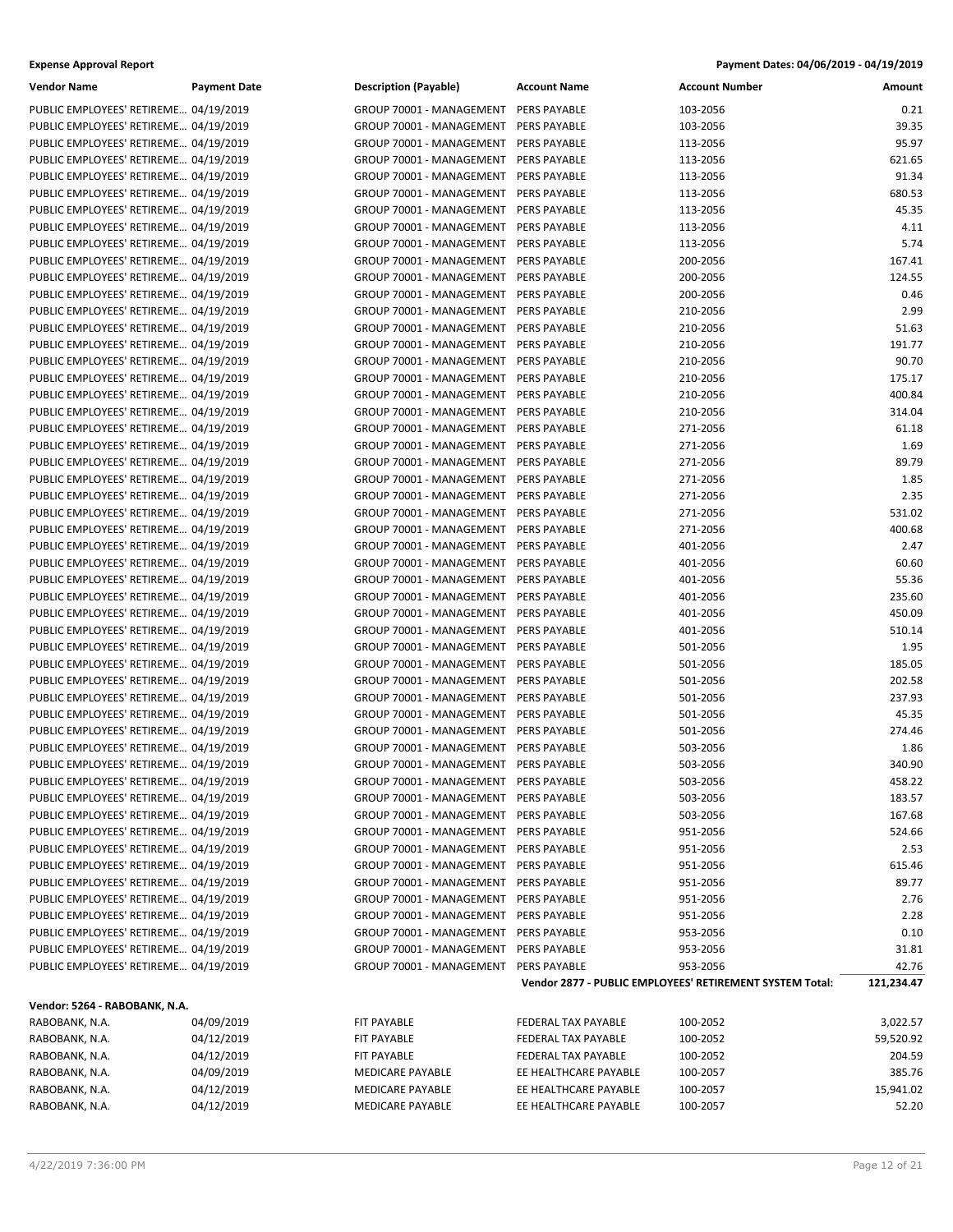| <b>Expense Approval Report</b> | Payment Dates: 04/06/2019 - 04/19/2019 |
|--------------------------------|----------------------------------------|
|--------------------------------|----------------------------------------|

| <b>Vendor Name</b>                    | <b>Payment Date</b> | <b>Description (Payable)</b> | <b>Account Name</b>   | <b>Account Number</b>                                    | Amount     |
|---------------------------------------|---------------------|------------------------------|-----------------------|----------------------------------------------------------|------------|
| PUBLIC EMPLOYEES' RETIREME 04/19/2019 |                     | GROUP 70001 - MANAGEMENT     | PERS PAYABLE          | 103-2056                                                 | 0.21       |
| PUBLIC EMPLOYEES' RETIREME 04/19/2019 |                     | GROUP 70001 - MANAGEMENT     | PERS PAYABLE          | 103-2056                                                 | 39.35      |
| PUBLIC EMPLOYEES' RETIREME 04/19/2019 |                     | GROUP 70001 - MANAGEMENT     | PERS PAYABLE          | 113-2056                                                 | 95.97      |
| PUBLIC EMPLOYEES' RETIREME 04/19/2019 |                     | GROUP 70001 - MANAGEMENT     | PERS PAYABLE          | 113-2056                                                 | 621.65     |
| PUBLIC EMPLOYEES' RETIREME 04/19/2019 |                     | GROUP 70001 - MANAGEMENT     | PERS PAYABLE          | 113-2056                                                 | 91.34      |
| PUBLIC EMPLOYEES' RETIREME 04/19/2019 |                     | GROUP 70001 - MANAGEMENT     | PERS PAYABLE          | 113-2056                                                 | 680.53     |
| PUBLIC EMPLOYEES' RETIREME 04/19/2019 |                     | GROUP 70001 - MANAGEMENT     | PERS PAYABLE          | 113-2056                                                 | 45.35      |
| PUBLIC EMPLOYEES' RETIREME 04/19/2019 |                     | GROUP 70001 - MANAGEMENT     | PERS PAYABLE          | 113-2056                                                 | 4.11       |
| PUBLIC EMPLOYEES' RETIREME 04/19/2019 |                     | GROUP 70001 - MANAGEMENT     | PERS PAYABLE          | 113-2056                                                 | 5.74       |
| PUBLIC EMPLOYEES' RETIREME 04/19/2019 |                     | GROUP 70001 - MANAGEMENT     | PERS PAYABLE          | 200-2056                                                 | 167.41     |
| PUBLIC EMPLOYEES' RETIREME 04/19/2019 |                     | GROUP 70001 - MANAGEMENT     | PERS PAYABLE          | 200-2056                                                 | 124.55     |
| PUBLIC EMPLOYEES' RETIREME 04/19/2019 |                     | GROUP 70001 - MANAGEMENT     | PERS PAYABLE          | 200-2056                                                 | 0.46       |
| PUBLIC EMPLOYEES' RETIREME 04/19/2019 |                     | GROUP 70001 - MANAGEMENT     | PERS PAYABLE          | 210-2056                                                 | 2.99       |
| PUBLIC EMPLOYEES' RETIREME 04/19/2019 |                     | GROUP 70001 - MANAGEMENT     | PERS PAYABLE          | 210-2056                                                 | 51.63      |
| PUBLIC EMPLOYEES' RETIREME 04/19/2019 |                     | GROUP 70001 - MANAGEMENT     | PERS PAYABLE          | 210-2056                                                 | 191.77     |
| PUBLIC EMPLOYEES' RETIREME 04/19/2019 |                     | GROUP 70001 - MANAGEMENT     | PERS PAYABLE          | 210-2056                                                 | 90.70      |
| PUBLIC EMPLOYEES' RETIREME 04/19/2019 |                     | GROUP 70001 - MANAGEMENT     | PERS PAYABLE          | 210-2056                                                 | 175.17     |
| PUBLIC EMPLOYEES' RETIREME 04/19/2019 |                     | GROUP 70001 - MANAGEMENT     | PERS PAYABLE          | 210-2056                                                 | 400.84     |
| PUBLIC EMPLOYEES' RETIREME 04/19/2019 |                     | GROUP 70001 - MANAGEMENT     | PERS PAYABLE          | 210-2056                                                 | 314.04     |
| PUBLIC EMPLOYEES' RETIREME 04/19/2019 |                     | GROUP 70001 - MANAGEMENT     | PERS PAYABLE          | 271-2056                                                 | 61.18      |
| PUBLIC EMPLOYEES' RETIREME 04/19/2019 |                     | GROUP 70001 - MANAGEMENT     | PERS PAYABLE          | 271-2056                                                 | 1.69       |
| PUBLIC EMPLOYEES' RETIREME 04/19/2019 |                     | GROUP 70001 - MANAGEMENT     | PERS PAYABLE          | 271-2056                                                 | 89.79      |
| PUBLIC EMPLOYEES' RETIREME 04/19/2019 |                     | GROUP 70001 - MANAGEMENT     | PERS PAYABLE          | 271-2056                                                 | 1.85       |
| PUBLIC EMPLOYEES' RETIREME 04/19/2019 |                     | GROUP 70001 - MANAGEMENT     | PERS PAYABLE          | 271-2056                                                 | 2.35       |
| PUBLIC EMPLOYEES' RETIREME 04/19/2019 |                     | GROUP 70001 - MANAGEMENT     | PERS PAYABLE          | 271-2056                                                 | 531.02     |
| PUBLIC EMPLOYEES' RETIREME 04/19/2019 |                     | GROUP 70001 - MANAGEMENT     | PERS PAYABLE          | 271-2056                                                 | 400.68     |
| PUBLIC EMPLOYEES' RETIREME 04/19/2019 |                     | GROUP 70001 - MANAGEMENT     | PERS PAYABLE          | 401-2056                                                 | 2.47       |
| PUBLIC EMPLOYEES' RETIREME 04/19/2019 |                     | GROUP 70001 - MANAGEMENT     | PERS PAYABLE          | 401-2056                                                 | 60.60      |
| PUBLIC EMPLOYEES' RETIREME 04/19/2019 |                     | GROUP 70001 - MANAGEMENT     | PERS PAYABLE          | 401-2056                                                 | 55.36      |
| PUBLIC EMPLOYEES' RETIREME 04/19/2019 |                     | GROUP 70001 - MANAGEMENT     | PERS PAYABLE          | 401-2056                                                 | 235.60     |
| PUBLIC EMPLOYEES' RETIREME 04/19/2019 |                     | GROUP 70001 - MANAGEMENT     | PERS PAYABLE          | 401-2056                                                 | 450.09     |
| PUBLIC EMPLOYEES' RETIREME 04/19/2019 |                     | GROUP 70001 - MANAGEMENT     | PERS PAYABLE          | 401-2056                                                 | 510.14     |
| PUBLIC EMPLOYEES' RETIREME 04/19/2019 |                     | GROUP 70001 - MANAGEMENT     | PERS PAYABLE          | 501-2056                                                 | 1.95       |
| PUBLIC EMPLOYEES' RETIREME 04/19/2019 |                     | GROUP 70001 - MANAGEMENT     | PERS PAYABLE          | 501-2056                                                 | 185.05     |
| PUBLIC EMPLOYEES' RETIREME 04/19/2019 |                     | GROUP 70001 - MANAGEMENT     | PERS PAYABLE          | 501-2056                                                 | 202.58     |
| PUBLIC EMPLOYEES' RETIREME 04/19/2019 |                     | GROUP 70001 - MANAGEMENT     | PERS PAYABLE          | 501-2056                                                 | 237.93     |
| PUBLIC EMPLOYEES' RETIREME 04/19/2019 |                     | GROUP 70001 - MANAGEMENT     | <b>PERS PAYABLE</b>   | 501-2056                                                 | 45.35      |
| PUBLIC EMPLOYEES' RETIREME 04/19/2019 |                     | GROUP 70001 - MANAGEMENT     | PERS PAYABLE          | 501-2056                                                 | 274.46     |
| PUBLIC EMPLOYEES' RETIREME 04/19/2019 |                     | GROUP 70001 - MANAGEMENT     | PERS PAYABLE          | 503-2056                                                 | 1.86       |
| PUBLIC EMPLOYEES' RETIREME 04/19/2019 |                     | GROUP 70001 - MANAGEMENT     | PERS PAYABLE          | 503-2056                                                 | 340.90     |
| PUBLIC EMPLOYEES' RETIREME 04/19/2019 |                     | GROUP 70001 - MANAGEMENT     | PERS PAYABLE          | 503-2056                                                 | 458.22     |
| PUBLIC EMPLOYEES' RETIREME 04/19/2019 |                     | GROUP 70001 - MANAGEMENT     | PERS PAYABLE          | 503-2056                                                 | 183.57     |
| PUBLIC EMPLOYEES' RETIREME 04/19/2019 |                     | GROUP 70001 - MANAGEMENT     | PERS PAYABLE          | 503-2056                                                 | 167.68     |
| PUBLIC EMPLOYEES' RETIREME 04/19/2019 |                     | GROUP 70001 - MANAGEMENT     | PERS PAYABLE          | 951-2056                                                 | 524.66     |
| PUBLIC EMPLOYEES' RETIREME 04/19/2019 |                     | GROUP 70001 - MANAGEMENT     | PERS PAYABLE          | 951-2056                                                 | 2.53       |
| PUBLIC EMPLOYEES' RETIREME 04/19/2019 |                     | GROUP 70001 - MANAGEMENT     | PERS PAYABLE          | 951-2056                                                 | 615.46     |
| PUBLIC EMPLOYEES' RETIREME 04/19/2019 |                     | GROUP 70001 - MANAGEMENT     | PERS PAYABLE          | 951-2056                                                 | 89.77      |
| PUBLIC EMPLOYEES' RETIREME 04/19/2019 |                     | GROUP 70001 - MANAGEMENT     | PERS PAYABLE          | 951-2056                                                 | 2.76       |
| PUBLIC EMPLOYEES' RETIREME 04/19/2019 |                     | GROUP 70001 - MANAGEMENT     | PERS PAYABLE          | 951-2056                                                 | 2.28       |
| PUBLIC EMPLOYEES' RETIREME 04/19/2019 |                     | GROUP 70001 - MANAGEMENT     | PERS PAYABLE          | 953-2056                                                 | 0.10       |
| PUBLIC EMPLOYEES' RETIREME 04/19/2019 |                     | GROUP 70001 - MANAGEMENT     | PERS PAYABLE          | 953-2056                                                 | 31.81      |
| PUBLIC EMPLOYEES' RETIREME 04/19/2019 |                     | GROUP 70001 - MANAGEMENT     | PERS PAYABLE          | 953-2056                                                 | 42.76      |
|                                       |                     |                              |                       | Vendor 2877 - PUBLIC EMPLOYEES' RETIREMENT SYSTEM Total: | 121,234.47 |
| Vendor: 5264 - RABOBANK, N.A.         |                     |                              |                       |                                                          |            |
| RABOBANK, N.A.                        | 04/09/2019          | FIT PAYABLE                  | FEDERAL TAX PAYABLE   | 100-2052                                                 | 3,022.57   |
| RABOBANK, N.A.                        | 04/12/2019          | FIT PAYABLE                  | FEDERAL TAX PAYABLE   | 100-2052                                                 | 59,520.92  |
| RABOBANK, N.A.                        | 04/12/2019          | FIT PAYABLE                  | FEDERAL TAX PAYABLE   | 100-2052                                                 | 204.59     |
| RABOBANK, N.A.                        | 04/09/2019          | <b>MEDICARE PAYABLE</b>      | EE HEALTHCARE PAYABLE | 100-2057                                                 | 385.76     |
| RABOBANK, N.A.                        | 04/12/2019          | MEDICARE PAYABLE             | EE HEALTHCARE PAYABLE | 100-2057                                                 | 15,941.02  |
| RABOBANK, N.A.                        | 04/12/2019          | MEDICARE PAYABLE             | EE HEALTHCARE PAYABLE | 100-2057                                                 | 52.20      |
|                                       |                     |                              |                       |                                                          |            |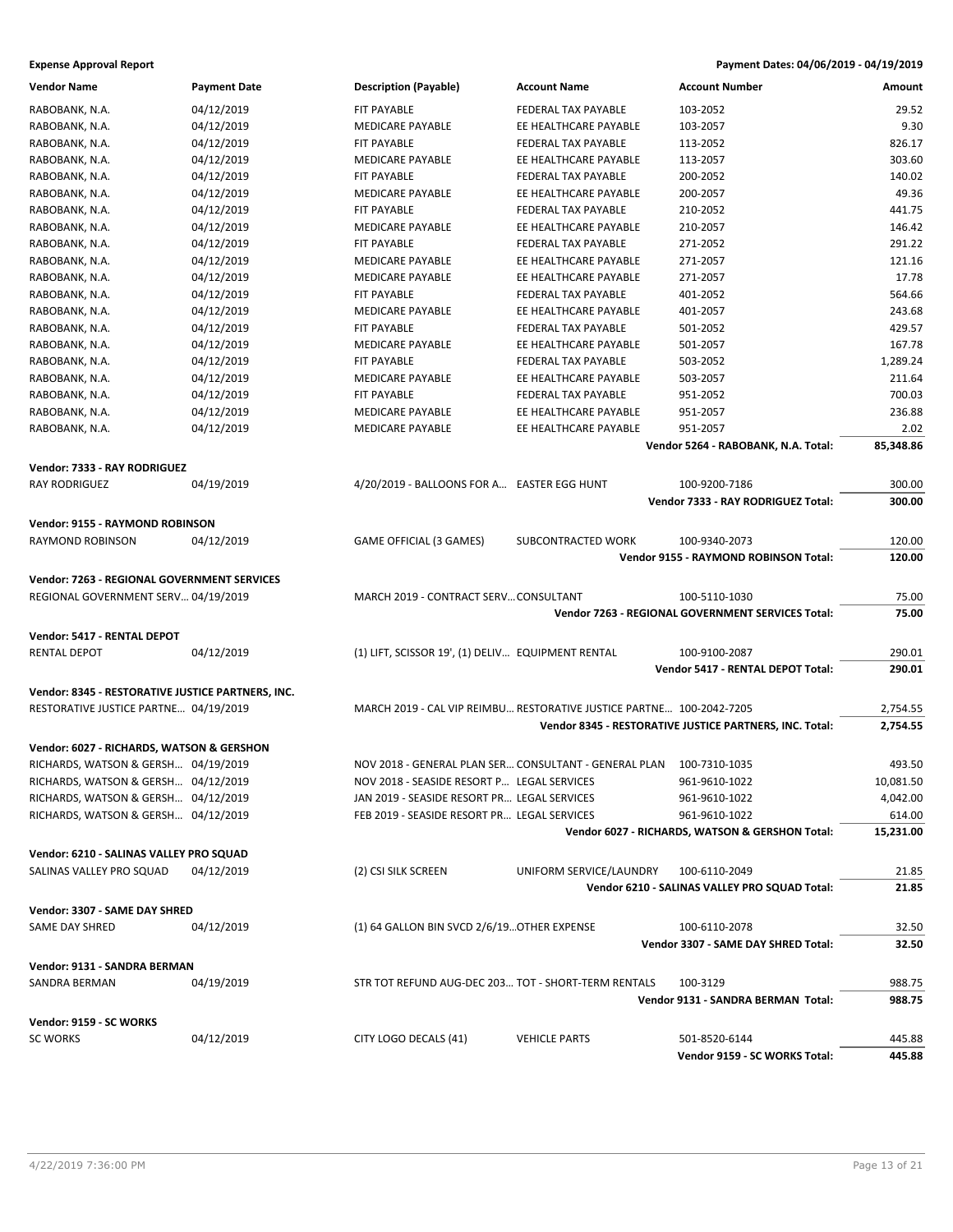#### **Expense Approval Report Payment Dates: 04/06/2019 - 04/19/2019**

| <b>Vendor Name</b>                                | <b>Payment Date</b> | <b>Description (Payable)</b>                        | <b>Account Name</b>                                                  | <b>Account Number</b>                                   | Amount           |
|---------------------------------------------------|---------------------|-----------------------------------------------------|----------------------------------------------------------------------|---------------------------------------------------------|------------------|
| RABOBANK, N.A.                                    | 04/12/2019          | <b>FIT PAYABLE</b>                                  | FEDERAL TAX PAYABLE                                                  | 103-2052                                                | 29.52            |
| RABOBANK, N.A.                                    | 04/12/2019          | MEDICARE PAYABLE                                    | EE HEALTHCARE PAYABLE                                                | 103-2057                                                | 9.30             |
| RABOBANK, N.A.                                    | 04/12/2019          | FIT PAYABLE                                         | <b>FEDERAL TAX PAYABLE</b>                                           | 113-2052                                                | 826.17           |
| RABOBANK, N.A.                                    | 04/12/2019          | <b>MEDICARE PAYABLE</b>                             | EE HEALTHCARE PAYABLE                                                | 113-2057                                                | 303.60           |
| RABOBANK, N.A.                                    | 04/12/2019          | FIT PAYABLE                                         | <b>FEDERAL TAX PAYABLE</b>                                           | 200-2052                                                | 140.02           |
| RABOBANK, N.A.                                    | 04/12/2019          | MEDICARE PAYABLE                                    | EE HEALTHCARE PAYABLE                                                | 200-2057                                                | 49.36            |
| RABOBANK, N.A.                                    | 04/12/2019          | FIT PAYABLE                                         | FEDERAL TAX PAYABLE                                                  | 210-2052                                                | 441.75           |
| RABOBANK, N.A.                                    | 04/12/2019          | <b>MEDICARE PAYABLE</b>                             | EE HEALTHCARE PAYABLE                                                | 210-2057                                                | 146.42           |
| RABOBANK, N.A.                                    | 04/12/2019          | FIT PAYABLE                                         | FEDERAL TAX PAYABLE                                                  | 271-2052                                                | 291.22           |
| RABOBANK, N.A.                                    | 04/12/2019          | <b>MEDICARE PAYABLE</b>                             | EE HEALTHCARE PAYABLE                                                | 271-2057                                                | 121.16           |
| RABOBANK, N.A.                                    | 04/12/2019          | MEDICARE PAYABLE                                    | EE HEALTHCARE PAYABLE                                                | 271-2057                                                | 17.78            |
| RABOBANK, N.A.                                    | 04/12/2019          | FIT PAYABLE                                         | FEDERAL TAX PAYABLE                                                  | 401-2052                                                | 564.66           |
| RABOBANK, N.A.                                    | 04/12/2019          | <b>MEDICARE PAYABLE</b>                             | EE HEALTHCARE PAYABLE                                                | 401-2057                                                | 243.68           |
| RABOBANK, N.A.                                    | 04/12/2019          | FIT PAYABLE                                         | FEDERAL TAX PAYABLE                                                  | 501-2052                                                | 429.57           |
| RABOBANK, N.A.                                    | 04/12/2019          | <b>MEDICARE PAYABLE</b>                             | EE HEALTHCARE PAYABLE                                                | 501-2057                                                | 167.78           |
| RABOBANK, N.A.                                    | 04/12/2019          | FIT PAYABLE                                         | FEDERAL TAX PAYABLE                                                  | 503-2052                                                | 1,289.24         |
| RABOBANK, N.A.                                    | 04/12/2019          | <b>MEDICARE PAYABLE</b>                             | EE HEALTHCARE PAYABLE                                                | 503-2057                                                | 211.64           |
| RABOBANK, N.A.                                    | 04/12/2019          | FIT PAYABLE                                         | FEDERAL TAX PAYABLE                                                  | 951-2052                                                | 700.03           |
| RABOBANK, N.A.                                    | 04/12/2019          | <b>MEDICARE PAYABLE</b>                             | EE HEALTHCARE PAYABLE                                                | 951-2057                                                | 236.88           |
| RABOBANK, N.A.                                    | 04/12/2019          | <b>MEDICARE PAYABLE</b>                             | EE HEALTHCARE PAYABLE                                                | 951-2057                                                | 2.02             |
|                                                   |                     |                                                     |                                                                      | Vendor 5264 - RABOBANK, N.A. Total:                     | 85,348.86        |
|                                                   |                     |                                                     |                                                                      |                                                         |                  |
| Vendor: 7333 - RAY RODRIGUEZ                      |                     |                                                     |                                                                      |                                                         |                  |
| <b>RAY RODRIGUEZ</b>                              | 04/19/2019          | 4/20/2019 - BALLOONS FOR A EASTER EGG HUNT          |                                                                      | 100-9200-7186<br>Vendor 7333 - RAY RODRIGUEZ Total:     | 300.00           |
|                                                   |                     |                                                     |                                                                      |                                                         | 300.00           |
| Vendor: 9155 - RAYMOND ROBINSON                   |                     |                                                     |                                                                      |                                                         |                  |
| RAYMOND ROBINSON                                  | 04/12/2019          | GAME OFFICIAL (3 GAMES)                             | SUBCONTRACTED WORK                                                   | 100-9340-2073                                           | 120.00           |
|                                                   |                     |                                                     |                                                                      | Vendor 9155 - RAYMOND ROBINSON Total:                   | 120.00           |
| Vendor: 7263 - REGIONAL GOVERNMENT SERVICES       |                     |                                                     |                                                                      |                                                         |                  |
| REGIONAL GOVERNMENT SERV 04/19/2019               |                     | MARCH 2019 - CONTRACT SERV CONSULTANT               |                                                                      | 100-5110-1030                                           | 75.00            |
|                                                   |                     |                                                     |                                                                      | Vendor 7263 - REGIONAL GOVERNMENT SERVICES Total:       | 75.00            |
|                                                   |                     |                                                     |                                                                      |                                                         |                  |
| Vendor: 5417 - RENTAL DEPOT                       |                     |                                                     |                                                                      |                                                         |                  |
| <b>RENTAL DEPOT</b>                               | 04/12/2019          | (1) LIFT, SCISSOR 19', (1) DELIV EQUIPMENT RENTAL   |                                                                      | 100-9100-2087<br>Vendor 5417 - RENTAL DEPOT Total:      | 290.01<br>290.01 |
|                                                   |                     |                                                     |                                                                      |                                                         |                  |
| Vendor: 8345 - RESTORATIVE JUSTICE PARTNERS, INC. |                     |                                                     |                                                                      |                                                         |                  |
| RESTORATIVE JUSTICE PARTNE 04/19/2019             |                     |                                                     | MARCH 2019 - CAL VIP REIMBU RESTORATIVE JUSTICE PARTNE 100-2042-7205 |                                                         | 2,754.55         |
|                                                   |                     |                                                     |                                                                      | Vendor 8345 - RESTORATIVE JUSTICE PARTNERS, INC. Total: | 2,754.55         |
| Vendor: 6027 - RICHARDS, WATSON & GERSHON         |                     |                                                     |                                                                      |                                                         |                  |
| RICHARDS, WATSON & GERSH 04/19/2019               |                     |                                                     | NOV 2018 - GENERAL PLAN SER CONSULTANT - GENERAL PLAN 100-7310-1035  |                                                         | 493.50           |
| RICHARDS, WATSON & GERSH 04/12/2019               |                     | NOV 2018 - SEASIDE RESORT P LEGAL SERVICES          |                                                                      | 961-9610-1022                                           | 10,081.50        |
| RICHARDS, WATSON & GERSH 04/12/2019               |                     | JAN 2019 - SEASIDE RESORT PR LEGAL SERVICES         |                                                                      | 961-9610-1022                                           | 4,042.00         |
| RICHARDS, WATSON & GERSH 04/12/2019               |                     | FEB 2019 - SEASIDE RESORT PR LEGAL SERVICES         |                                                                      | 961-9610-1022                                           | 614.00           |
|                                                   |                     |                                                     |                                                                      | Vendor 6027 - RICHARDS, WATSON & GERSHON Total:         | 15,231.00        |
| Vendor: 6210 - SALINAS VALLEY PRO SQUAD           |                     |                                                     |                                                                      |                                                         |                  |
|                                                   | 04/12/2019          | (2) CSI SILK SCREEN                                 | UNIFORM SERVICE/LAUNDRY                                              | 100-6110-2049                                           | 21.85            |
| SALINAS VALLEY PRO SQUAD                          |                     |                                                     |                                                                      | Vendor 6210 - SALINAS VALLEY PRO SQUAD Total:           | 21.85            |
|                                                   |                     |                                                     |                                                                      |                                                         |                  |
| Vendor: 3307 - SAME DAY SHRED                     |                     |                                                     |                                                                      |                                                         |                  |
| SAME DAY SHRED                                    | 04/12/2019          | (1) 64 GALLON BIN SVCD 2/6/19 OTHER EXPENSE         |                                                                      | 100-6110-2078                                           | 32.50            |
|                                                   |                     |                                                     |                                                                      | Vendor 3307 - SAME DAY SHRED Total:                     | 32.50            |
| Vendor: 9131 - SANDRA BERMAN                      |                     |                                                     |                                                                      |                                                         |                  |
| SANDRA BERMAN                                     | 04/19/2019          | STR TOT REFUND AUG-DEC 203 TOT - SHORT-TERM RENTALS |                                                                      | 100-3129                                                | 988.75           |
|                                                   |                     |                                                     |                                                                      | Vendor 9131 - SANDRA BERMAN Total:                      | 988.75           |
|                                                   |                     |                                                     |                                                                      |                                                         |                  |
| Vendor: 9159 - SC WORKS<br><b>SC WORKS</b>        |                     |                                                     |                                                                      |                                                         |                  |
|                                                   | 04/12/2019          | CITY LOGO DECALS (41)                               | <b>VEHICLE PARTS</b>                                                 | 501-8520-6144<br>Vendor 9159 - SC WORKS Total:          | 445.88<br>445.88 |
|                                                   |                     |                                                     |                                                                      |                                                         |                  |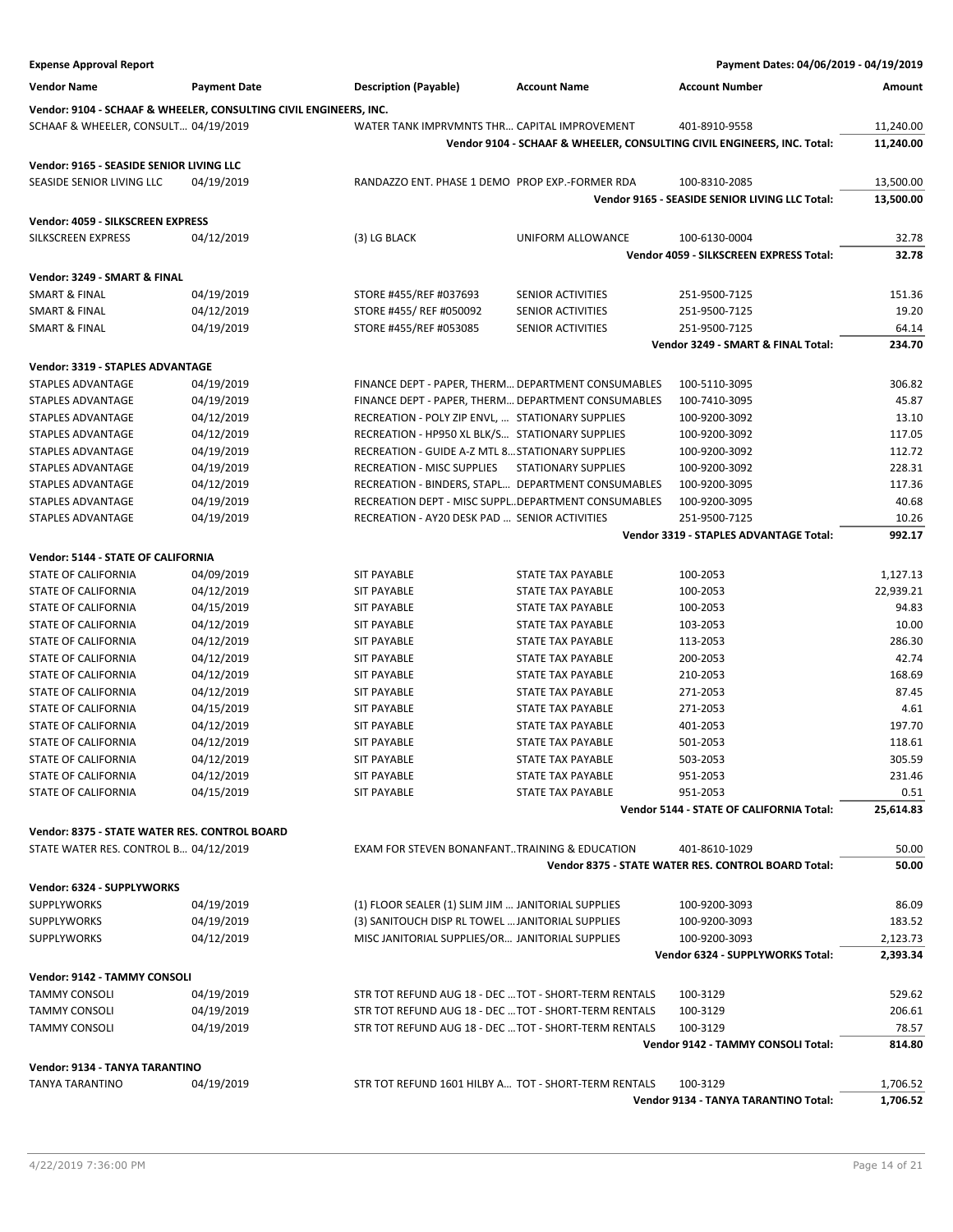| <b>Expense Approval Report</b>                |                                                                   |                                                       |                            | Payment Dates: 04/06/2019 - 04/19/2019                                  |           |
|-----------------------------------------------|-------------------------------------------------------------------|-------------------------------------------------------|----------------------------|-------------------------------------------------------------------------|-----------|
| <b>Vendor Name</b>                            | <b>Payment Date</b>                                               | <b>Description (Payable)</b>                          | <b>Account Name</b>        | <b>Account Number</b>                                                   | Amount    |
|                                               | Vendor: 9104 - SCHAAF & WHEELER, CONSULTING CIVIL ENGINEERS, INC. |                                                       |                            |                                                                         |           |
| SCHAAF & WHEELER, CONSULT 04/19/2019          |                                                                   | WATER TANK IMPRVMNTS THR CAPITAL IMPROVEMENT          |                            | 401-8910-9558                                                           | 11,240.00 |
|                                               |                                                                   |                                                       |                            | Vendor 9104 - SCHAAF & WHEELER, CONSULTING CIVIL ENGINEERS, INC. Total: | 11,240.00 |
| Vendor: 9165 - SEASIDE SENIOR LIVING LLC      |                                                                   |                                                       |                            |                                                                         |           |
| SEASIDE SENIOR LIVING LLC                     | 04/19/2019                                                        | RANDAZZO ENT. PHASE 1 DEMO PROP EXP.-FORMER RDA       |                            | 100-8310-2085                                                           | 13,500.00 |
|                                               |                                                                   |                                                       |                            | Vendor 9165 - SEASIDE SENIOR LIVING LLC Total:                          | 13,500.00 |
| Vendor: 4059 - SILKSCREEN EXPRESS             |                                                                   |                                                       |                            |                                                                         |           |
| SILKSCREEN EXPRESS                            | 04/12/2019                                                        | (3) LG BLACK                                          | UNIFORM ALLOWANCE          | 100-6130-0004                                                           | 32.78     |
|                                               |                                                                   |                                                       |                            | Vendor 4059 - SILKSCREEN EXPRESS Total:                                 | 32.78     |
| Vendor: 3249 - SMART & FINAL                  |                                                                   |                                                       |                            |                                                                         |           |
| SMART & FINAL                                 | 04/19/2019                                                        | STORE #455/REF #037693                                | <b>SENIOR ACTIVITIES</b>   | 251-9500-7125                                                           | 151.36    |
| <b>SMART &amp; FINAL</b>                      | 04/12/2019                                                        | STORE #455/ REF #050092                               | SENIOR ACTIVITIES          | 251-9500-7125                                                           | 19.20     |
| <b>SMART &amp; FINAL</b>                      | 04/19/2019                                                        | STORE #455/REF #053085                                | <b>SENIOR ACTIVITIES</b>   | 251-9500-7125                                                           | 64.14     |
|                                               |                                                                   |                                                       |                            | Vendor 3249 - SMART & FINAL Total:                                      | 234.70    |
| Vendor: 3319 - STAPLES ADVANTAGE              |                                                                   |                                                       |                            |                                                                         |           |
| STAPLES ADVANTAGE                             | 04/19/2019                                                        | FINANCE DEPT - PAPER, THERM DEPARTMENT CONSUMABLES    |                            | 100-5110-3095                                                           | 306.82    |
| <b>STAPLES ADVANTAGE</b>                      | 04/19/2019                                                        | FINANCE DEPT - PAPER, THERM DEPARTMENT CONSUMABLES    |                            | 100-7410-3095                                                           | 45.87     |
| STAPLES ADVANTAGE                             | 04/12/2019                                                        | RECREATION - POLY ZIP ENVL,  STATIONARY SUPPLIES      |                            | 100-9200-3092                                                           | 13.10     |
| STAPLES ADVANTAGE                             | 04/12/2019                                                        | RECREATION - HP950 XL BLK/S STATIONARY SUPPLIES       |                            | 100-9200-3092                                                           | 117.05    |
| STAPLES ADVANTAGE                             | 04/19/2019                                                        | RECREATION - GUIDE A-Z MTL 8 STATIONARY SUPPLIES      |                            | 100-9200-3092                                                           | 112.72    |
| STAPLES ADVANTAGE                             | 04/19/2019                                                        | <b>RECREATION - MISC SUPPLIES</b>                     | <b>STATIONARY SUPPLIES</b> | 100-9200-3092                                                           | 228.31    |
| STAPLES ADVANTAGE                             | 04/12/2019                                                        | RECREATION - BINDERS, STAPL DEPARTMENT CONSUMABLES    |                            | 100-9200-3095                                                           | 117.36    |
| STAPLES ADVANTAGE                             | 04/19/2019                                                        | RECREATION DEPT - MISC SUPPLDEPARTMENT CONSUMABLES    |                            | 100-9200-3095                                                           | 40.68     |
| STAPLES ADVANTAGE                             | 04/19/2019                                                        | RECREATION - AY20 DESK PAD  SENIOR ACTIVITIES         |                            | 251-9500-7125                                                           | 10.26     |
|                                               |                                                                   |                                                       |                            | Vendor 3319 - STAPLES ADVANTAGE Total:                                  | 992.17    |
| Vendor: 5144 - STATE OF CALIFORNIA            |                                                                   |                                                       |                            |                                                                         |           |
| STATE OF CALIFORNIA                           | 04/09/2019                                                        | <b>SIT PAYABLE</b>                                    | <b>STATE TAX PAYABLE</b>   | 100-2053                                                                | 1,127.13  |
| <b>STATE OF CALIFORNIA</b>                    | 04/12/2019                                                        | <b>SIT PAYABLE</b>                                    | <b>STATE TAX PAYABLE</b>   | 100-2053                                                                | 22,939.21 |
| STATE OF CALIFORNIA                           | 04/15/2019                                                        | <b>SIT PAYABLE</b>                                    | <b>STATE TAX PAYABLE</b>   | 100-2053                                                                | 94.83     |
| STATE OF CALIFORNIA                           | 04/12/2019                                                        | <b>SIT PAYABLE</b>                                    | <b>STATE TAX PAYABLE</b>   | 103-2053                                                                | 10.00     |
| STATE OF CALIFORNIA                           | 04/12/2019                                                        | <b>SIT PAYABLE</b>                                    | STATE TAX PAYABLE          | 113-2053                                                                | 286.30    |
| STATE OF CALIFORNIA                           | 04/12/2019                                                        | <b>SIT PAYABLE</b>                                    | <b>STATE TAX PAYABLE</b>   | 200-2053                                                                | 42.74     |
| <b>STATE OF CALIFORNIA</b>                    | 04/12/2019                                                        | <b>SIT PAYABLE</b>                                    | <b>STATE TAX PAYABLE</b>   | 210-2053                                                                | 168.69    |
| STATE OF CALIFORNIA                           | 04/12/2019                                                        | <b>SIT PAYABLE</b>                                    | <b>STATE TAX PAYABLE</b>   | 271-2053                                                                | 87.45     |
| STATE OF CALIFORNIA                           | 04/15/2019                                                        | <b>SIT PAYABLE</b>                                    | <b>STATE TAX PAYABLE</b>   | 271-2053                                                                | 4.61      |
| STATE OF CALIFORNIA                           | 04/12/2019                                                        | <b>SIT PAYABLE</b>                                    | STATE TAX PAYABLE          | 401-2053                                                                | 197.70    |
| <b>STATE OF CALIFORNIA</b>                    | 04/12/2019                                                        | <b>SIT PAYABLE</b>                                    | <b>STATE TAX PAYABLE</b>   | 501-2053                                                                | 118.61    |
| STATE OF CALIFORNIA                           | 04/12/2019                                                        | <b>SIT PAYABLE</b>                                    | STATE TAX PAYABLE          | 503-2053                                                                | 305.59    |
| STATE OF CALIFORNIA                           | 04/12/2019                                                        | <b>SIT PAYABLE</b>                                    | <b>STATE TAX PAYABLE</b>   | 951-2053                                                                | 231.46    |
| STATE OF CALIFORNIA                           | 04/15/2019                                                        | <b>SIT PAYABLE</b>                                    | <b>STATE TAX PAYABLE</b>   | 951-2053                                                                | 0.51      |
|                                               |                                                                   |                                                       |                            | Vendor 5144 - STATE OF CALIFORNIA Total:                                | 25,614.83 |
| Vendor: 8375 - STATE WATER RES. CONTROL BOARD |                                                                   |                                                       |                            |                                                                         |           |
| STATE WATER RES. CONTROL B 04/12/2019         |                                                                   | EXAM FOR STEVEN BONANFANT. TRAINING & EDUCATION       |                            | 401-8610-1029                                                           | 50.00     |
|                                               |                                                                   |                                                       |                            | Vendor 8375 - STATE WATER RES. CONTROL BOARD Total:                     | 50.00     |
| Vendor: 6324 - SUPPLYWORKS                    |                                                                   |                                                       |                            |                                                                         |           |
| <b>SUPPLYWORKS</b>                            | 04/19/2019                                                        | (1) FLOOR SEALER (1) SLIM JIM  JANITORIAL SUPPLIES    |                            | 100-9200-3093                                                           | 86.09     |
| <b>SUPPLYWORKS</b>                            | 04/19/2019                                                        | (3) SANITOUCH DISP RL TOWEL  JANITORIAL SUPPLIES      |                            | 100-9200-3093                                                           | 183.52    |
| <b>SUPPLYWORKS</b>                            | 04/12/2019                                                        | MISC JANITORIAL SUPPLIES/OR JANITORIAL SUPPLIES       |                            | 100-9200-3093                                                           | 2,123.73  |
|                                               |                                                                   |                                                       |                            | Vendor 6324 - SUPPLYWORKS Total:                                        | 2,393.34  |
| Vendor: 9142 - TAMMY CONSOLI                  |                                                                   |                                                       |                            |                                                                         |           |
| <b>TAMMY CONSOLI</b>                          | 04/19/2019                                                        | STR TOT REFUND AUG 18 - DEC  TOT - SHORT-TERM RENTALS |                            | 100-3129                                                                | 529.62    |
| <b>TAMMY CONSOLI</b>                          | 04/19/2019                                                        | STR TOT REFUND AUG 18 - DEC  TOT - SHORT-TERM RENTALS |                            | 100-3129                                                                | 206.61    |
| <b>TAMMY CONSOLI</b>                          | 04/19/2019                                                        | STR TOT REFUND AUG 18 - DEC  TOT - SHORT-TERM RENTALS |                            | 100-3129                                                                | 78.57     |
|                                               |                                                                   |                                                       |                            | Vendor 9142 - TAMMY CONSOLI Total:                                      | 814.80    |
| Vendor: 9134 - TANYA TARANTINO                |                                                                   |                                                       |                            |                                                                         |           |
| <b>TANYA TARANTINO</b>                        | 04/19/2019                                                        | STR TOT REFUND 1601 HILBY A TOT - SHORT-TERM RENTALS  |                            | 100-3129                                                                | 1,706.52  |
|                                               |                                                                   |                                                       |                            | Vendor 9134 - TANYA TARANTINO Total:                                    | 1,706.52  |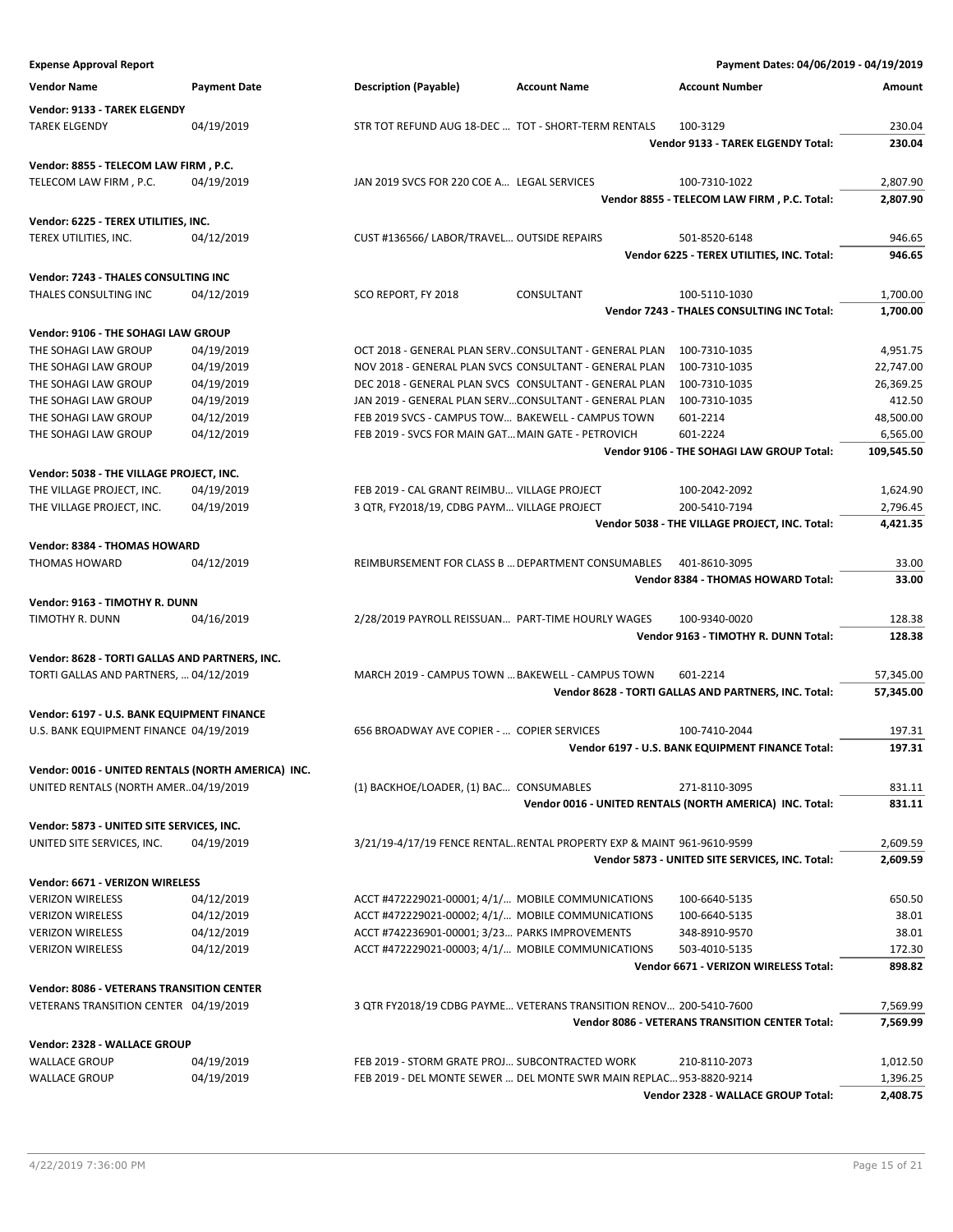| <b>Expense Approval Report</b>                                                       |                     |                                                       |                                                                       | Payment Dates: 04/06/2019 - 04/19/2019                   |            |
|--------------------------------------------------------------------------------------|---------------------|-------------------------------------------------------|-----------------------------------------------------------------------|----------------------------------------------------------|------------|
| <b>Vendor Name</b>                                                                   | <b>Payment Date</b> | <b>Description (Payable)</b>                          | <b>Account Name</b>                                                   | <b>Account Number</b>                                    | Amount     |
| Vendor: 9133 - TAREK ELGENDY                                                         |                     |                                                       |                                                                       |                                                          |            |
| <b>TAREK ELGENDY</b>                                                                 | 04/19/2019          | STR TOT REFUND AUG 18-DEC  TOT - SHORT-TERM RENTALS   |                                                                       | 100-3129                                                 | 230.04     |
|                                                                                      |                     |                                                       |                                                                       | <b>Vendor 9133 - TAREK ELGENDY Total:</b>                | 230.04     |
| Vendor: 8855 - TELECOM LAW FIRM, P.C.                                                |                     |                                                       |                                                                       |                                                          |            |
| TELECOM LAW FIRM, P.C.                                                               | 04/19/2019          | JAN 2019 SVCS FOR 220 COE A LEGAL SERVICES            |                                                                       | 100-7310-1022                                            | 2,807.90   |
|                                                                                      |                     |                                                       |                                                                       | Vendor 8855 - TELECOM LAW FIRM, P.C. Total:              | 2,807.90   |
| Vendor: 6225 - TEREX UTILITIES, INC.                                                 |                     |                                                       |                                                                       |                                                          |            |
| TEREX UTILITIES, INC.                                                                | 04/12/2019          | CUST #136566/ LABOR/TRAVEL OUTSIDE REPAIRS            |                                                                       | 501-8520-6148                                            | 946.65     |
|                                                                                      |                     |                                                       |                                                                       | Vendor 6225 - TEREX UTILITIES, INC. Total:               | 946.65     |
| <b>Vendor: 7243 - THALES CONSULTING INC</b>                                          |                     |                                                       |                                                                       |                                                          |            |
| THALES CONSULTING INC                                                                | 04/12/2019          | SCO REPORT, FY 2018                                   | CONSULTANT                                                            | 100-5110-1030                                            | 1,700.00   |
|                                                                                      |                     |                                                       |                                                                       | Vendor 7243 - THALES CONSULTING INC Total:               | 1,700.00   |
| Vendor: 9106 - THE SOHAGI LAW GROUP                                                  |                     |                                                       |                                                                       |                                                          |            |
| THE SOHAGI LAW GROUP                                                                 | 04/19/2019          |                                                       | OCT 2018 - GENERAL PLAN SERVCONSULTANT - GENERAL PLAN                 | 100-7310-1035                                            | 4,951.75   |
| THE SOHAGI LAW GROUP                                                                 | 04/19/2019          |                                                       | NOV 2018 - GENERAL PLAN SVCS CONSULTANT - GENERAL PLAN                | 100-7310-1035                                            | 22,747.00  |
| THE SOHAGI LAW GROUP                                                                 | 04/19/2019          |                                                       | DEC 2018 - GENERAL PLAN SVCS CONSULTANT - GENERAL PLAN                | 100-7310-1035                                            | 26,369.25  |
| THE SOHAGI LAW GROUP                                                                 | 04/19/2019          | JAN 2019 - GENERAL PLAN SERVCONSULTANT - GENERAL PLAN |                                                                       | 100-7310-1035                                            | 412.50     |
| THE SOHAGI LAW GROUP                                                                 | 04/12/2019          | FEB 2019 SVCS - CAMPUS TOW BAKEWELL - CAMPUS TOWN     |                                                                       | 601-2214                                                 | 48,500.00  |
| THE SOHAGI LAW GROUP                                                                 | 04/12/2019          | FEB 2019 - SVCS FOR MAIN GAT MAIN GATE - PETROVICH    |                                                                       | 601-2224                                                 | 6,565.00   |
|                                                                                      |                     |                                                       |                                                                       | Vendor 9106 - THE SOHAGI LAW GROUP Total:                | 109,545.50 |
| Vendor: 5038 - THE VILLAGE PROJECT, INC.                                             |                     |                                                       |                                                                       |                                                          |            |
| THE VILLAGE PROJECT, INC.                                                            | 04/19/2019          | FEB 2019 - CAL GRANT REIMBU VILLAGE PROJECT           |                                                                       | 100-2042-2092                                            | 1,624.90   |
| THE VILLAGE PROJECT, INC.                                                            | 04/19/2019          | 3 QTR, FY2018/19, CDBG PAYM VILLAGE PROJECT           |                                                                       | 200-5410-7194                                            | 2,796.45   |
|                                                                                      |                     |                                                       |                                                                       | Vendor 5038 - THE VILLAGE PROJECT, INC. Total:           | 4,421.35   |
| Vendor: 8384 - THOMAS HOWARD                                                         |                     |                                                       |                                                                       |                                                          |            |
| <b>THOMAS HOWARD</b>                                                                 | 04/12/2019          | REIMBURSEMENT FOR CLASS B  DEPARTMENT CONSUMABLES     |                                                                       | 401-8610-3095                                            | 33.00      |
|                                                                                      |                     |                                                       |                                                                       | Vendor 8384 - THOMAS HOWARD Total:                       | 33.00      |
| Vendor: 9163 - TIMOTHY R. DUNN                                                       |                     |                                                       |                                                                       |                                                          |            |
| TIMOTHY R. DUNN                                                                      | 04/16/2019          | 2/28/2019 PAYROLL REISSUAN PART-TIME HOURLY WAGES     |                                                                       | 100-9340-0020                                            | 128.38     |
|                                                                                      |                     |                                                       |                                                                       | Vendor 9163 - TIMOTHY R. DUNN Total:                     | 128.38     |
| Vendor: 8628 - TORTI GALLAS AND PARTNERS, INC.                                       |                     |                                                       |                                                                       |                                                          |            |
| TORTI GALLAS AND PARTNERS,  04/12/2019                                               |                     | MARCH 2019 - CAMPUS TOWN  BAKEWELL - CAMPUS TOWN      |                                                                       | 601-2214                                                 | 57,345.00  |
|                                                                                      |                     |                                                       |                                                                       | Vendor 8628 - TORTI GALLAS AND PARTNERS, INC. Total:     | 57,345.00  |
|                                                                                      |                     |                                                       |                                                                       |                                                          |            |
| Vendor: 6197 - U.S. BANK EQUIPMENT FINANCE<br>U.S. BANK EQUIPMENT FINANCE 04/19/2019 |                     | 656 BROADWAY AVE COPIER -  COPIER SERVICES            |                                                                       | 100-7410-2044                                            | 197.31     |
|                                                                                      |                     |                                                       |                                                                       | Vendor 6197 - U.S. BANK EQUIPMENT FINANCE Total:         | 197.31     |
|                                                                                      |                     |                                                       |                                                                       |                                                          |            |
| Vendor: 0016 - UNITED RENTALS (NORTH AMERICA) INC.                                   |                     |                                                       |                                                                       |                                                          |            |
| UNITED RENTALS (NORTH AMER04/19/2019                                                 |                     | (1) BACKHOE/LOADER, (1) BAC CONSUMABLES               |                                                                       | 271-8110-3095                                            | 831.11     |
|                                                                                      |                     |                                                       |                                                                       | Vendor 0016 - UNITED RENTALS (NORTH AMERICA) INC. Total: | 831.11     |
| Vendor: 5873 - UNITED SITE SERVICES, INC.                                            |                     |                                                       |                                                                       |                                                          |            |
| UNITED SITE SERVICES, INC.                                                           | 04/19/2019          |                                                       | 3/21/19-4/17/19 FENCE RENTALRENTAL PROPERTY EXP & MAINT 961-9610-9599 |                                                          | 2,609.59   |
|                                                                                      |                     |                                                       |                                                                       | Vendor 5873 - UNITED SITE SERVICES, INC. Total:          | 2,609.59   |
| Vendor: 6671 - VERIZON WIRELESS                                                      |                     |                                                       |                                                                       |                                                          |            |
| <b>VERIZON WIRELESS</b>                                                              | 04/12/2019          | ACCT #472229021-00001; 4/1/ MOBILE COMMUNICATIONS     |                                                                       | 100-6640-5135                                            | 650.50     |
| <b>VERIZON WIRELESS</b>                                                              | 04/12/2019          | ACCT #472229021-00002; 4/1/ MOBILE COMMUNICATIONS     |                                                                       | 100-6640-5135                                            | 38.01      |
| <b>VERIZON WIRELESS</b>                                                              | 04/12/2019          | ACCT #742236901-00001; 3/23 PARKS IMPROVEMENTS        |                                                                       | 348-8910-9570                                            | 38.01      |
| <b>VERIZON WIRELESS</b>                                                              | 04/12/2019          | ACCT #472229021-00003; 4/1/ MOBILE COMMUNICATIONS     |                                                                       | 503-4010-5135                                            | 172.30     |
|                                                                                      |                     |                                                       |                                                                       | Vendor 6671 - VERIZON WIRELESS Total:                    | 898.82     |
| <b>Vendor: 8086 - VETERANS TRANSITION CENTER</b>                                     |                     |                                                       |                                                                       |                                                          |            |
| VETERANS TRANSITION CENTER 04/19/2019                                                |                     |                                                       | 3 QTR FY2018/19 CDBG PAYME VETERANS TRANSITION RENOV 200-5410-7600    |                                                          | 7,569.99   |
|                                                                                      |                     |                                                       |                                                                       | <b>Vendor 8086 - VETERANS TRANSITION CENTER Total:</b>   | 7,569.99   |
| Vendor: 2328 - WALLACE GROUP                                                         |                     |                                                       |                                                                       |                                                          |            |
| <b>WALLACE GROUP</b>                                                                 | 04/19/2019          | FEB 2019 - STORM GRATE PROJ SUBCONTRACTED WORK        |                                                                       | 210-8110-2073                                            | 1,012.50   |
| <b>WALLACE GROUP</b>                                                                 | 04/19/2019          |                                                       | FEB 2019 - DEL MONTE SEWER  DEL MONTE SWR MAIN REPLAC 953-8820-9214   |                                                          | 1,396.25   |
|                                                                                      |                     |                                                       |                                                                       | Vendor 2328 - WALLACE GROUP Total:                       | 2,408.75   |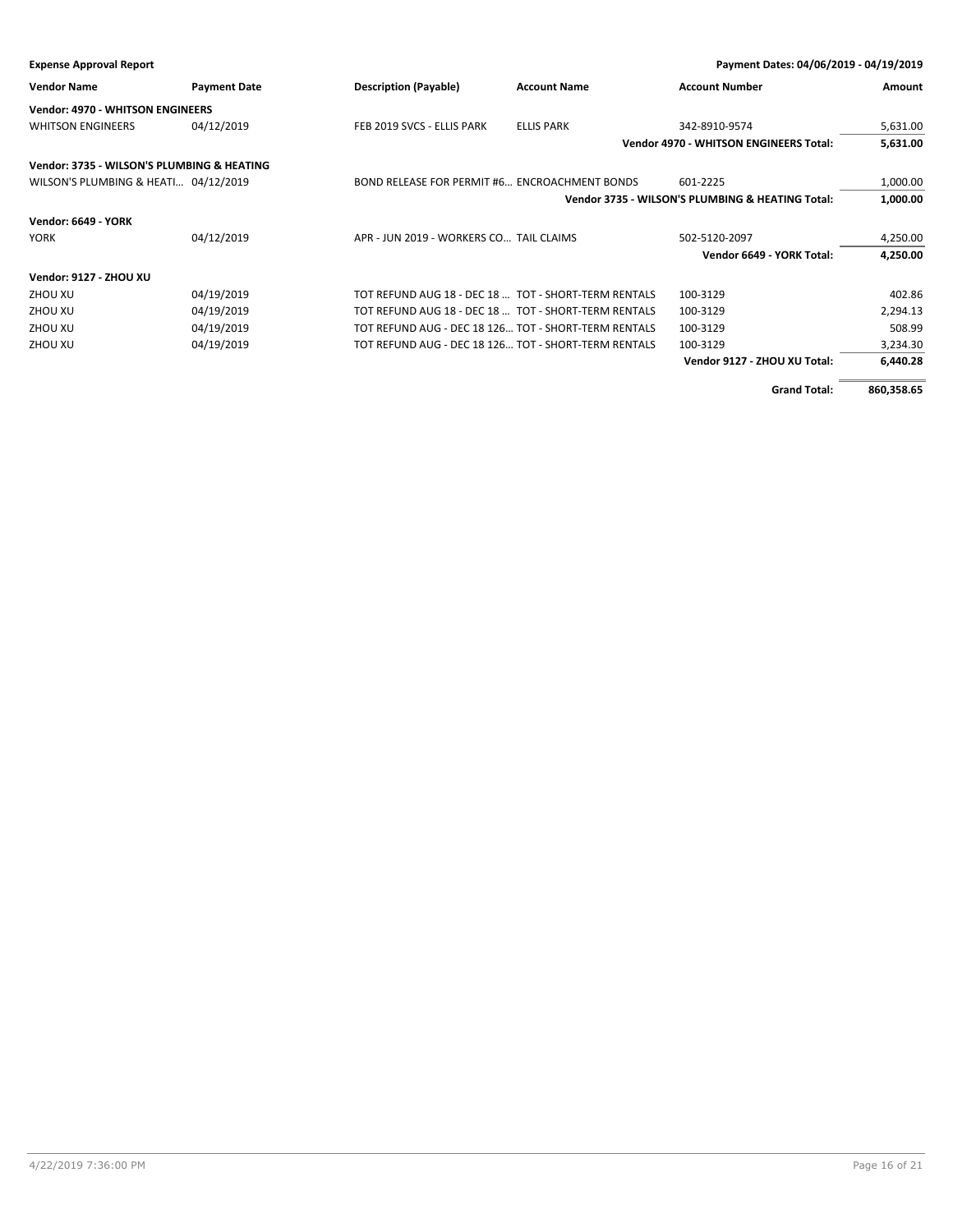| Payment Dates: 04/06/2019 - 04/19/2019<br><b>Expense Approval Report</b> |                     |                                                      |                     |                                                  |          |
|--------------------------------------------------------------------------|---------------------|------------------------------------------------------|---------------------|--------------------------------------------------|----------|
| <b>Vendor Name</b>                                                       | <b>Payment Date</b> | <b>Description (Payable)</b>                         | <b>Account Name</b> | <b>Account Number</b>                            | Amount   |
| <b>Vendor: 4970 - WHITSON ENGINEERS</b>                                  |                     |                                                      |                     |                                                  |          |
| <b>WHITSON ENGINEERS</b>                                                 | 04/12/2019          | FEB 2019 SVCS - ELLIS PARK                           | <b>ELLIS PARK</b>   | 342-8910-9574                                    | 5,631.00 |
|                                                                          |                     |                                                      |                     | <b>Vendor 4970 - WHITSON ENGINEERS Total:</b>    | 5,631.00 |
| Vendor: 3735 - WILSON'S PLUMBING & HEATING                               |                     |                                                      |                     |                                                  |          |
| WILSON'S PLUMBING & HEATI 04/12/2019                                     |                     | BOND RELEASE FOR PERMIT #6 ENCROACHMENT BONDS        |                     | 601-2225                                         | 1,000.00 |
|                                                                          |                     |                                                      |                     | Vendor 3735 - WILSON'S PLUMBING & HEATING Total: | 1,000.00 |
| <b>Vendor: 6649 - YORK</b>                                               |                     |                                                      |                     |                                                  |          |
| <b>YORK</b>                                                              | 04/12/2019          | APR - JUN 2019 - WORKERS CO TAIL CLAIMS              |                     | 502-5120-2097                                    | 4,250.00 |
|                                                                          |                     |                                                      |                     | Vendor 6649 - YORK Total:                        | 4,250.00 |
| Vendor: 9127 - ZHOU XU                                                   |                     |                                                      |                     |                                                  |          |
| ZHOU XU                                                                  | 04/19/2019          | TOT REFUND AUG 18 - DEC 18  TOT - SHORT-TERM RENTALS |                     | 100-3129                                         | 402.86   |
| ZHOU XU                                                                  | 04/19/2019          | TOT REFUND AUG 18 - DEC 18  TOT - SHORT-TERM RENTALS |                     | 100-3129                                         | 2,294.13 |
| ZHOU XU                                                                  | 04/19/2019          | TOT REFUND AUG - DEC 18 126 TOT - SHORT-TERM RENTALS |                     | 100-3129                                         | 508.99   |
| ZHOU XU                                                                  | 04/19/2019          | TOT REFUND AUG - DEC 18 126 TOT - SHORT-TERM RENTALS |                     | 100-3129                                         | 3,234.30 |
|                                                                          |                     |                                                      |                     | Vendor 9127 - ZHOU XU Total:                     | 6.440.28 |

**Grand Total: 860,358.65**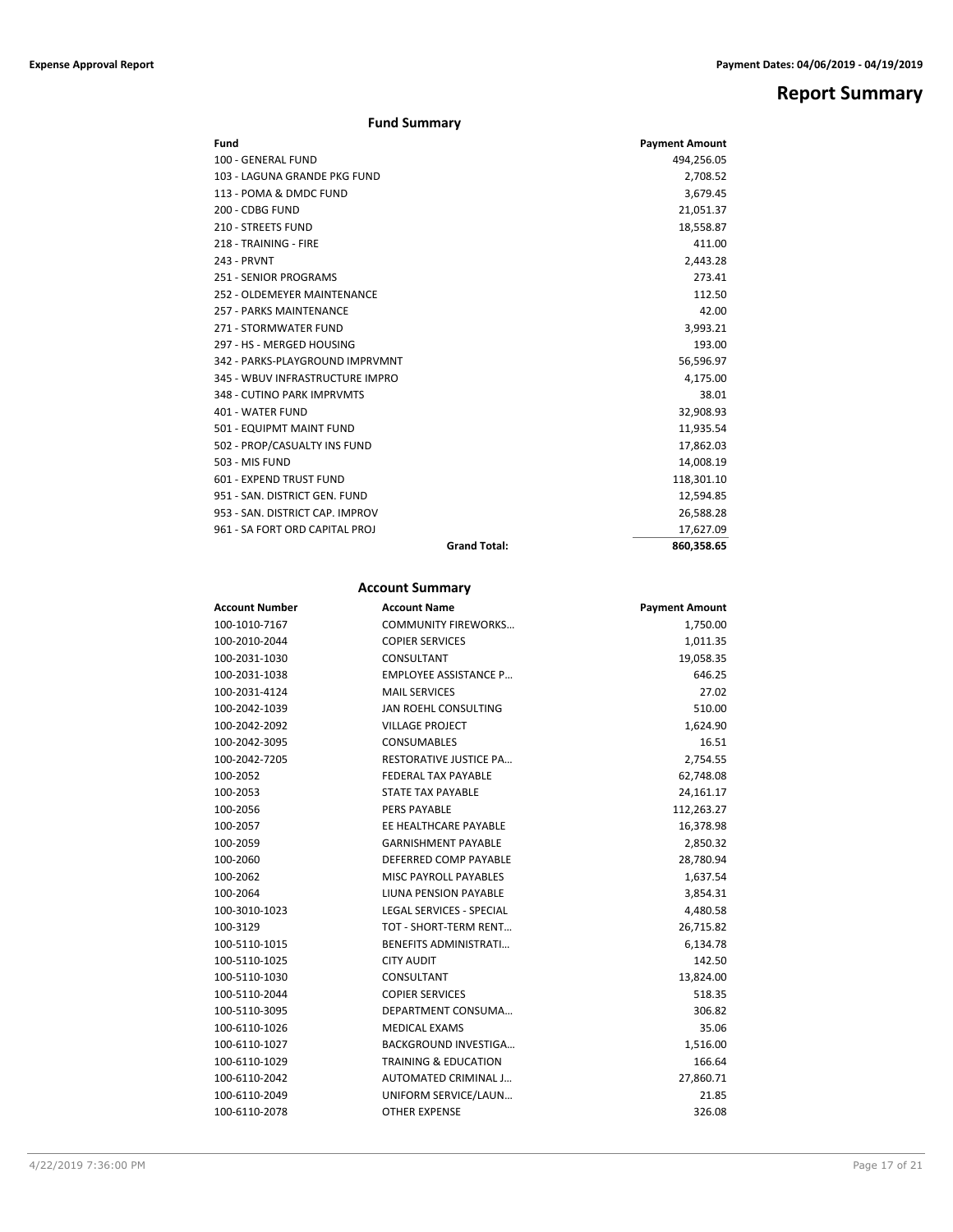## **Report Summary**

#### **Fund Summary**

| Fund                            | <b>Payment Amount</b> |
|---------------------------------|-----------------------|
| 100 - GENERAL FUND              | 494,256.05            |
| 103 - LAGUNA GRANDE PKG FUND    | 2,708.52              |
| 113 - POMA & DMDC FUND          | 3,679.45              |
| 200 - CDBG FUND                 | 21,051.37             |
| 210 - STREETS FUND              | 18,558.87             |
| 218 - TRAINING - FIRE           | 411.00                |
| 243 - PRVNT                     | 2,443.28              |
| 251 - SENIOR PROGRAMS           | 273.41                |
| 252 - OLDEMEYER MAINTENANCE     | 112.50                |
| 257 - PARKS MAINTENANCE         | 42.00                 |
| 271 - STORMWATER FUND           | 3,993.21              |
| 297 - HS - MERGED HOUSING       | 193.00                |
| 342 - PARKS-PLAYGROUND IMPRVMNT | 56,596.97             |
| 345 - WBUV INFRASTRUCTURE IMPRO | 4,175.00              |
| 348 - CUTINO PARK IMPRVMTS      | 38.01                 |
| 401 - WATER FUND                | 32,908.93             |
| 501 - EQUIPMT MAINT FUND        | 11,935.54             |
| 502 - PROP/CASUALTY INS FUND    | 17,862.03             |
| 503 - MIS FUND                  | 14,008.19             |
| 601 - EXPEND TRUST FUND         | 118,301.10            |
| 951 - SAN, DISTRICT GEN, FUND   | 12,594.85             |
| 953 - SAN, DISTRICT CAP, IMPROV | 26,588.28             |
| 961 - SA FORT ORD CAPITAL PROJ  | 17,627.09             |
| <b>Grand Total:</b>             | 860.358.65            |

### **Account Summary**

| <b>Account Number</b> | <b>Account Name</b>             | <b>Payment Amount</b> |
|-----------------------|---------------------------------|-----------------------|
| 100-1010-7167         | <b>COMMUNITY FIREWORKS</b>      | 1,750.00              |
| 100-2010-2044         | <b>COPIER SERVICES</b>          | 1,011.35              |
| 100-2031-1030         | CONSULTANT                      | 19,058.35             |
| 100-2031-1038         | <b>EMPLOYEE ASSISTANCE P</b>    | 646.25                |
| 100-2031-4124         | <b>MAIL SERVICES</b>            | 27.02                 |
| 100-2042-1039         | JAN ROEHL CONSULTING            | 510.00                |
| 100-2042-2092         | <b>VILLAGE PROJECT</b>          | 1,624.90              |
| 100-2042-3095         | CONSUMABLES                     | 16.51                 |
| 100-2042-7205         | <b>RESTORATIVE JUSTICE PA</b>   | 2,754.55              |
| 100-2052              | <b>FEDERAL TAX PAYABLE</b>      | 62,748.08             |
| 100-2053              | <b>STATE TAX PAYABLE</b>        | 24,161.17             |
| 100-2056              | PERS PAYABLE                    | 112,263.27            |
| 100-2057              | EE HEALTHCARE PAYABLE           | 16,378.98             |
| 100-2059              | <b>GARNISHMENT PAYABLE</b>      | 2,850.32              |
| 100-2060              | DEFERRED COMP PAYABLE           | 28,780.94             |
| 100-2062              | MISC PAYROLL PAYABLES           | 1,637.54              |
| 100-2064              | <b>LIUNA PENSION PAYABLE</b>    | 3,854.31              |
| 100-3010-1023         | LEGAL SERVICES - SPECIAL        | 4,480.58              |
| 100-3129              | TOT - SHORT-TERM RENT           | 26,715.82             |
| 100-5110-1015         | <b>BENEFITS ADMINISTRATI</b>    | 6,134.78              |
| 100-5110-1025         | <b>CITY AUDIT</b>               | 142.50                |
| 100-5110-1030         | CONSULTANT                      | 13,824.00             |
| 100-5110-2044         | <b>COPIER SERVICES</b>          | 518.35                |
| 100-5110-3095         | DEPARTMENT CONSUMA              | 306.82                |
| 100-6110-1026         | <b>MEDICAL EXAMS</b>            | 35.06                 |
| 100-6110-1027         | <b>BACKGROUND INVESTIGA</b>     | 1,516.00              |
| 100-6110-1029         | <b>TRAINING &amp; EDUCATION</b> | 166.64                |
| 100-6110-2042         | AUTOMATED CRIMINAL J            | 27,860.71             |
| 100-6110-2049         | UNIFORM SERVICE/LAUN            | 21.85                 |
| 100-6110-2078         | <b>OTHER EXPENSE</b>            | 326.08                |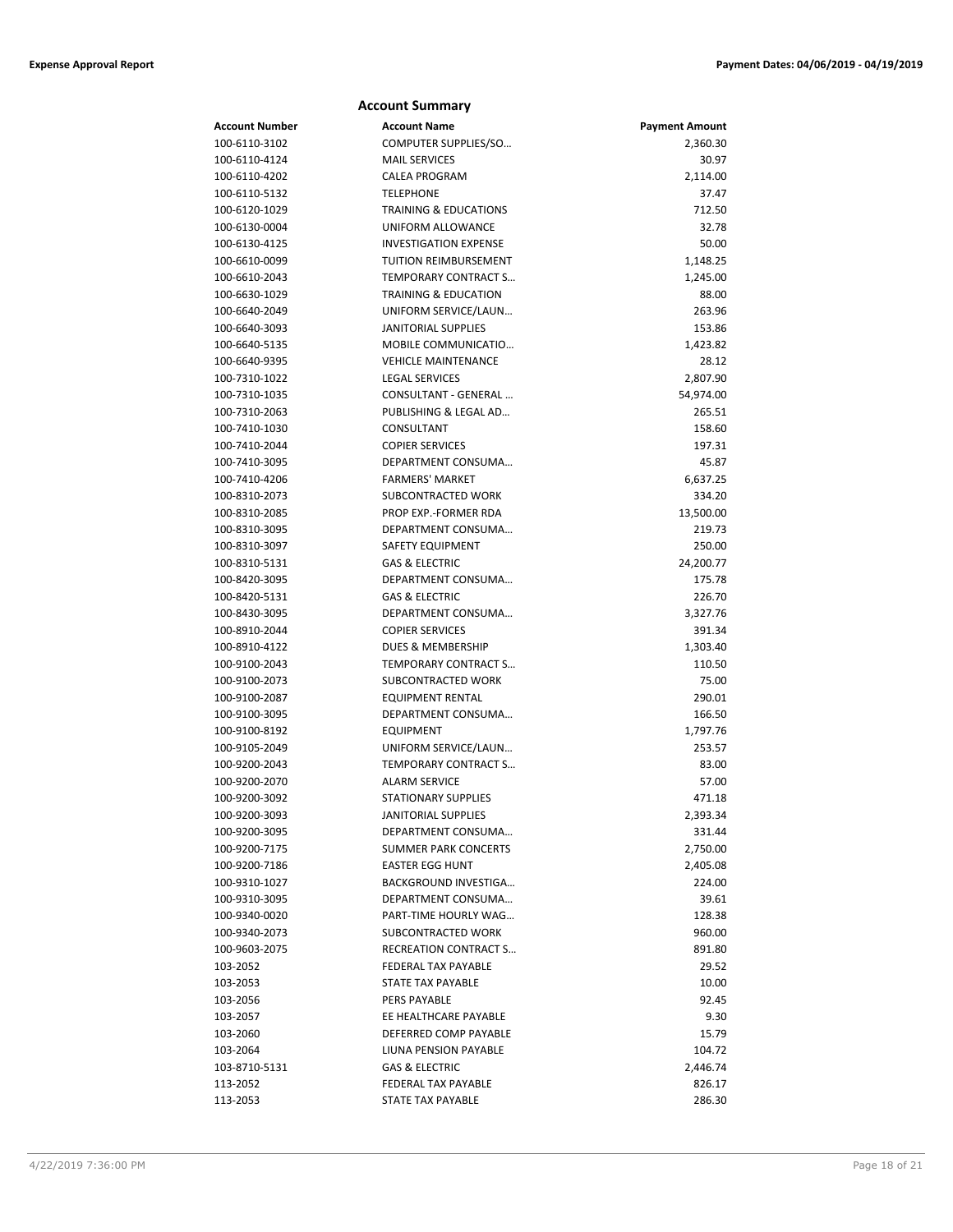|                                | <b>Account Summary</b>                       |                       |
|--------------------------------|----------------------------------------------|-----------------------|
| Account Number                 | <b>Account Name</b>                          | <b>Payment Amount</b> |
| 100-6110-3102                  | COMPUTER SUPPLIES/SO                         | 2,360.30              |
| 100-6110-4124                  | <b>MAIL SERVICES</b>                         | 30.97                 |
| 100-6110-4202                  | <b>CALEA PROGRAM</b>                         | 2,114.00              |
| 100-6110-5132                  | <b>TELEPHONE</b>                             | 37.47                 |
| 100-6120-1029                  | <b>TRAINING &amp; EDUCATIONS</b>             | 712.50                |
| 100-6130-0004                  | UNIFORM ALLOWANCE                            | 32.78                 |
| 100-6130-4125                  | <b>INVESTIGATION EXPENSE</b>                 | 50.00                 |
| 100-6610-0099                  | TUITION REIMBURSEMENT                        | 1,148.25              |
| 100-6610-2043                  | TEMPORARY CONTRACT S                         | 1,245.00              |
| 100-6630-1029                  | <b>TRAINING &amp; EDUCATION</b>              | 88.00                 |
| 100-6640-2049                  | UNIFORM SERVICE/LAUN                         | 263.96                |
| 100-6640-3093                  | <b>JANITORIAL SUPPLIES</b>                   | 153.86                |
| 100-6640-5135                  | MOBILE COMMUNICATIO                          | 1,423.82              |
| 100-6640-9395                  | <b>VEHICLE MAINTENANCE</b>                   | 28.12                 |
| 100-7310-1022                  | <b>LEGAL SERVICES</b>                        | 2,807.90              |
| 100-7310-1035                  | CONSULTANT - GENERAL                         | 54,974.00             |
| 100-7310-2063                  | PUBLISHING & LEGAL AD                        | 265.51                |
| 100-7410-1030                  | CONSULTANT                                   | 158.60                |
| 100-7410-2044                  | <b>COPIER SERVICES</b>                       | 197.31                |
| 100-7410-3095                  | DEPARTMENT CONSUMA                           | 45.87                 |
| 100-7410-4206                  | <b>FARMERS' MARKET</b>                       | 6,637.25              |
| 100-8310-2073                  | SUBCONTRACTED WORK                           | 334.20                |
| 100-8310-2085                  | PROP EXP.-FORMER RDA                         | 13,500.00             |
| 100-8310-3095                  | DEPARTMENT CONSUMA                           | 219.73                |
| 100-8310-3097                  | SAFETY EQUIPMENT                             | 250.00                |
| 100-8310-5131                  | <b>GAS &amp; ELECTRIC</b>                    | 24,200.77             |
| 100-8420-3095                  | DEPARTMENT CONSUMA                           | 175.78                |
| 100-8420-5131                  | <b>GAS &amp; ELECTRIC</b>                    | 226.70                |
| 100-8430-3095                  | DEPARTMENT CONSUMA                           | 3,327.76              |
| 100-8910-2044                  | <b>COPIER SERVICES</b>                       | 391.34                |
| 100-8910-4122                  | DUES & MEMBERSHIP                            | 1,303.40              |
| 100-9100-2043                  | <b>TEMPORARY CONTRACT S</b>                  | 110.50                |
| 100-9100-2073                  | SUBCONTRACTED WORK                           | 75.00                 |
| 100-9100-2087                  | EQUIPMENT RENTAL                             | 290.01                |
| 100-9100-3095                  | DEPARTMENT CONSUMA                           | 166.50                |
| 100-9100-8192                  | <b>EQUIPMENT</b>                             | 1,797.76              |
| 100-9105-2049                  | UNIFORM SERVICE/LAUN                         | 253.57                |
| 100-9200-2043<br>100-9200-2070 | TEMPORARY CONTRACT S<br><b>ALARM SERVICE</b> | 83.00<br>57.00        |
| 100-9200-3092                  | STATIONARY SUPPLIES                          |                       |
| 100-9200-3093                  | <b>JANITORIAL SUPPLIES</b>                   | 471.18                |
| 100-9200-3095                  | DEPARTMENT CONSUMA                           | 2,393.34<br>331.44    |
| 100-9200-7175                  | <b>SUMMER PARK CONCERTS</b>                  | 2,750.00              |
| 100-9200-7186                  | <b>EASTER EGG HUNT</b>                       | 2,405.08              |
| 100-9310-1027                  | BACKGROUND INVESTIGA                         | 224.00                |
| 100-9310-3095                  | DEPARTMENT CONSUMA                           | 39.61                 |
| 100-9340-0020                  | PART-TIME HOURLY WAG                         | 128.38                |
| 100-9340-2073                  | SUBCONTRACTED WORK                           | 960.00                |
| 100-9603-2075                  | <b>RECREATION CONTRACT S</b>                 | 891.80                |
| 103-2052                       | FEDERAL TAX PAYABLE                          | 29.52                 |
| 103-2053                       | STATE TAX PAYABLE                            | 10.00                 |
| 103-2056                       | <b>PERS PAYABLE</b>                          | 92.45                 |
| 103-2057                       | EE HEALTHCARE PAYABLE                        | 9.30                  |
| 103-2060                       | DEFERRED COMP PAYABLE                        | 15.79                 |
| 103-2064                       | LIUNA PENSION PAYABLE                        | 104.72                |
| 103-8710-5131                  | <b>GAS &amp; ELECTRIC</b>                    | 2,446.74              |
| 113-2052                       | FEDERAL TAX PAYABLE                          | 826.17                |
| 113-2053                       | STATE TAX PAYABLE                            | 286.30                |
|                                |                                              |                       |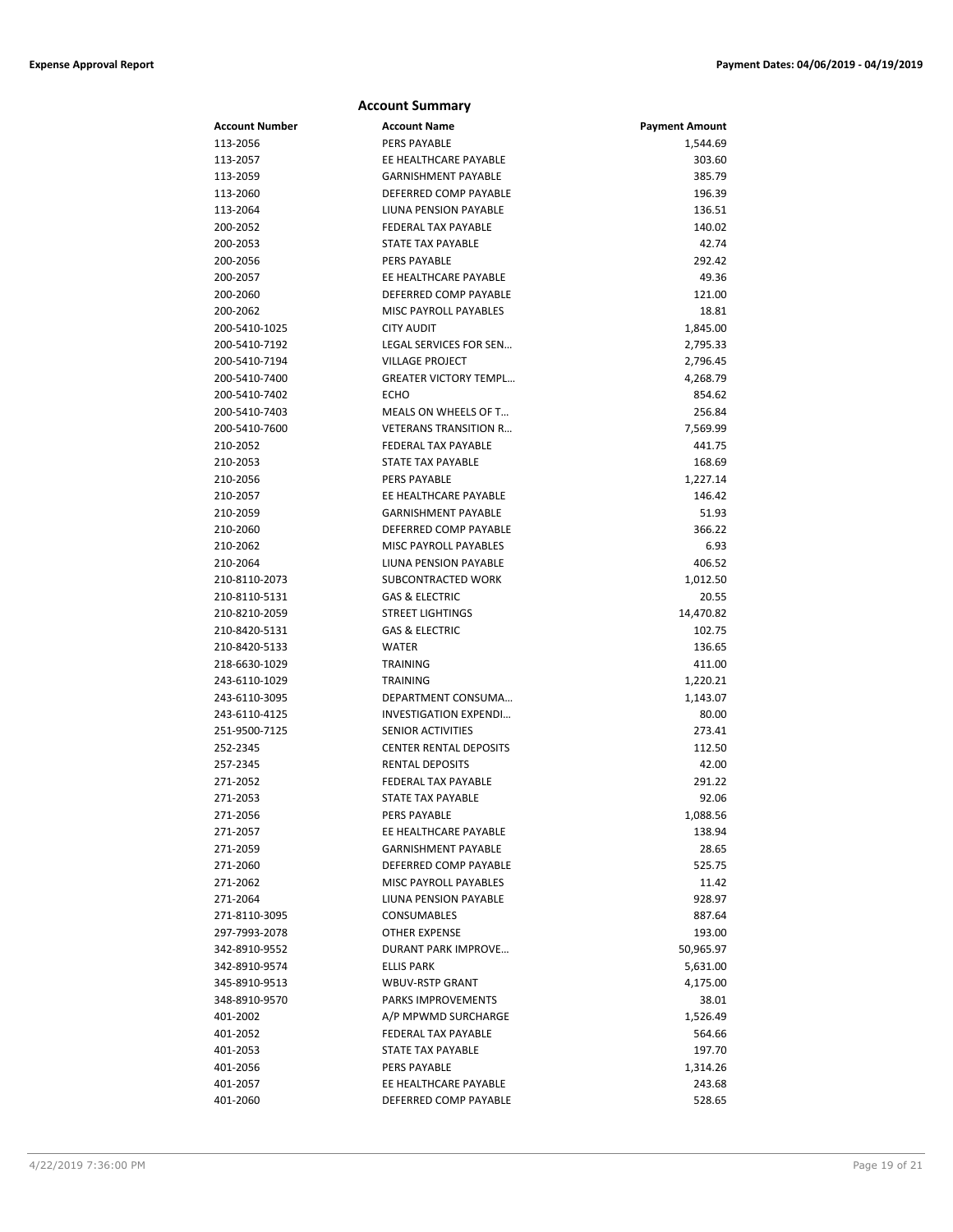|                | <b>Account Summary</b>        |                       |
|----------------|-------------------------------|-----------------------|
| Account Number | <b>Account Name</b>           | <b>Payment Amount</b> |
| 113-2056       | <b>PERS PAYABLE</b>           | 1,544.69              |
| 113-2057       | EE HEALTHCARE PAYABLE         | 303.60                |
| 113-2059       | <b>GARNISHMENT PAYABLE</b>    | 385.79                |
| 113-2060       | DEFERRED COMP PAYABLE         | 196.39                |
| 113-2064       | LIUNA PENSION PAYABLE         | 136.51                |
| 200-2052       | FEDERAL TAX PAYABLE           | 140.02                |
| 200-2053       | STATE TAX PAYABLE             | 42.74                 |
| 200-2056       | <b>PERS PAYABLE</b>           | 292.42                |
| 200-2057       | EE HEALTHCARE PAYABLE         | 49.36                 |
| 200-2060       | DEFERRED COMP PAYABLE         | 121.00                |
| 200-2062       | MISC PAYROLL PAYABLES         | 18.81                 |
| 200-5410-1025  | <b>CITY AUDIT</b>             | 1,845.00              |
| 200-5410-7192  | LEGAL SERVICES FOR SEN        | 2,795.33              |
| 200-5410-7194  | <b>VILLAGE PROJECT</b>        | 2,796.45              |
| 200-5410-7400  | <b>GREATER VICTORY TEMPL</b>  | 4,268.79              |
| 200-5410-7402  | ECHO                          | 854.62                |
| 200-5410-7403  | MEALS ON WHEELS OF T          | 256.84                |
| 200-5410-7600  | <b>VETERANS TRANSITION R</b>  | 7,569.99              |
| 210-2052       | <b>FEDERAL TAX PAYABLE</b>    | 441.75                |
| 210-2053       | STATE TAX PAYABLE             | 168.69                |
| 210-2056       | PERS PAYABLE                  | 1,227.14              |
| 210-2057       | EE HEALTHCARE PAYABLE         | 146.42                |
| 210-2059       | <b>GARNISHMENT PAYABLE</b>    | 51.93                 |
| 210-2060       | DEFERRED COMP PAYABLE         | 366.22                |
| 210-2062       | <b>MISC PAYROLL PAYABLES</b>  | 6.93                  |
| 210-2064       | LIUNA PENSION PAYABLE         | 406.52                |
| 210-8110-2073  | SUBCONTRACTED WORK            | 1,012.50              |
| 210-8110-5131  | <b>GAS &amp; ELECTRIC</b>     | 20.55                 |
| 210-8210-2059  | <b>STREET LIGHTINGS</b>       | 14,470.82             |
| 210-8420-5131  | <b>GAS &amp; ELECTRIC</b>     | 102.75                |
| 210-8420-5133  | <b>WATER</b>                  | 136.65                |
| 218-6630-1029  | <b>TRAINING</b>               | 411.00                |
| 243-6110-1029  | <b>TRAINING</b>               | 1,220.21              |
| 243-6110-3095  | DEPARTMENT CONSUMA            | 1,143.07              |
| 243-6110-4125  | INVESTIGATION EXPENDI         | 80.00                 |
| 251-9500-7125  | <b>SENIOR ACTIVITIES</b>      | 273.41                |
| 252-2345       | <b>CENTER RENTAL DEPOSITS</b> | 112.50                |
| 257-2345       | <b>RENTAL DEPOSITS</b>        | 42.00                 |
| 271-2052       | <b>FEDERAL TAX PAYABLE</b>    | 291.22                |
| 271-2053       | STATE TAX PAYABLE             | 92.06                 |
| 271-2056       | <b>PERS PAYABLE</b>           | 1,088.56              |
| 271-2057       | EE HEALTHCARE PAYABLE         | 138.94                |
| 271-2059       | <b>GARNISHMENT PAYABLE</b>    | 28.65                 |
| 271-2060       | DEFERRED COMP PAYABLE         | 525.75                |
| 271-2062       | MISC PAYROLL PAYABLES         | 11.42                 |
| 271-2064       | LIUNA PENSION PAYABLE         | 928.97                |
| 271-8110-3095  | <b>CONSUMABLES</b>            | 887.64                |
| 297-7993-2078  | <b>OTHER EXPENSE</b>          | 193.00                |
| 342-8910-9552  | DURANT PARK IMPROVE           | 50,965.97             |
| 342-8910-9574  | <b>ELLIS PARK</b>             | 5,631.00              |
| 345-8910-9513  | WBUV-RSTP GRANT               | 4,175.00              |
| 348-8910-9570  | PARKS IMPROVEMENTS            | 38.01                 |
| 401-2002       | A/P MPWMD SURCHARGE           | 1,526.49              |
| 401-2052       | FEDERAL TAX PAYABLE           | 564.66                |
| 401-2053       | STATE TAX PAYABLE             | 197.70                |
| 401-2056       | PERS PAYABLE                  | 1,314.26              |
| 401-2057       | EE HEALTHCARE PAYABLE         | 243.68                |
| 401-2060       | DEFERRED COMP PAYABLE         | 528.65                |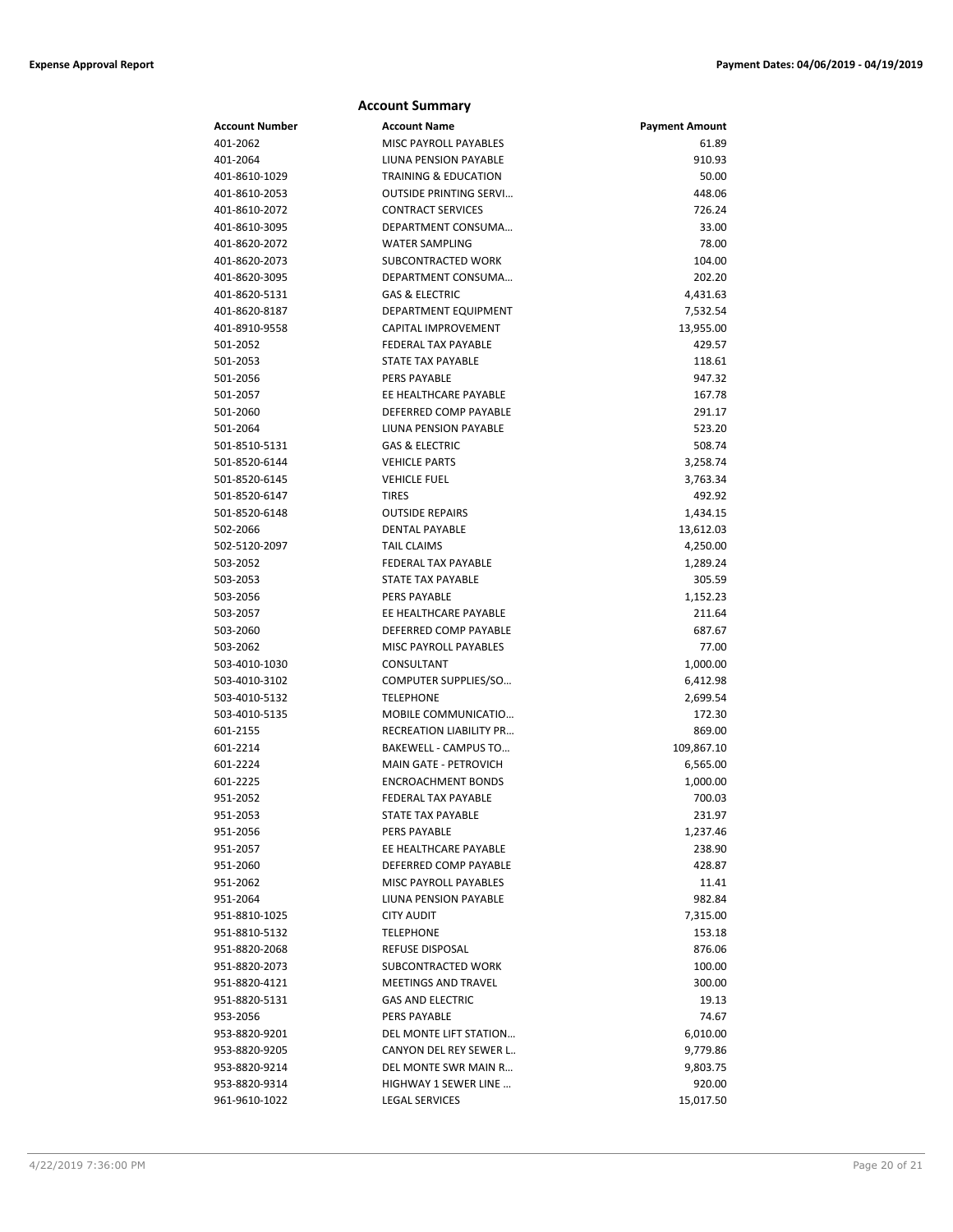#### **Account Number Account Name Payment Amount** 401-2062 MISC PAYROLL PAYABLES 61.89 401-2064 LIUNA PENSION PAYABLE 910.93 401-8610-1029 TRAINING & EDUCATION 50.00 401-8610-2053 OUTSIDE PRINTING SERVI… 448.06 401-8610-2072 CONTRACT SERVICES 726.24 401-8610-3095 DEPARTMENT CONSUMA… 33.00 401-8620-2072 WATER SAMPLING 78.00 401-8620-2073 SUBCONTRACTED WORK 104.00 401-8620-3095 DEPARTMENT CONSUMA… 202.20 401-8620-5131 GAS & ELECTRIC 4,431.63 401-8620-8187 DEPARTMENT EQUIPMENT 7,532.54 401-8910-9558 CAPITAL IMPROVEMENT 13,955.00 501-2052 FEDERAL TAX PAYABLE 429.57 501-2053 STATE TAX PAYABLE 118.61 501-2056 PERS PAYABLE 947.32 501-2057 EE HEALTHCARE PAYABLE 167.78 501-2060 DEFERRED COMP PAYABLE 291.17 501-2064 LIUNA PENSION PAYABLE 523.20 501-8510-5131 GAS & ELECTRIC 508.74 501-8520-6144 VEHICLE PARTS 3,258.74 501-8520-6145 VEHICLE FUEL 3,763.34 501-8520-6147 TIRES 492.92 501-8520-6148 OUTSIDE REPAIRS 1,434.15 502-2066 DENTAL PAYABLE 13,612.03 502-5120-2097 TAIL CLAIMS 4,250.00 503-2052 FEDERAL TAX PAYABLE 1,289.24 503-2053 STATE TAX PAYABLE 305.59 503-2056 PERS PAYABLE 1,152.23 503-2057 EE HEALTHCARE PAYABLE 211.64 503-2060 DEFERRED COMP PAYABLE 687.67 503-2062 MISC PAYROLL PAYABLES 77.00 503-4010-1030 CONSULTANT 1,000.00 503-4010-3102 COMPUTER SUPPLIES/SO… 6,412.98 503-4010-5132 TELEPHONE 2,699.54 503-4010-5135 MOBILE COMMUNICATIO… 172.30 601-2155 RECREATION LIABILITY PR… 869.00 601-2214 BAKEWELL - CAMPUS TO… 109,867.10 601-2224 MAIN GATE - PETROVICH 6,565.00 601-2225 ENCROACHMENT BONDS 1,000.00 951-2052 FEDERAL TAX PAYABLE 700.03 951-2053 STATE TAX PAYABLE 231.97 951-2056 PERS PAYABLE 1,237.46 951-2057 EE HEALTHCARE PAYABLE 238.90 951-2060 DEFERRED COMP PAYABLE 428.87 951-2062 MISC PAYROLL PAYABLES 11.41 951-2064 LIUNA PENSION PAYABLE 982.84 951-8810-1025 CITY AUDIT 7,315.00 951-8810-5132 TELEPHONE 153.18 951-8820-2068 REFUSE DISPOSAL 876.06 951-8820-2073 SUBCONTRACTED WORK 100.00 951-8820-4121 MEETINGS AND TRAVEL 300.00 951-8820-5131 GAS AND ELECTRIC 19.13 953-2056 PERS PAYABLE 74.67 953-8820-9201 DEL MONTE LIFT STATION… 6,010.00 953-8820-9205 CANYON DEL REY SEWER L… 9,779.86 953-8820-9214 DEL MONTE SWR MAIN R… 9,803.75 953-8820-9314 HIGHWAY 1 SEWER LINE … 920.00

961-9610-1022 LEGAL SERVICES 15,017.50

**Account Summary**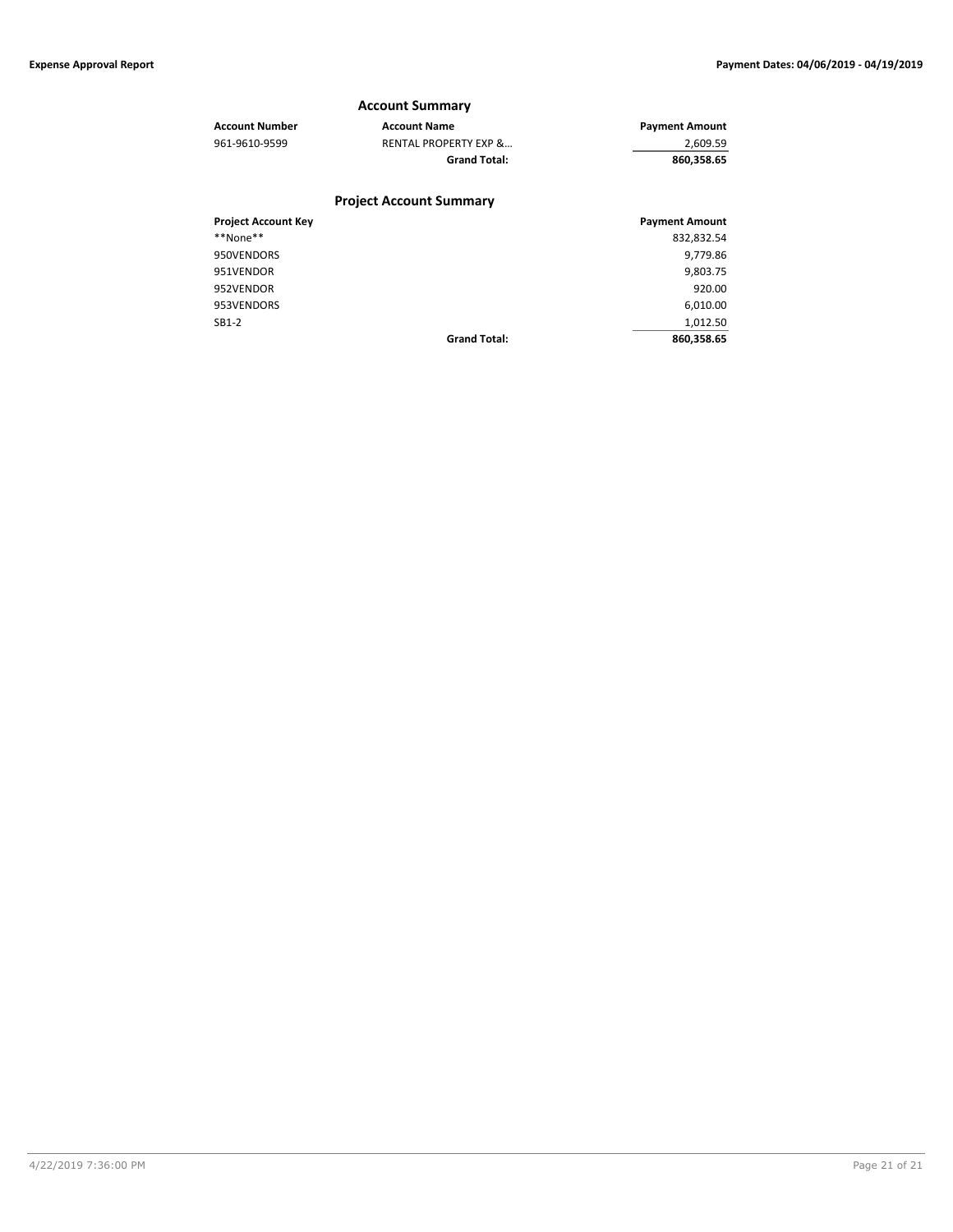#### **Account Summary**

| <b>Account Number</b> | <b>Account Name</b>              | <b>Payment Amount</b> |
|-----------------------|----------------------------------|-----------------------|
| 961-9610-9599         | <b>RENTAL PROPERTY EXP &amp;</b> | 2,609.59              |
|                       | <b>Grand Total:</b>              | 860.358.65            |
|                       |                                  |                       |

### **Project Account Summary**

| <b>Project Account Key</b> |                     | <b>Payment Amount</b> |
|----------------------------|---------------------|-----------------------|
| **None**                   |                     | 832,832.54            |
| 950VENDORS                 |                     | 9,779.86              |
| 951VENDOR                  |                     | 9,803.75              |
| 952VENDOR                  |                     | 920.00                |
| 953VENDORS                 |                     | 6,010.00              |
| $SB1-2$                    |                     | 1,012.50              |
|                            | <b>Grand Total:</b> | 860,358.65            |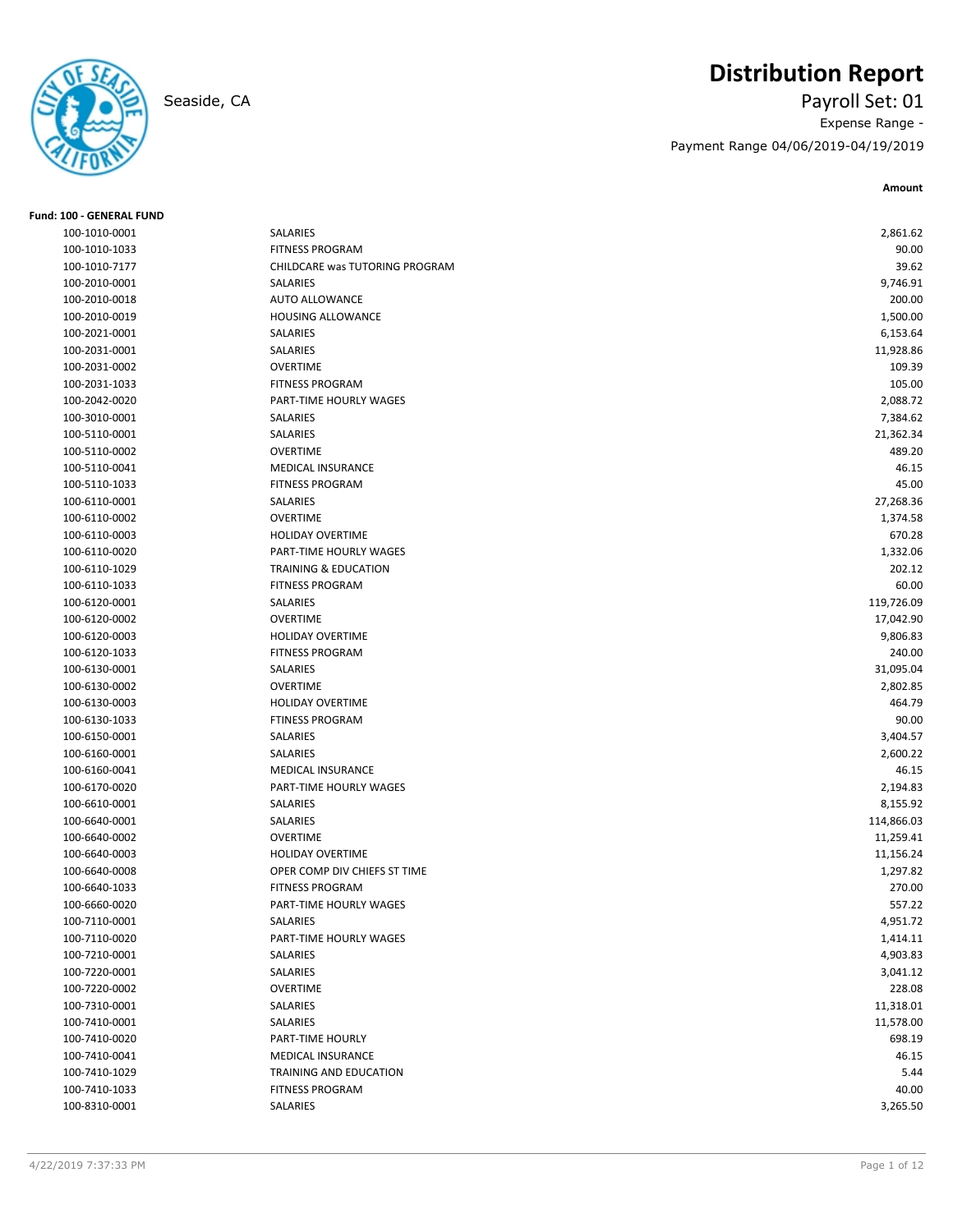# **Distribution Report**



## Seaside, CA Payroll Set: 01 Expense Range - Payment Range 04/06/2019-04/19/2019

**Amount**

| <b>Fund: 100 - GENERAL FUND</b> |                                 |            |
|---------------------------------|---------------------------------|------------|
| 100-1010-0001                   | SALARIES                        | 2,861.62   |
| 100-1010-1033                   | <b>FITNESS PROGRAM</b>          | 90.00      |
| 100-1010-7177                   | CHILDCARE was TUTORING PROGRAM  | 39.62      |
| 100-2010-0001                   | SALARIES                        | 9,746.91   |
| 100-2010-0018                   | <b>AUTO ALLOWANCE</b>           | 200.00     |
| 100-2010-0019                   | <b>HOUSING ALLOWANCE</b>        | 1,500.00   |
| 100-2021-0001                   | SALARIES                        | 6,153.64   |
| 100-2031-0001                   | SALARIES                        | 11,928.86  |
| 100-2031-0002                   | <b>OVERTIME</b>                 | 109.39     |
| 100-2031-1033                   | <b>FITNESS PROGRAM</b>          | 105.00     |
| 100-2042-0020                   | PART-TIME HOURLY WAGES          | 2,088.72   |
| 100-3010-0001                   | SALARIES                        | 7,384.62   |
| 100-5110-0001                   | SALARIES                        | 21,362.34  |
| 100-5110-0002                   | <b>OVERTIME</b>                 | 489.20     |
| 100-5110-0041                   | <b>MEDICAL INSURANCE</b>        | 46.15      |
| 100-5110-1033                   | <b>FITNESS PROGRAM</b>          | 45.00      |
| 100-6110-0001                   | SALARIES                        | 27,268.36  |
| 100-6110-0002                   | <b>OVERTIME</b>                 | 1,374.58   |
| 100-6110-0003                   | <b>HOLIDAY OVERTIME</b>         | 670.28     |
| 100-6110-0020                   | PART-TIME HOURLY WAGES          | 1,332.06   |
| 100-6110-1029                   | <b>TRAINING &amp; EDUCATION</b> | 202.12     |
| 100-6110-1033                   | <b>FITNESS PROGRAM</b>          | 60.00      |
| 100-6120-0001                   | SALARIES                        | 119,726.09 |
| 100-6120-0002                   | <b>OVERTIME</b>                 | 17,042.90  |
| 100-6120-0003                   | <b>HOLIDAY OVERTIME</b>         | 9,806.83   |
| 100-6120-1033                   | <b>FITNESS PROGRAM</b>          | 240.00     |
| 100-6130-0001                   | SALARIES                        | 31,095.04  |
| 100-6130-0002                   | <b>OVERTIME</b>                 | 2,802.85   |
| 100-6130-0003                   | HOLIDAY OVERTIME                | 464.79     |
| 100-6130-1033                   | <b>FTINESS PROGRAM</b>          | 90.00      |
| 100-6150-0001                   | SALARIES                        | 3,404.57   |
| 100-6160-0001                   | <b>SALARIES</b>                 | 2,600.22   |
| 100-6160-0041                   | <b>MEDICAL INSURANCE</b>        | 46.15      |
| 100-6170-0020                   | PART-TIME HOURLY WAGES          | 2,194.83   |
| 100-6610-0001                   | SALARIES                        | 8,155.92   |
| 100-6640-0001                   | SALARIES                        | 114,866.03 |
| 100-6640-0002                   | <b>OVERTIME</b>                 | 11,259.41  |
| 100-6640-0003                   | <b>HOLIDAY OVERTIME</b>         | 11,156.24  |
| 100-6640-0008                   | OPER COMP DIV CHIEFS ST TIME    | 1,297.82   |
| 100-6640-1033                   | <b>FITNESS PROGRAM</b>          | 270.00     |
| 100-6660-0020                   | PART-TIME HOURLY WAGES          | 557.22     |
| 100-7110-0001                   | SALARIES                        | 4,951.72   |
| 100-7110-0020                   | PART-TIME HOURLY WAGES          | 1,414.11   |
| 100-7210-0001                   | SALARIES                        | 4,903.83   |
| 100-7220-0001                   | SALARIES                        | 3,041.12   |
| 100-7220-0002                   | OVERTIME                        | 228.08     |
| 100-7310-0001                   | SALARIES                        | 11,318.01  |
| 100-7410-0001                   | SALARIES                        | 11,578.00  |
| 100-7410-0020                   | PART-TIME HOURLY                | 698.19     |
| 100-7410-0041                   | MEDICAL INSURANCE               | 46.15      |
| 100-7410-1029                   | TRAINING AND EDUCATION          | 5.44       |
| 100-7410-1033                   | <b>FITNESS PROGRAM</b>          | 40.00      |
| 100-8310-0001                   | SALARIES                        | 3,265.50   |
|                                 |                                 |            |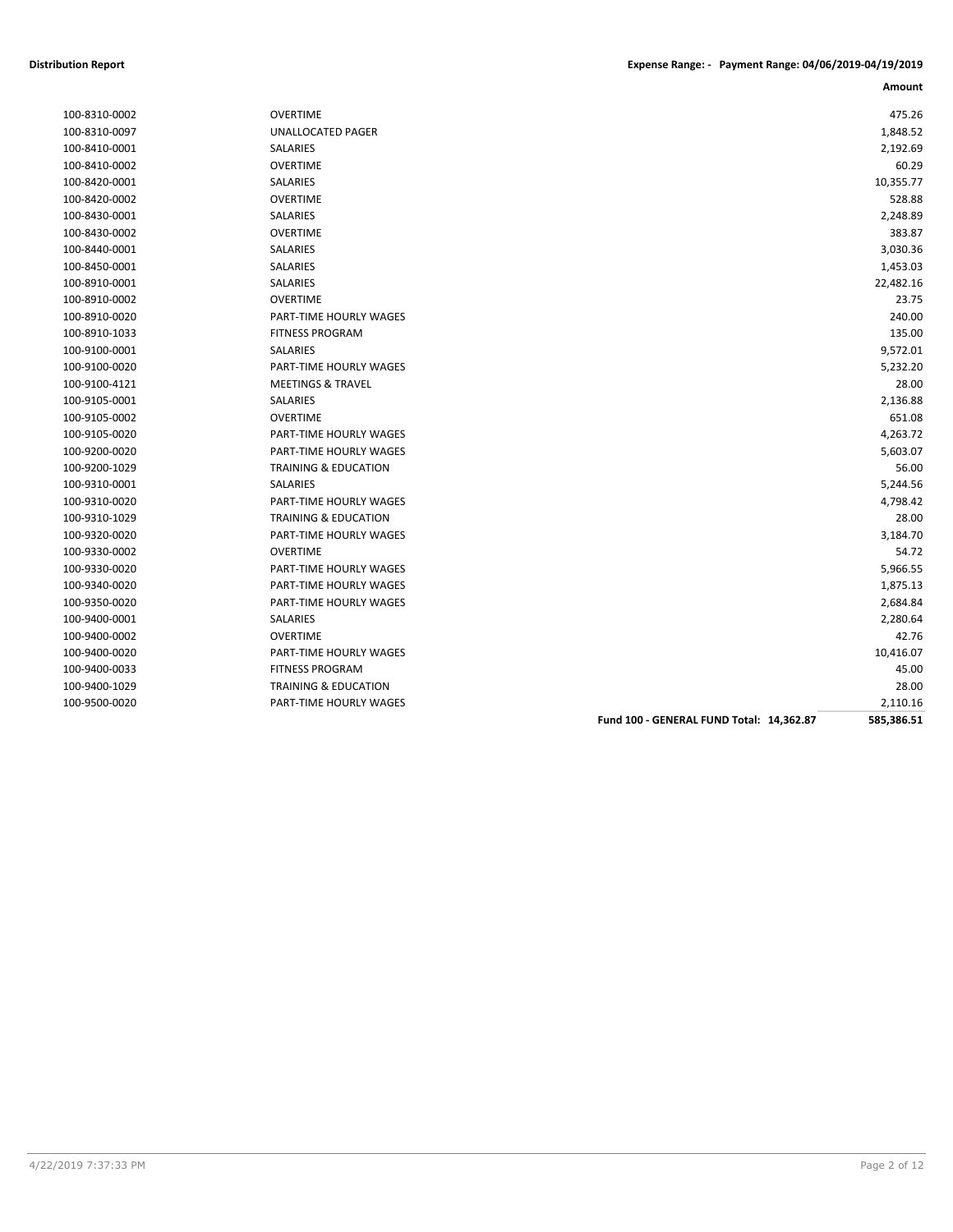| 100-8310-0002 |
|---------------|
| 100-8310-0097 |
| 100-8410-0001 |
| 100-8410-0002 |
| 100-8420-0001 |
| 100-8420-0002 |
| 100-8430-0001 |
| 100-8430-0002 |
| 100-8440-0001 |
| 100-8450-0001 |
| 100-8910-0001 |
| 100-8910-0002 |
| 100-8910-0020 |
| 100-8910-1033 |
| 100-9100-0001 |
| 100-9100-0020 |
| 100-9100-4121 |
| 100-9105-0001 |
| 100-9105-0002 |
| 100-9105-0020 |
| 100-9200-0020 |
| 100-9200-1029 |
| 100-9310-0001 |
| 100-9310-0020 |
| 100-9310-1029 |
| 100-9320-0020 |
| 100-9330-0002 |
| 100-9330-0020 |
| 100-9340-0020 |
| 100-9350-0020 |
| 100-9400-0001 |
| 100-9400-0002 |
| 100-9400-0020 |
| 100-9400-0033 |
| 100-9400-1029 |
|               |

| 100-8310-0002 | <b>OVERTIME</b>                          | 475.26     |
|---------------|------------------------------------------|------------|
| 100-8310-0097 | UNALLOCATED PAGER                        | 1,848.52   |
| 100-8410-0001 | SALARIES                                 | 2,192.69   |
| 100-8410-0002 | <b>OVERTIME</b>                          | 60.29      |
| 100-8420-0001 | <b>SALARIES</b>                          | 10,355.77  |
| 100-8420-0002 | <b>OVERTIME</b>                          | 528.88     |
| 100-8430-0001 | SALARIES                                 | 2,248.89   |
| 100-8430-0002 | <b>OVERTIME</b>                          | 383.87     |
| 100-8440-0001 | SALARIES                                 | 3,030.36   |
| 100-8450-0001 | SALARIES                                 | 1,453.03   |
| 100-8910-0001 | <b>SALARIES</b>                          | 22,482.16  |
| 100-8910-0002 | <b>OVERTIME</b>                          | 23.75      |
| 100-8910-0020 | <b>PART-TIME HOURLY WAGES</b>            | 240.00     |
| 100-8910-1033 | <b>FITNESS PROGRAM</b>                   | 135.00     |
| 100-9100-0001 | <b>SALARIES</b>                          | 9,572.01   |
| 100-9100-0020 | PART-TIME HOURLY WAGES                   | 5,232.20   |
| 100-9100-4121 | <b>MEETINGS &amp; TRAVEL</b>             | 28.00      |
| 100-9105-0001 | <b>SALARIES</b>                          | 2,136.88   |
| 100-9105-0002 | <b>OVERTIME</b>                          | 651.08     |
| 100-9105-0020 | <b>PART-TIME HOURLY WAGES</b>            | 4,263.72   |
| 100-9200-0020 | <b>PART-TIME HOURLY WAGES</b>            | 5,603.07   |
| 100-9200-1029 | <b>TRAINING &amp; EDUCATION</b>          | 56.00      |
| 100-9310-0001 | <b>SALARIES</b>                          | 5,244.56   |
| 100-9310-0020 | PART-TIME HOURLY WAGES                   | 4,798.42   |
| 100-9310-1029 | <b>TRAINING &amp; EDUCATION</b>          | 28.00      |
| 100-9320-0020 | PART-TIME HOURLY WAGES                   | 3,184.70   |
| 100-9330-0002 | <b>OVERTIME</b>                          | 54.72      |
| 100-9330-0020 | PART-TIME HOURLY WAGES                   | 5,966.55   |
| 100-9340-0020 | PART-TIME HOURLY WAGES                   | 1,875.13   |
| 100-9350-0020 | PART-TIME HOURLY WAGES                   | 2,684.84   |
| 100-9400-0001 | SALARIES                                 | 2,280.64   |
| 100-9400-0002 | <b>OVERTIME</b>                          | 42.76      |
| 100-9400-0020 | <b>PART-TIME HOURLY WAGES</b>            | 10,416.07  |
| 100-9400-0033 | <b>FITNESS PROGRAM</b>                   | 45.00      |
| 100-9400-1029 | <b>TRAINING &amp; EDUCATION</b>          | 28.00      |
| 100-9500-0020 | PART-TIME HOURLY WAGES                   | 2,110.16   |
|               | Fund 100 - GENERAL FUND Total: 14,362.87 | 585,386.51 |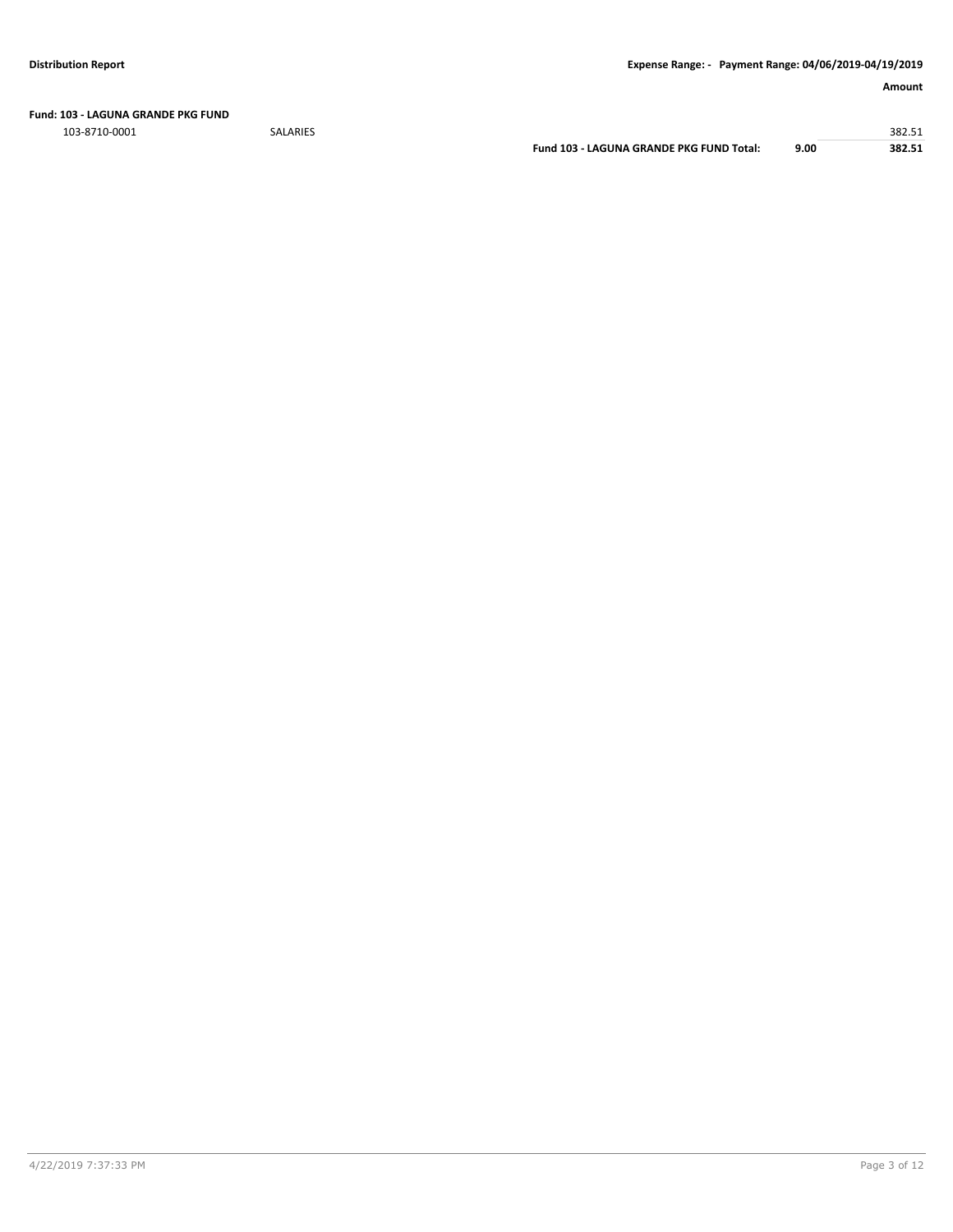**Fund: 103 - LAGUNA GRANDE PKG FUND**

103-8710-0001 SALARIES 382.51

**Fund 103 - LAGUNA GRANDE PKG FUND Total: 9.00 382.51**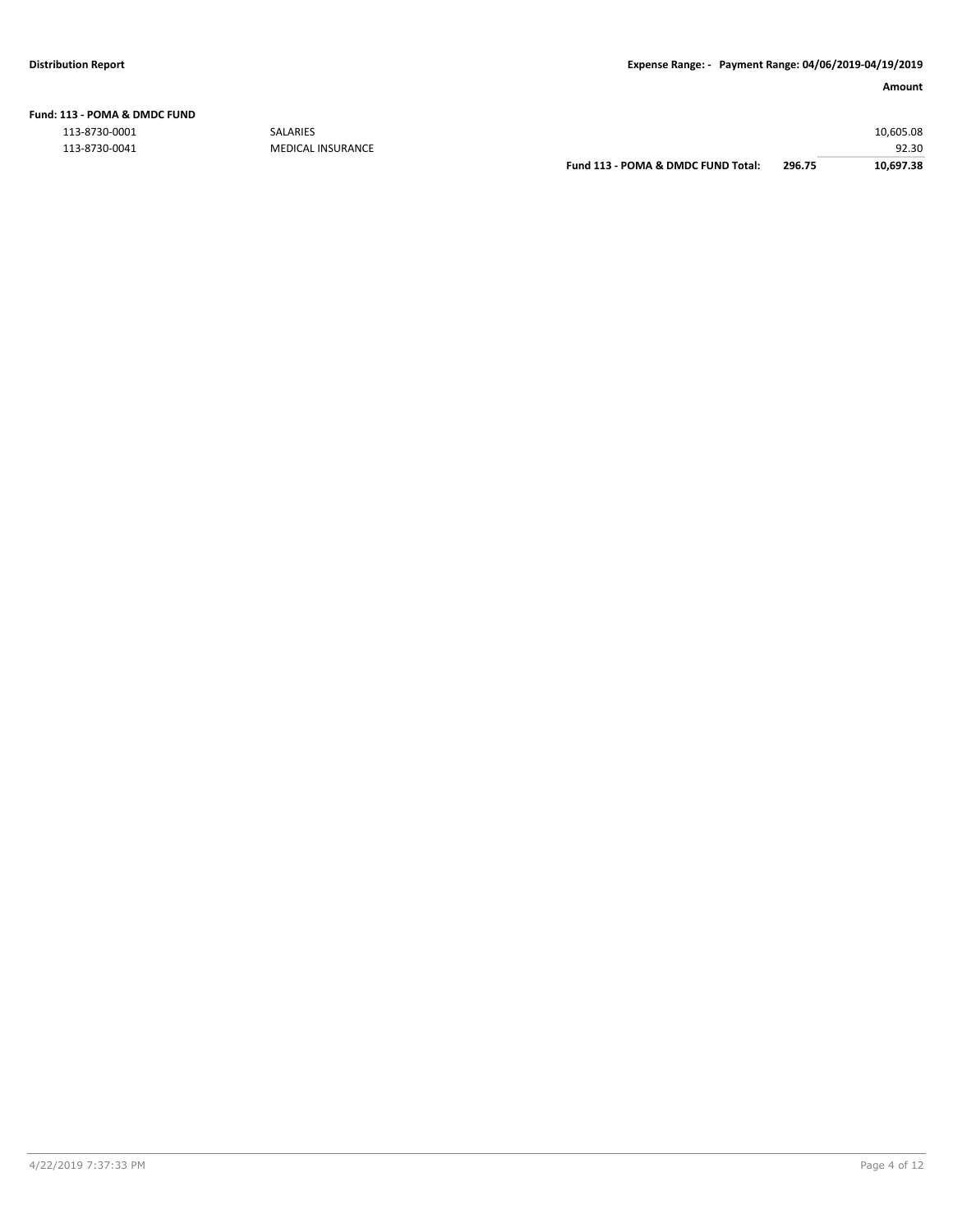|  | Fund: 113 - POMA & DMDC FUND |  |
|--|------------------------------|--|
|  |                              |  |

113-8730-0001 SALARIES 10,605.08

92.30 92.30<br>MEDICAL INSURANCE **113 - 92.30** Fund 113 - POMA & DMDC FUND Total: 296.75 92.30 POMA & DMDC FUND Total: 296.75 **Fund 113 - POMA & DMDC FUND Total: 296.75 10,697.38**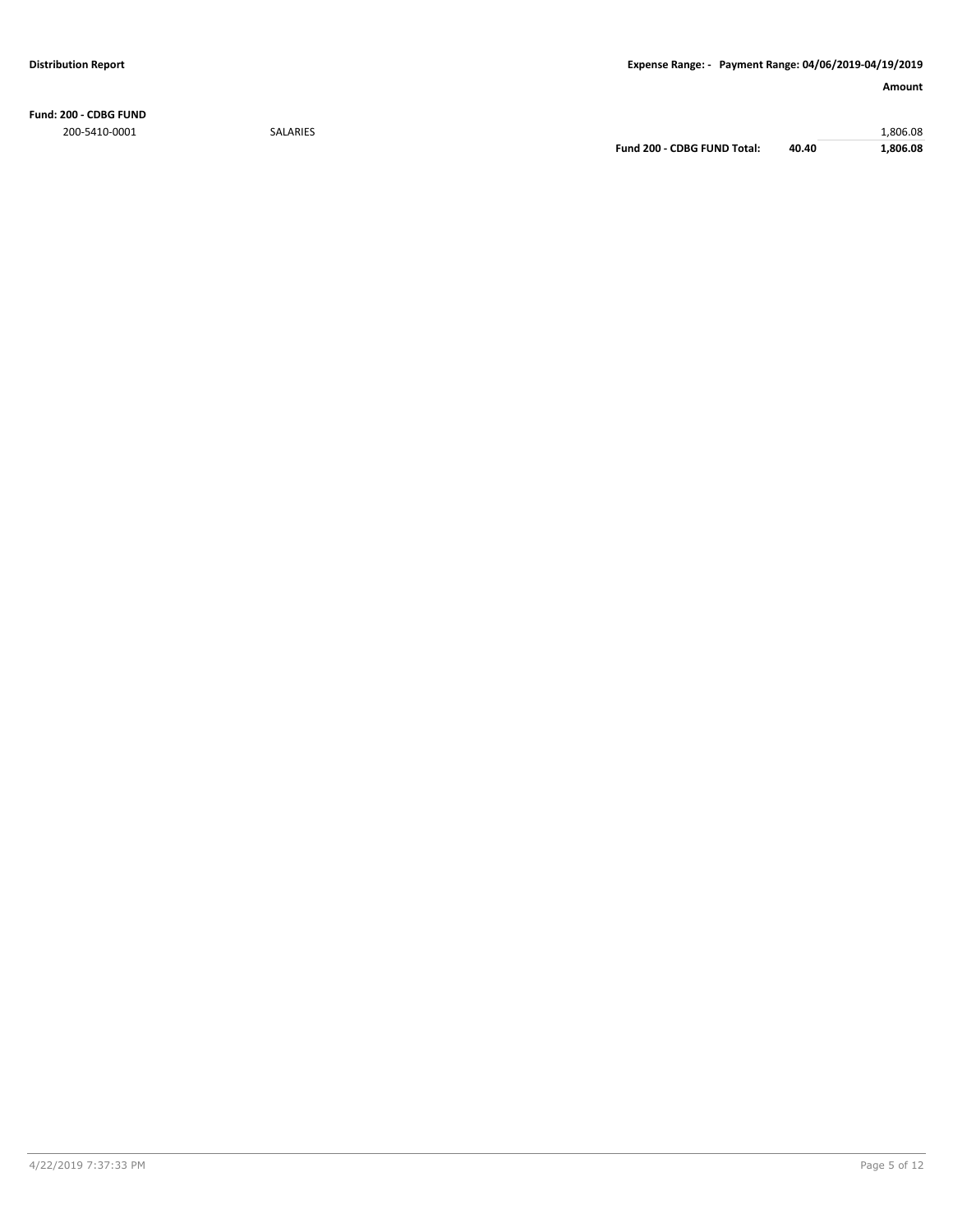**Fund: 200 - CDBG FUND** 200-5410-0001 SALARIES 1,806.08

**Fund 200 - CDBG FUND Total: 40.40 1,806.08**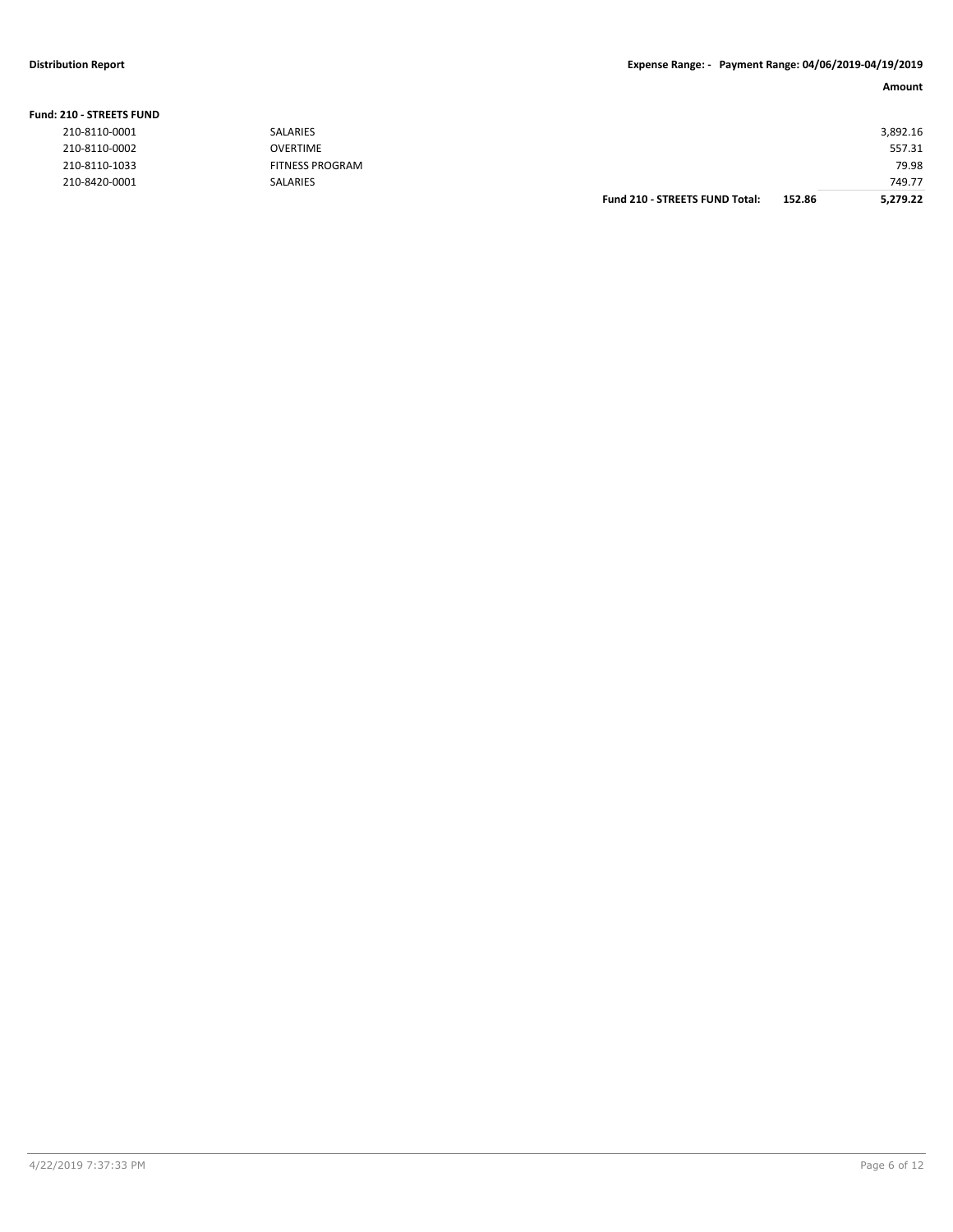**Fund: 210 - STREETS FUND**

#### **Distribution Report Expense Range: - Payment Range: 04/06/2019-04/19/2019**

#### **Amount**

| <b>210 - STREETS FUND</b> |                        |                                       |        |          |
|---------------------------|------------------------|---------------------------------------|--------|----------|
| 210-8110-0001             | SALARIES               |                                       |        | 3,892.16 |
| 210-8110-0002             | <b>OVERTIME</b>        |                                       |        | 557.31   |
| 210-8110-1033             | <b>FITNESS PROGRAM</b> |                                       |        | 79.98    |
| 210-8420-0001             | SALARIES               |                                       |        | 749.77   |
|                           |                        | <b>Fund 210 - STREETS FUND Total:</b> | 152.86 | 5,279.22 |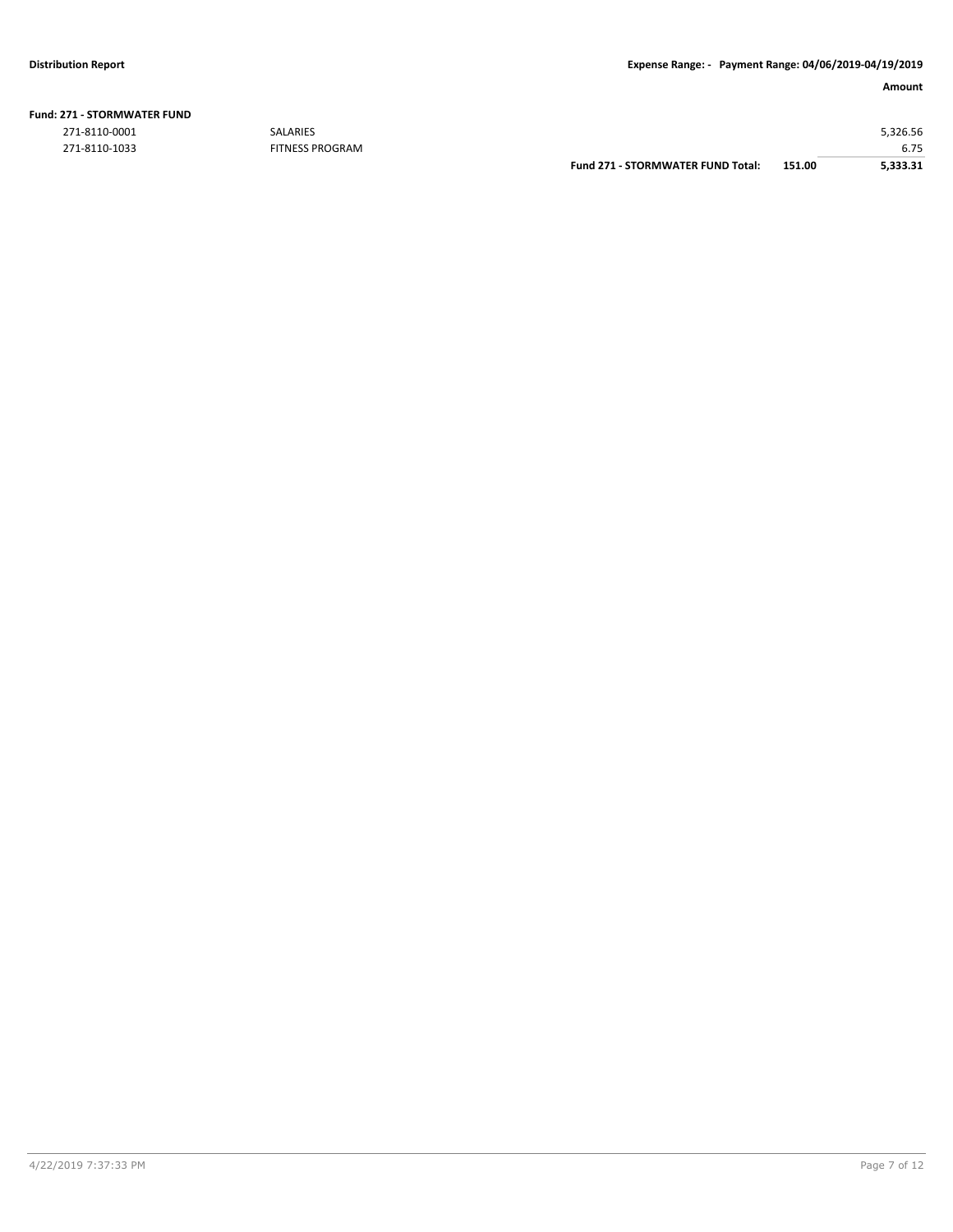| <b>Fund: 271 - STORMWATER FUND</b> |  |
|------------------------------------|--|
|                                    |  |

271-8110-1033 FITNESS PROGRAM

|               |                        | Fund 271 - STORMWATER FUND Total: | 151.00 | 5.333.31 |
|---------------|------------------------|-----------------------------------|--------|----------|
| 271-8110-1033 | <b>FITNESS PROGRAM</b> |                                   |        | 6.75     |
| 271-8110-0001 | <b>SALARIES</b>        |                                   |        | 5.326.56 |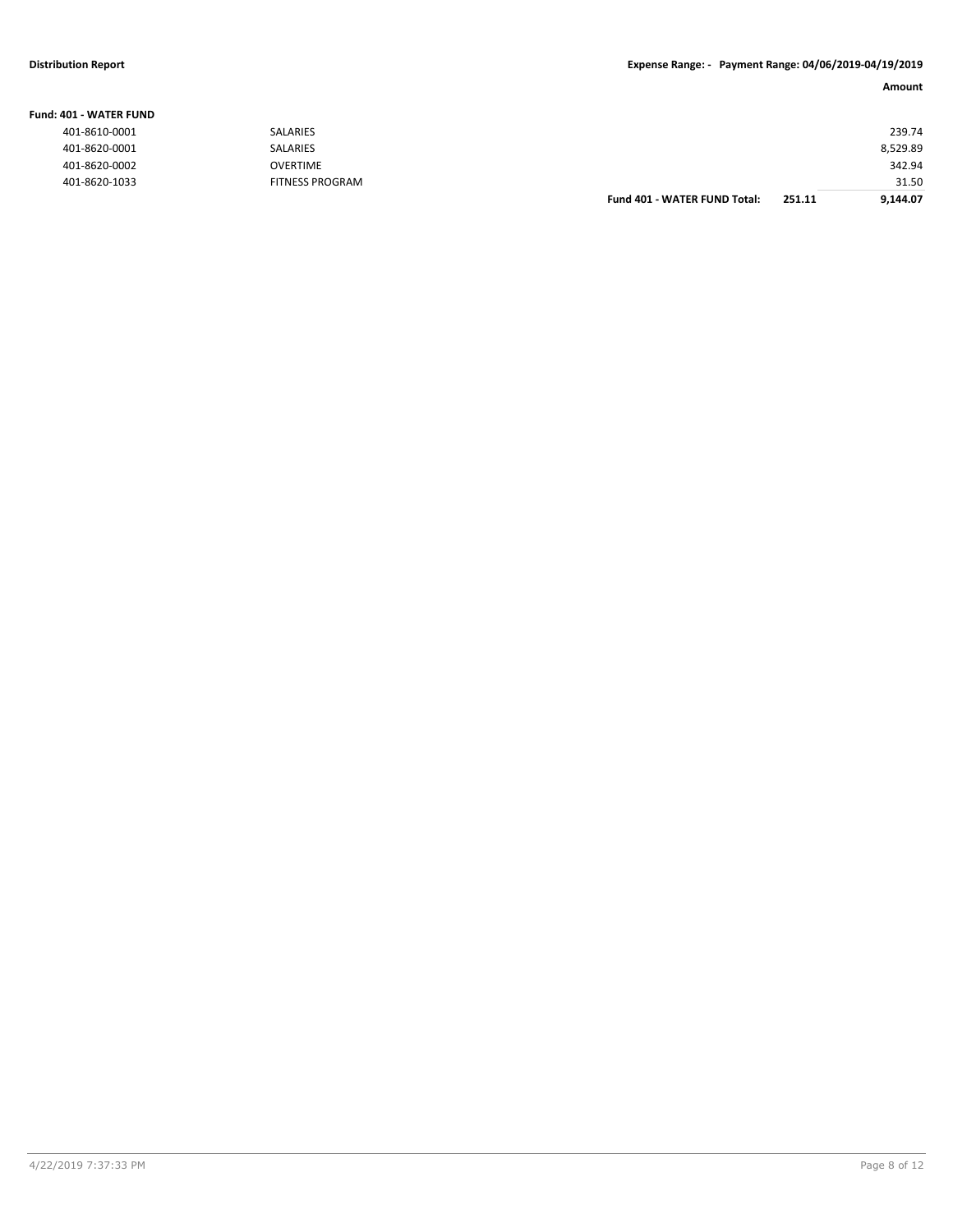#### **Distribution Report Expense Range: - Payment Range: 04/06/2019-04/19/2019**

| IO1 - WATER FUND |                        |                                     |        |          |
|------------------|------------------------|-------------------------------------|--------|----------|
| 401-8610-0001    | SALARIES               |                                     |        | 239.74   |
| 401-8620-0001    | <b>SALARIES</b>        |                                     |        | 8,529.89 |
| 401-8620-0002    | OVERTIME               |                                     |        | 342.94   |
| 401-8620-1033    | <b>FITNESS PROGRAM</b> |                                     |        | 31.50    |
|                  |                        | <b>Fund 401 - WATER FUND Total:</b> | 251.11 | 9,144.07 |

**Fund: 401 - WATER FUND**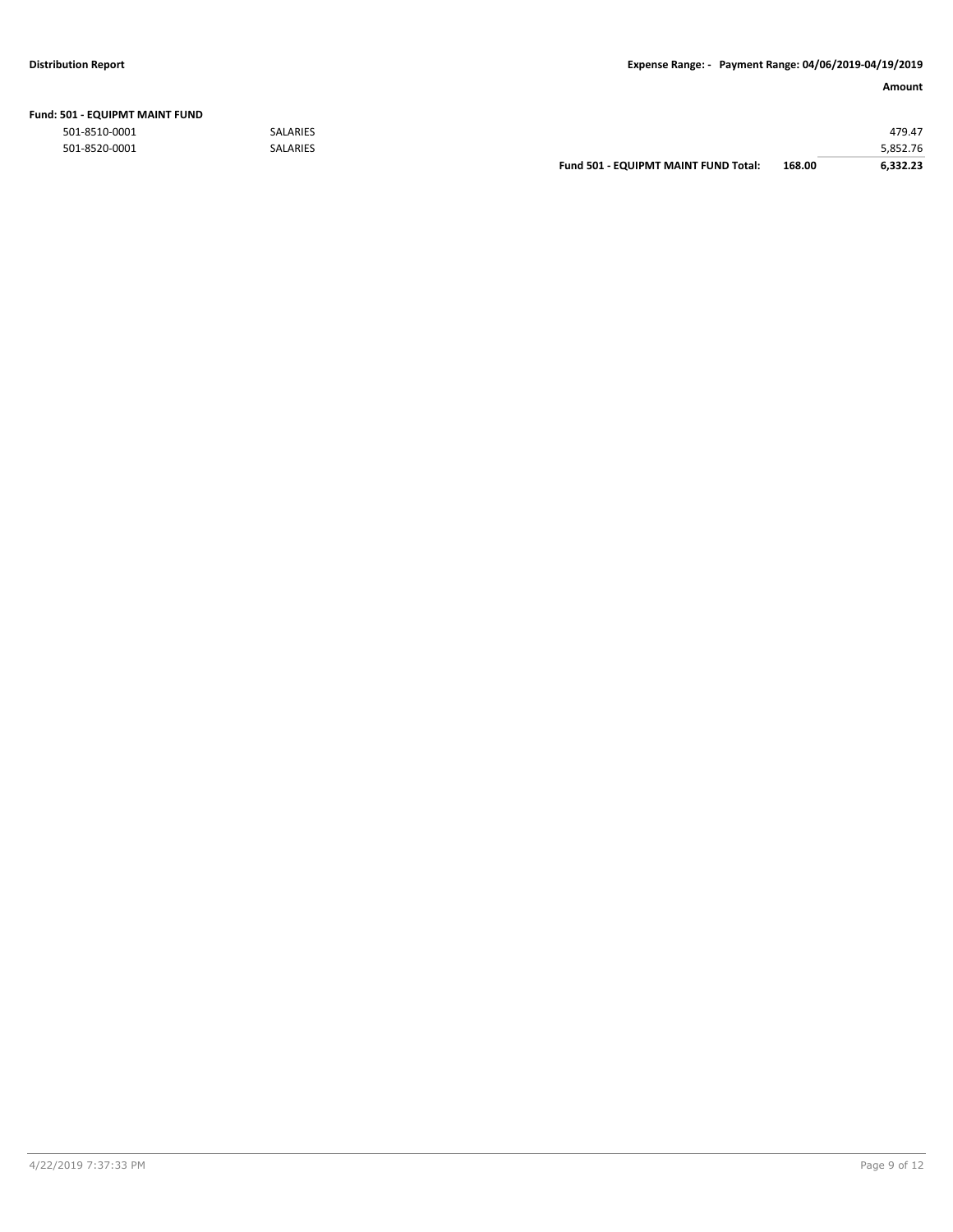|  |  | Fund: 501 - EQUIPMT MAINT FUND |  |
|--|--|--------------------------------|--|
|--|--|--------------------------------|--|

|               |                 | <b>Fund 501 - EQUIPMT MAINT FUND Total:</b> | 168.00 | 6.332.23 |
|---------------|-----------------|---------------------------------------------|--------|----------|
| 501-8520-0001 | <b>SALARIES</b> |                                             |        | 5.852.76 |
| 501-8510-0001 | <b>SALARIES</b> |                                             |        | 479.47   |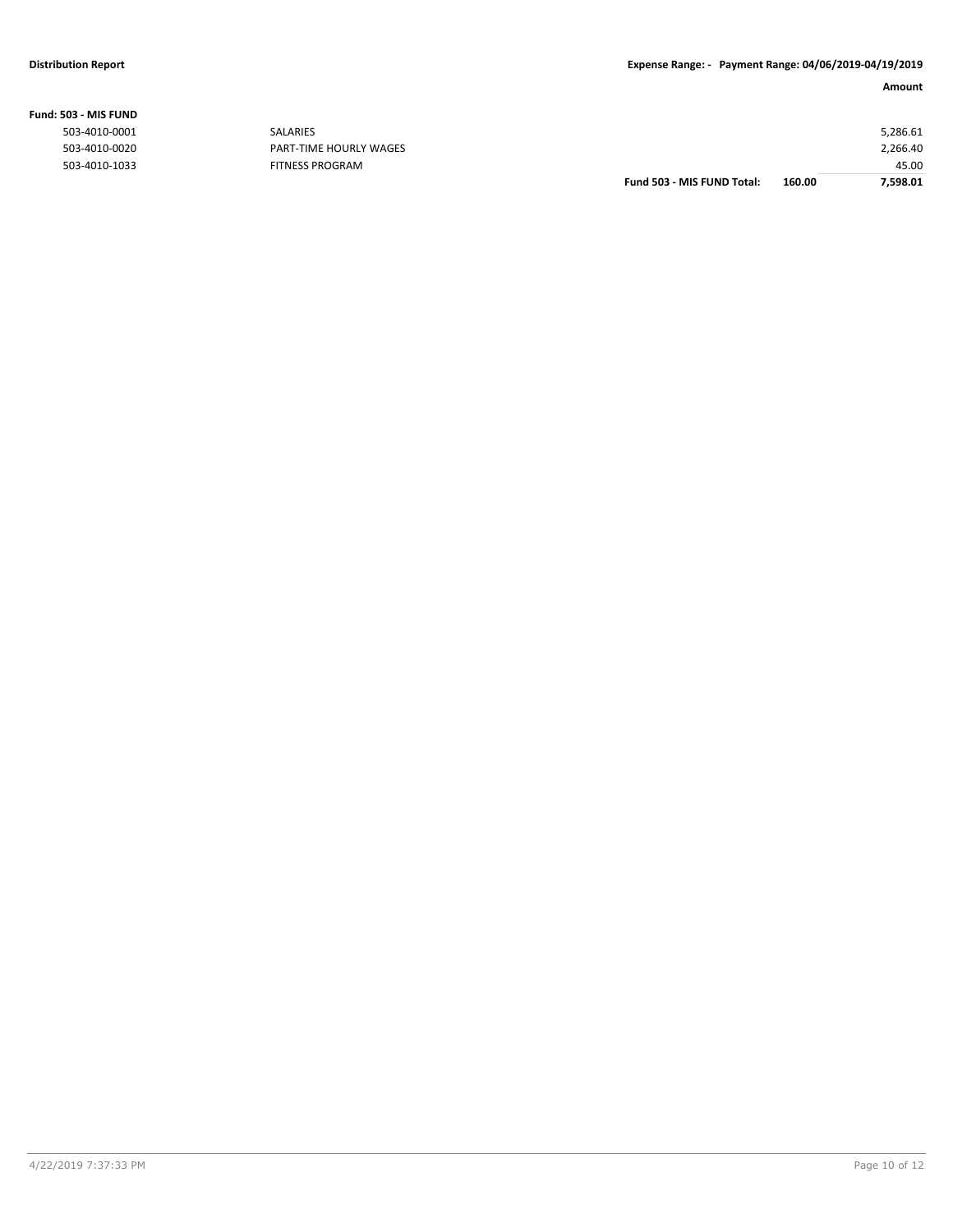|                |                        | Fund 503 - MIS FUND Total: | 160.00 | 7,598.01 |
|----------------|------------------------|----------------------------|--------|----------|
| 503-4010-1033  | <b>FITNESS PROGRAM</b> |                            |        | 45.00    |
| 503-4010-0020  | PART-TIME HOURLY WAGES |                            |        | 2,266.40 |
| 503-4010-0001  | SALARIES               |                            |        | 5,286.61 |
| ,03 - MIS FUND |                        |                            |        |          |

### **Fund: 503 - MIS FUND**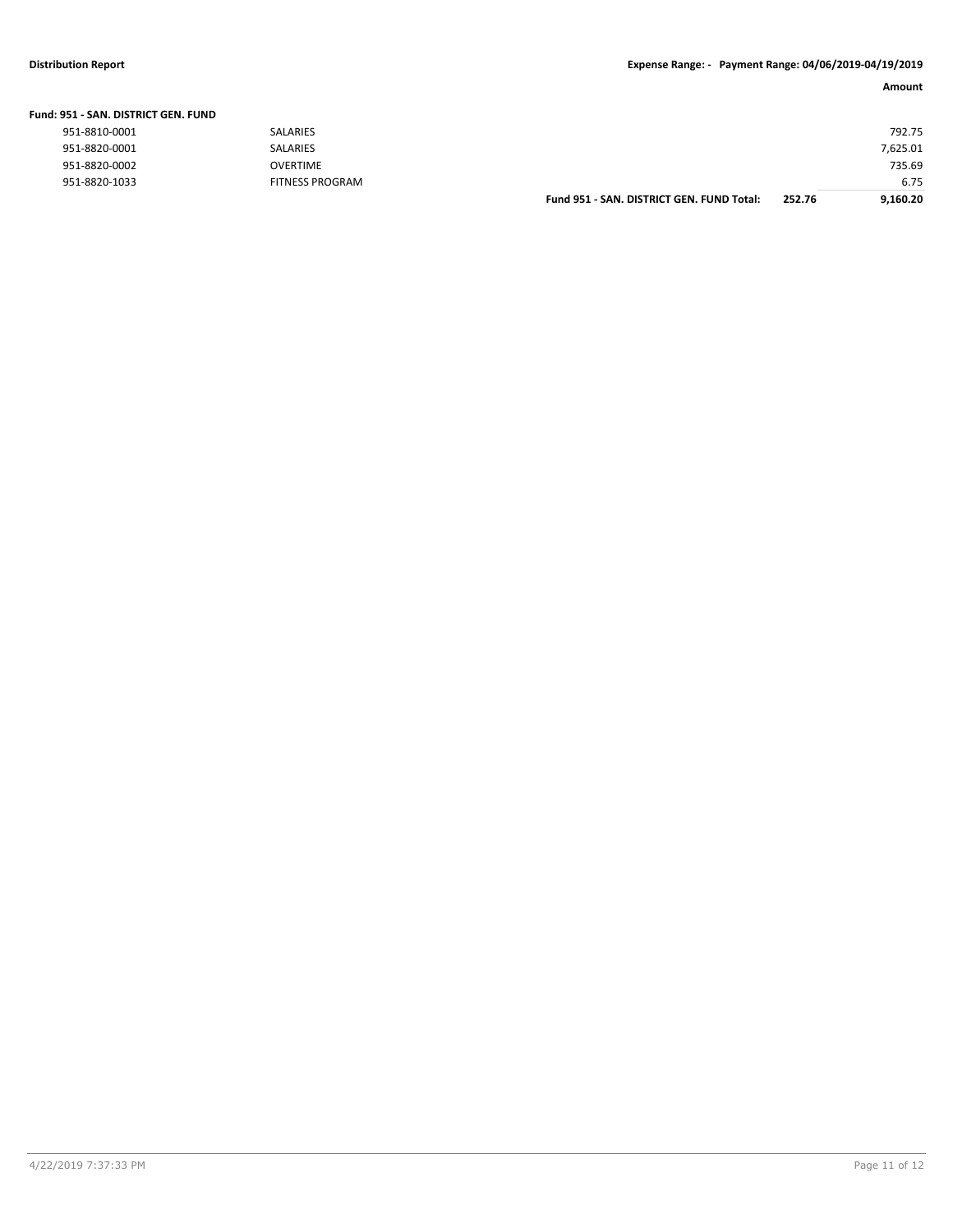#### **Distribution Report Expense Range: - Payment Range: 04/06/2019-04/19/2019**

| Amount |
|--------|
|        |
| 792.75 |

| SALARIES               |                                           |        | 792.75   |
|------------------------|-------------------------------------------|--------|----------|
| SALARIES               |                                           |        | 7,625.01 |
| <b>OVERTIME</b>        |                                           |        | 735.69   |
| <b>FITNESS PROGRAM</b> |                                           |        | 6.75     |
|                        | Fund 951 - SAN, DISTRICT GEN, FUND Total: | 252.76 | 9.160.20 |
|                        |                                           |        |          |